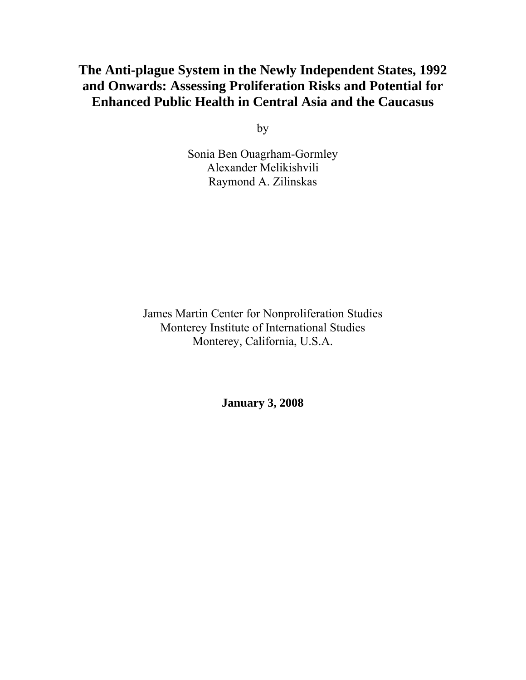# **The Anti-plague System in the Newly Independent States, 1992 and Onwards: Assessing Proliferation Risks and Potential for Enhanced Public Health in Central Asia and the Caucasus**

by

Sonia Ben Ouagrham-Gormley Alexander Melikishvili Raymond A. Zilinskas

James Martin Center for Nonproliferation Studies Monterey Institute of International Studies Monterey, California, U.S.A.

**January 3, 2008**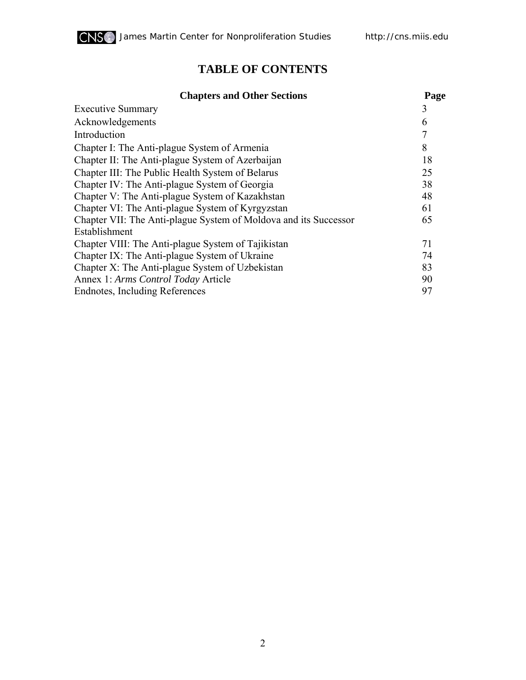# **TABLE OF CONTENTS**

| <b>Chapters and Other Sections</b>                               | Page |  |
|------------------------------------------------------------------|------|--|
| <b>Executive Summary</b>                                         | 3    |  |
| Acknowledgements                                                 | 6    |  |
| Introduction                                                     | 7    |  |
| Chapter I: The Anti-plague System of Armenia                     | 8    |  |
| Chapter II: The Anti-plague System of Azerbaijan                 | 18   |  |
| Chapter III: The Public Health System of Belarus                 | 25   |  |
| Chapter IV: The Anti-plague System of Georgia                    | 38   |  |
| Chapter V: The Anti-plague System of Kazakhstan                  | 48   |  |
| Chapter VI: The Anti-plague System of Kyrgyzstan                 | 61   |  |
| Chapter VII: The Anti-plague System of Moldova and its Successor | 65   |  |
| Establishment                                                    |      |  |
| Chapter VIII: The Anti-plague System of Tajikistan               | 71   |  |
| Chapter IX: The Anti-plague System of Ukraine                    | 74   |  |
| Chapter X: The Anti-plague System of Uzbekistan                  | 83   |  |
| Annex 1: Arms Control Today Article                              | 90   |  |
| Endnotes, Including References                                   | 97   |  |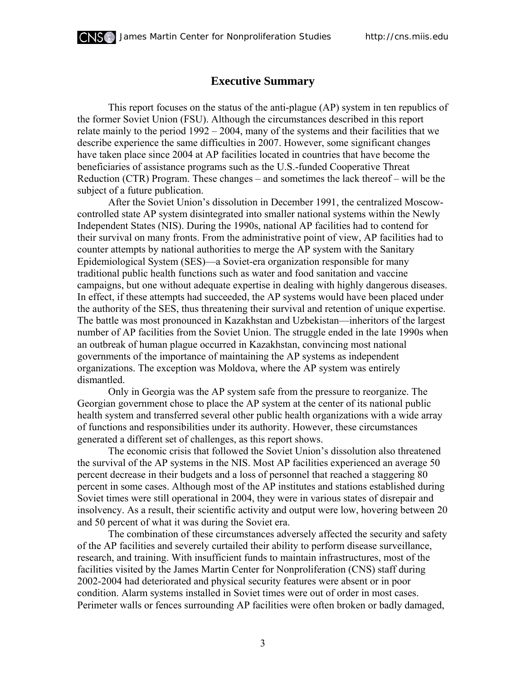# **Executive Summary**

This report focuses on the status of the anti-plague (AP) system in ten republics of the former Soviet Union (FSU). Although the circumstances described in this report relate mainly to the period 1992 – 2004, many of the systems and their facilities that we describe experience the same difficulties in 2007. However, some significant changes have taken place since 2004 at AP facilities located in countries that have become the beneficiaries of assistance programs such as the U.S.-funded Cooperative Threat Reduction (CTR) Program. These changes – and sometimes the lack thereof – will be the subject of a future publication.

After the Soviet Union's dissolution in December 1991, the centralized Moscowcontrolled state AP system disintegrated into smaller national systems within the Newly Independent States (NIS). During the 1990s, national AP facilities had to contend for their survival on many fronts. From the administrative point of view, AP facilities had to counter attempts by national authorities to merge the AP system with the Sanitary Epidemiological System (SES)—a Soviet-era organization responsible for many traditional public health functions such as water and food sanitation and vaccine campaigns, but one without adequate expertise in dealing with highly dangerous diseases. In effect, if these attempts had succeeded, the AP systems would have been placed under the authority of the SES, thus threatening their survival and retention of unique expertise. The battle was most pronounced in Kazakhstan and Uzbekistan—inheritors of the largest number of AP facilities from the Soviet Union. The struggle ended in the late 1990s when an outbreak of human plague occurred in Kazakhstan, convincing most national governments of the importance of maintaining the AP systems as independent organizations. The exception was Moldova, where the AP system was entirely dismantled.

Only in Georgia was the AP system safe from the pressure to reorganize. The Georgian government chose to place the AP system at the center of its national public health system and transferred several other public health organizations with a wide array of functions and responsibilities under its authority. However, these circumstances generated a different set of challenges, as this report shows.

The economic crisis that followed the Soviet Union's dissolution also threatened the survival of the AP systems in the NIS. Most AP facilities experienced an average 50 percent decrease in their budgets and a loss of personnel that reached a staggering 80 percent in some cases. Although most of the AP institutes and stations established during Soviet times were still operational in 2004, they were in various states of disrepair and insolvency. As a result, their scientific activity and output were low, hovering between 20 and 50 percent of what it was during the Soviet era.

The combination of these circumstances adversely affected the security and safety of the AP facilities and severely curtailed their ability to perform disease surveillance, research, and training. With insufficient funds to maintain infrastructures, most of the facilities visited by the James Martin Center for Nonproliferation (CNS) staff during 2002-2004 had deteriorated and physical security features were absent or in poor condition. Alarm systems installed in Soviet times were out of order in most cases. Perimeter walls or fences surrounding AP facilities were often broken or badly damaged,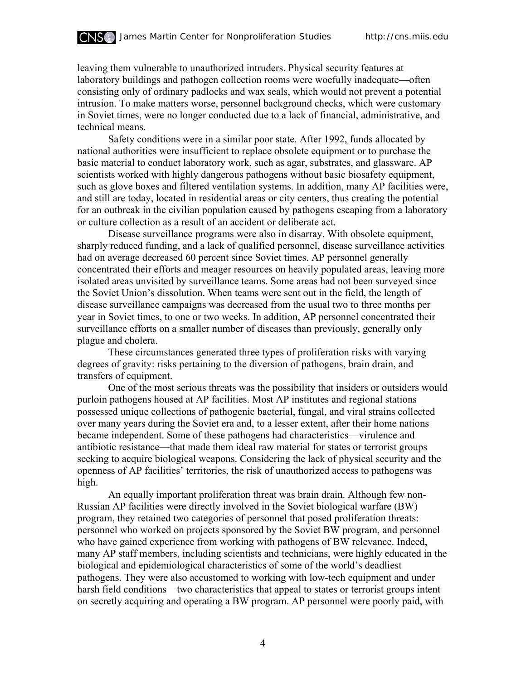<span id="page-3-1"></span><span id="page-3-0"></span>leaving them vulnerable to unauthorized intruders. Physical security features at laboratory buildings and pathogen collection rooms were woefully inadequate—often consisting only of ordinary padlocks and wax seals, which would not prevent a potential intrusion. To make matters worse, personnel background checks, which were customary in Soviet times, were no longer conducted due to a lack of financial, administrative, and technical means.

Safety conditions were in a similar poor state. After 1992, funds allocated by national authorities were insufficient to replace obsolete equipment or to purchase the basic material to conduct laboratory work, such as agar, substrates, and glassware. AP scientists worked with highly dangerous pathogens without basic biosafety equipment, such as glove boxes and filtered ventilation systems. In addition, many AP facilities were, and still are today, located in residential areas or city centers, thus creating the potential for an outbreak in the civilian population caused by pathogens escaping from a laboratory or culture collection as a result of an accident or deliberate act.

Disease surveillance programs were also in disarray. With obsolete equipment, sharply reduced funding, and a lack of qualified personnel, disease surveillance activities had on average decreased 60 percent since Soviet times. AP personnel generally concentrated their efforts and meager resources on heavily populated areas, leaving more isolated areas unvisited by surveillance teams. Some areas had not been surveyed since the Soviet Union's dissolution. When teams were sent out in the field, the length of disease surveillance campaigns was decreased from the usual two to three months per year in Soviet times, to one or two weeks. In addition, AP personnel concentrated their surveillance efforts on a smaller number of diseases than previously, generally only plague and cholera.

These circumstances generated three types of proliferation risks with varying degrees of gravity: risks pertaining to the diversion of pathogens, brain drain, and transfers of equipment.

One of the most serious threats was the possibility that insiders or outsiders would purloin pathogens housed at AP facilities. Most AP institutes and regional stations possessed unique collections of pathogenic bacterial, fungal, and viral strains collected over many years during the Soviet era and, to a lesser extent, after their home nations became independent. Some of these pathogens had characteristics—virulence and antibiotic resistance—that made them ideal raw material for states or terrorist groups seeking to acquire biological weapons. Considering the lack of physical security and the openness of AP facilities' territories, the risk of unauthorized access to pathogens was high.

An equally important proliferation threat was brain drain. Although few non-Russian AP facilities were directly involved in the Soviet biological warfare (BW) program, they retained two categories of personnel that posed proliferation threats: personnel who worked on projects sponsored by the Soviet BW program, and personnel who have gained experience from working with pathogens of BW relevance. Indeed, many AP staff members, including scientists and technicians, were highly educated in the biological and epidemiological characteristics of some of the world's deadliest pathogens. They were also accustomed to working with low-tech equipment and under harsh field conditions—two characteristics that appeal to states or terrorist groups intent on secretly acquiring and operating a BW program. AP personnel were poorly paid, with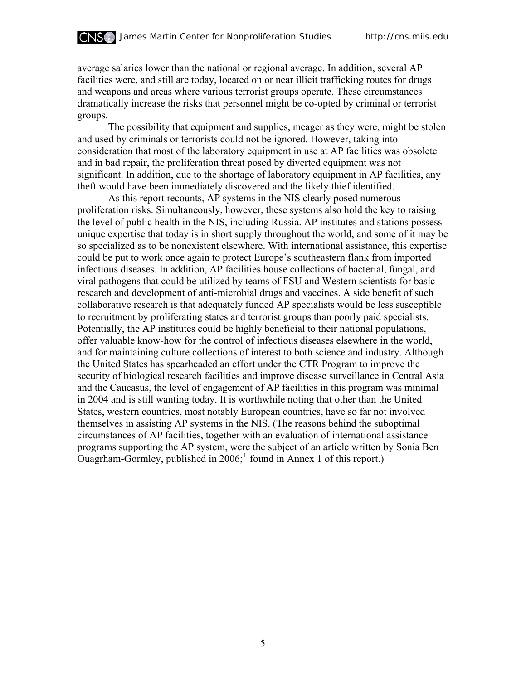<span id="page-4-0"></span>average salaries lower than the national or regional average. In addition, several AP facilities were, and still are today, located on or near illicit trafficking routes for drugs and weapons and areas where various terrorist groups operate. These circumstances dramatically increase the risks that personnel might be co-opted by criminal or terrorist groups.

The possibility that equipment and supplies, meager as they were, might be stolen and used by criminals or terrorists could not be ignored. However, taking into consideration that most of the laboratory equipment in use at AP facilities was obsolete and in bad repair, the proliferation threat posed by diverted equipment was not significant. In addition, due to the shortage of laboratory equipment in AP facilities, any theft would have been immediately discovered and the likely thief identified.

As this report recounts, AP systems in the NIS clearly posed numerous proliferation risks. Simultaneously, however, these systems also hold the key to raising the level of public health in the NIS, including Russia. AP institutes and stations possess unique expertise that today is in short supply throughout the world, and some of it may be so specialized as to be nonexistent elsewhere. With international assistance, this expertise could be put to work once again to protect Europe's southeastern flank from imported infectious diseases. In addition, AP facilities house collections of bacterial, fungal, and viral pathogens that could be utilized by teams of FSU and Western scientists for basic research and development of anti-microbial drugs and vaccines. A side benefit of such collaborative research is that adequately funded AP specialists would be less susceptible to recruitment by proliferating states and terrorist groups than poorly paid specialists. Potentially, the AP institutes could be highly beneficial to their national populations, offer valuable know-how for the control of infectious diseases elsewhere in the world, and for maintaining culture collections of interest to both science and industry. Although the United States has spearheaded an effort under the CTR Program to improve the security of biological research facilities and improve disease surveillance in Central Asia and the Caucasus, the level of engagement of AP facilities in this program was minimal in 2004 and is still wanting today. It is worthwhile noting that other than the United States, western countries, most notably European countries, have so far not involved themselves in assisting AP systems in the NIS. (The reasons behind the suboptimal circumstances of AP facilities, together with an evaluation of international assistance programs supporting the AP system, were the subject of an article written by Sonia Ben Ouagrham-Gormley, published in  $2006$ ; found in Annex [1](#page-3-0) of this report.)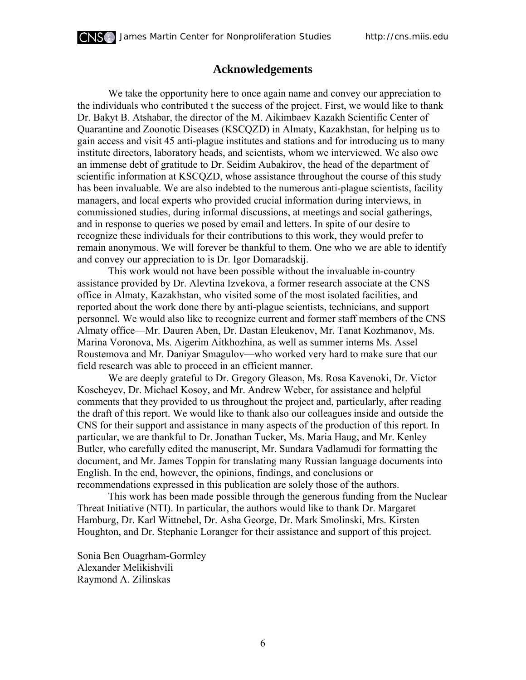# **Acknowledgements**

<span id="page-5-0"></span> We take the opportunity here to once again name and convey our appreciation to the individuals who contributed t the success of the project. First, we would like to thank Dr. Bakyt B. Atshabar, the director of the M. Aikimbaev Kazakh Scientific Center of Quarantine and Zoonotic Diseases (KSCQZD) in Almaty, Kazakhstan, for helping us to gain access and visit 45 anti-plague institutes and stations and for introducing us to many institute directors, laboratory heads, and scientists, whom we interviewed. We also owe an immense debt of gratitude to Dr. Seidim Aubakirov, the head of the department of scientific information at KSCQZD, whose assistance throughout the course of this study has been invaluable. We are also indebted to the numerous anti-plague scientists, facility managers, and local experts who provided crucial information during interviews, in commissioned studies, during informal discussions, at meetings and social gatherings, and in response to queries we posed by email and letters. In spite of our desire to recognize these individuals for their contributions to this work, they would prefer to remain anonymous. We will forever be thankful to them. One who we are able to identify and convey our appreciation to is Dr. Igor Domaradskij.

This work would not have been possible without the invaluable in-country assistance provided by Dr. Alevtina Izvekova, a former research associate at the CNS office in Almaty, Kazakhstan, who visited some of the most isolated facilities, and reported about the work done there by anti-plague scientists, technicians, and support personnel. We would also like to recognize current and former staff members of the CNS Almaty office—Mr. Dauren Aben, Dr. Dastan Eleukenov, Mr. Tanat Kozhmanov, Ms. Marina Voronova, Ms. Aigerim Aitkhozhina, as well as summer interns Ms. Assel Roustemova and Mr. Daniyar Smagulov—who worked very hard to make sure that our field research was able to proceed in an efficient manner.

 We are deeply grateful to Dr. Gregory Gleason, Ms. Rosa Kavenoki, Dr. Victor Koscheyev, Dr. Michael Kosoy, and Mr. Andrew Weber, for assistance and helpful comments that they provided to us throughout the project and, particularly, after reading the draft of this report. We would like to thank also our colleagues inside and outside the CNS for their support and assistance in many aspects of the production of this report. In particular, we are thankful to Dr. Jonathan Tucker, Ms. Maria Haug, and Mr. Kenley Butler, who carefully edited the manuscript, Mr. Sundara Vadlamudi for formatting the document, and Mr. James Toppin for translating many Russian language documents into English. In the end, however, the opinions, findings, and conclusions or recommendations expressed in this publication are solely those of the authors.

 This work has been made possible through the generous funding from the Nuclear Threat Initiative (NTI). In particular, the authors would like to thank Dr. Margaret Hamburg, Dr. Karl Wittnebel, Dr. Asha George, Dr. Mark Smolinski, Mrs. Kirsten Houghton, and Dr. Stephanie Loranger for their assistance and support of this project.

Sonia Ben Ouagrham-Gormley Alexander Melikishvili Raymond A. Zilinskas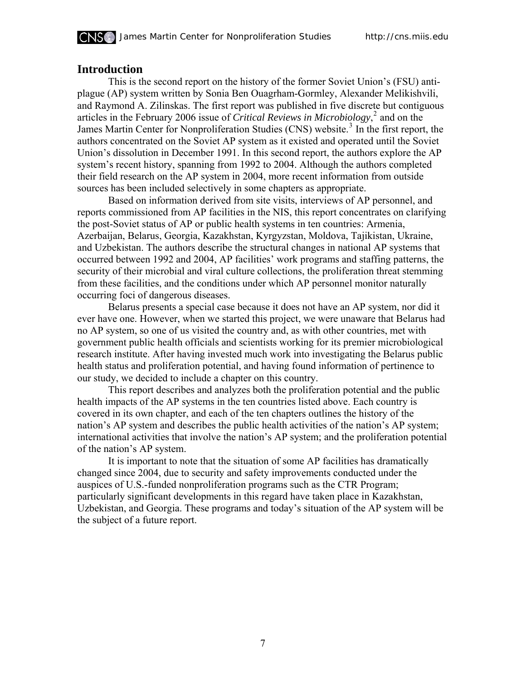# <span id="page-6-0"></span>**Introduction**

 This is the second report on the history of the former Soviet Union's (FSU) antiplague (AP) system written by Sonia Ben Ouagrham-Gormley, Alexander Melikishvili, and Raymond A. Zilinskas. The first report was published in five discrete but contiguous articles in the February 2006 issue of *Critical Reviews in Microbiology*, [2](#page-3-1) and on the James Martin Center for Nonproliferation Studies (CNS) website.<sup>[3](#page-3-1)</sup> In the first report, the authors concentrated on the Soviet AP system as it existed and operated until the Soviet Union's dissolution in December 1991. In this second report, the authors explore the AP system's recent history, spanning from 1992 to 2004. Although the authors completed their field research on the AP system in 2004, more recent information from outside sources has been included selectively in some chapters as appropriate.

Based on information derived from site visits, interviews of AP personnel, and reports commissioned from AP facilities in the NIS, this report concentrates on clarifying the post-Soviet status of AP or public health systems in ten countries: Armenia, Azerbaijan, Belarus, Georgia, Kazakhstan, Kyrgyzstan, Moldova, Tajikistan, Ukraine, and Uzbekistan. The authors describe the structural changes in national AP systems that occurred between 1992 and 2004, AP facilities' work programs and staffing patterns, the security of their microbial and viral culture collections, the proliferation threat stemming from these facilities, and the conditions under which AP personnel monitor naturally occurring foci of dangerous diseases.

Belarus presents a special case because it does not have an AP system, nor did it ever have one. However, when we started this project, we were unaware that Belarus had no AP system, so one of us visited the country and, as with other countries, met with government public health officials and scientists working for its premier microbiological research institute. After having invested much work into investigating the Belarus public health status and proliferation potential, and having found information of pertinence to our study, we decided to include a chapter on this country.

 This report describes and analyzes both the proliferation potential and the public health impacts of the AP systems in the ten countries listed above. Each country is covered in its own chapter, and each of the ten chapters outlines the history of the nation's AP system and describes the public health activities of the nation's AP system; international activities that involve the nation's AP system; and the proliferation potential of the nation's AP system.

It is important to note that the situation of some AP facilities has dramatically changed since 2004, due to security and safety improvements conducted under the auspices of U.S.-funded nonproliferation programs such as the CTR Program; particularly significant developments in this regard have taken place in Kazakhstan, Uzbekistan, and Georgia. These programs and today's situation of the AP system will be the subject of a future report.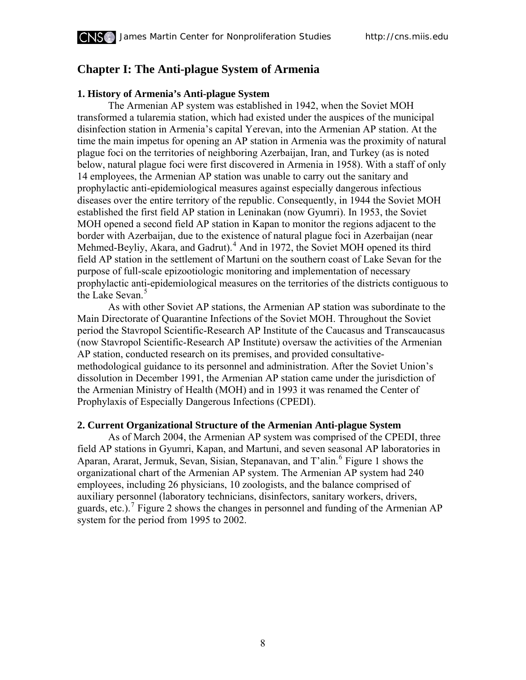# **Chapter I: The Anti-plague System of Armenia**

# **1. History of Armenia's Anti-plague System**

 The Armenian AP system was established in 1942, when the Soviet MOH transformed a tularemia station, which had existed under the auspices of the municipal disinfection station in Armenia's capital Yerevan, into the Armenian AP station. At the time the main impetus for opening an AP station in Armenia was the proximity of natural plague foci on the territories of neighboring Azerbaijan, Iran, and Turkey (as is noted below, natural plague foci were first discovered in Armenia in 1958). With a staff of only 14 employees, the Armenian AP station was unable to carry out the sanitary and prophylactic anti-epidemiological measures against especially dangerous infectious diseases over the entire territory of the republic. Consequently, in 1944 the Soviet MOH established the first field AP station in Leninakan (now Gyumri). In 1953, the Soviet MOH opened a second field AP station in Kapan to monitor the regions adjacent to the border with Azerbaijan, due to the existence of natural plague foci in Azerbaijan (near Mehmed-Beyliy, Akara, and Gadrut).<sup>[4](#page-3-1)</sup> And in 1972, the Soviet MOH opened its third field AP station in the settlement of Martuni on the southern coast of Lake Sevan for the purpose of full-scale epizootiologic monitoring and implementation of necessary prophylactic anti-epidemiological measures on the territories of the districts contiguous to the Lake Sevan. $5$ 

 As with other Soviet AP stations, the Armenian AP station was subordinate to the Main Directorate of Quarantine Infections of the Soviet MOH. Throughout the Soviet period the Stavropol Scientific-Research AP Institute of the Caucasus and Transcaucasus (now Stavropol Scientific-Research AP Institute) oversaw the activities of the Armenian AP station, conducted research on its premises, and provided consultativemethodological guidance to its personnel and administration. After the Soviet Union's dissolution in December 1991, the Armenian AP station came under the jurisdiction of the Armenian Ministry of Health (MOH) and in 1993 it was renamed the Center of Prophylaxis of Especially Dangerous Infections (CPEDI).

# **2. Current Organizational Structure of the Armenian Anti-plague System**

 As of March 2004, the Armenian AP system was comprised of the CPEDI, three field AP stations in Gyumri, Kapan, and Martuni, and seven seasonal AP laboratories in Aparan, Ararat, Jermuk, Sevan, Sisian, Stepanavan, and T'alin.<sup>[6](#page-3-1)</sup> Figure 1 shows the organizational chart of the Armenian AP system. The Armenian AP system had 240 employees, including 26 physicians, 10 zoologists, and the balance comprised of auxiliary personnel (laboratory technicians, disinfectors, sanitary workers, drivers, guards, etc.).<sup>[7](#page-3-1)</sup> Figure 2 shows the changes in personnel and funding of the Armenian AP system for the period from 1995 to 2002.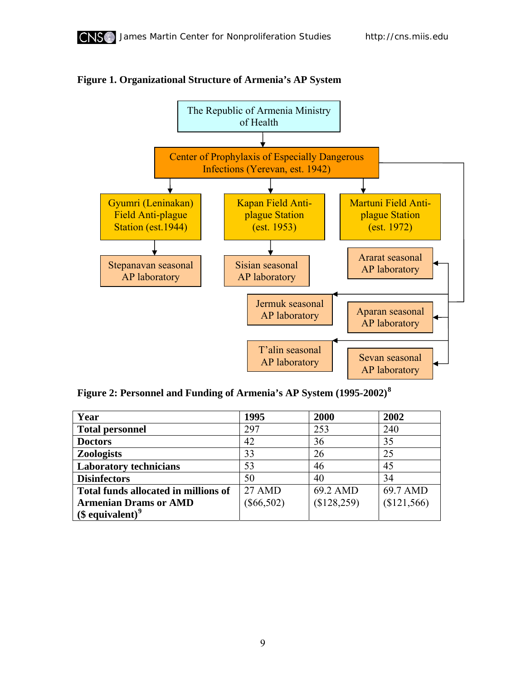



**Figure 2: Personnel and Funding of Armenia's AP System (1995-2002)[8](#page-3-1)**

| Year                                 | 1995         | 2000         | 2002        |
|--------------------------------------|--------------|--------------|-------------|
| <b>Total personnel</b>               | 297          | 253          | 240         |
| <b>Doctors</b>                       | 42           | 36           | 35          |
| <b>Zoologists</b>                    | 33           | 26           | 25          |
| <b>Laboratory technicians</b>        | 53           | 46           | 45          |
| <b>Disinfectors</b>                  | 50           | 40           | 34          |
| Total funds allocated in millions of | 27 AMD       | 69.2 AMD     | 69.7 AMD    |
| <b>Armenian Drams or AMD</b>         | $(\$66,502)$ | (\$128, 259) | (\$121,566) |
| $$$ equivalent) <sup>9</sup>         |              |              |             |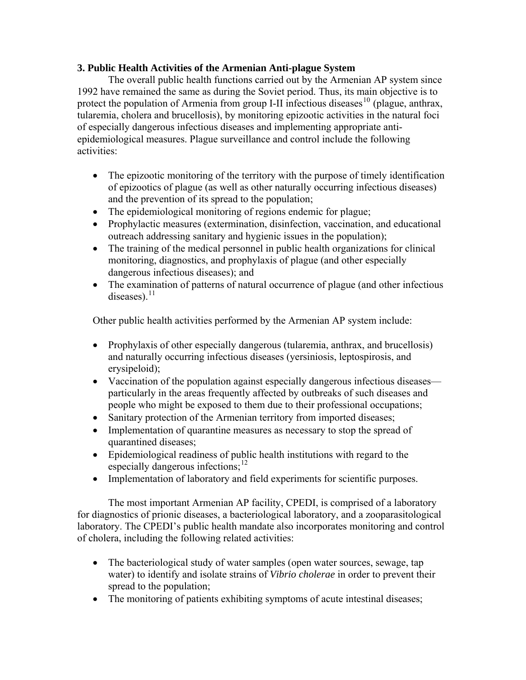# **3. Public Health Activities of the Armenian Anti-plague System**

 The overall public health functions carried out by the Armenian AP system since 1992 have remained the same as during the Soviet period. Thus, its main objective is to protect the population of Armenia from group I-II infectious diseases<sup>[10](#page-3-1)</sup> (plague, anthrax, tularemia, cholera and brucellosis), by monitoring epizootic activities in the natural foci of especially dangerous infectious diseases and implementing appropriate antiepidemiological measures. Plague surveillance and control include the following activities:

- The epizootic monitoring of the territory with the purpose of timely identification of epizootics of plague (as well as other naturally occurring infectious diseases) and the prevention of its spread to the population;
- The epidemiological monitoring of regions endemic for plague;
- Prophylactic measures (extermination, disinfection, vaccination, and educational outreach addressing sanitary and hygienic issues in the population);
- The training of the medical personnel in public health organizations for clinical monitoring, diagnostics, and prophylaxis of plague (and other especially dangerous infectious diseases); and
- The examination of patterns of natural occurrence of plague (and other infectious diseases). $^{11}$  $^{11}$  $^{11}$

Other public health activities performed by the Armenian AP system include:

- Prophylaxis of other especially dangerous (tularemia, anthrax, and brucellosis) and naturally occurring infectious diseases (yersiniosis, leptospirosis, and erysipeloid);
- Vaccination of the population against especially dangerous infectious diseases particularly in the areas frequently affected by outbreaks of such diseases and people who might be exposed to them due to their professional occupations;
- Sanitary protection of the Armenian territory from imported diseases;
- Implementation of quarantine measures as necessary to stop the spread of quarantined diseases;
- Epidemiological readiness of public health institutions with regard to the especially dangerous infections;  $^{12}$  $^{12}$  $^{12}$
- Implementation of laboratory and field experiments for scientific purposes.

The most important Armenian AP facility, CPEDI, is comprised of a laboratory for diagnostics of prionic diseases, a bacteriological laboratory, and a zooparasitological laboratory. The CPEDI's public health mandate also incorporates monitoring and control of cholera, including the following related activities:

- The bacteriological study of water samples (open water sources, sewage, tap water) to identify and isolate strains of *Vibrio cholerae* in order to prevent their spread to the population;
- The monitoring of patients exhibiting symptoms of acute intestinal diseases;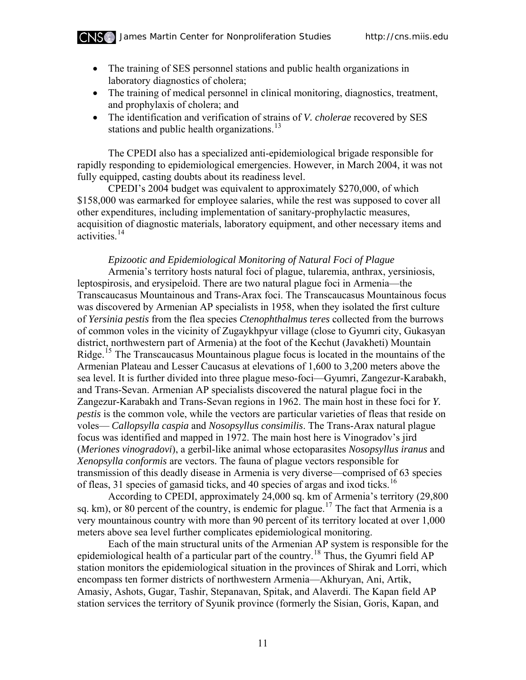- The training of SES personnel stations and public health organizations in laboratory diagnostics of cholera;
- The training of medical personnel in clinical monitoring, diagnostics, treatment, and prophylaxis of cholera; and
- The identification and verification of strains of *V. cholerae* recovered by SES stations and public health organizations.<sup>[13](#page-3-1)</sup>

The CPEDI also has a specialized anti-epidemiological brigade responsible for rapidly responding to epidemiological emergencies. However, in March 2004, it was not fully equipped, casting doubts about its readiness level.

CPEDI's 2004 budget was equivalent to approximately \$270,000, of which \$158,000 was earmarked for employee salaries, while the rest was supposed to cover all other expenditures, including implementation of sanitary-prophylactic measures, acquisition of diagnostic materials, laboratory equipment, and other necessary items and activities.[14](#page-3-1)

#### *Epizootic and Epidemiological Monitoring of Natural Foci of Plague*

 Armenia's territory hosts natural foci of plague, tularemia, anthrax, yersiniosis, leptospirosis, and erysipeloid. There are two natural plague foci in Armenia—the Transcaucasus Mountainous and Trans-Arax foci. The Transcaucasus Mountainous focus was discovered by Armenian AP specialists in 1958, when they isolated the first culture of *Yersinia pestis* from the flea species *Ctenophthalmus teres* collected from the burrows of common voles in the vicinity of Zugaykhpyur village (close to Gyumri city, Gukasyan district, northwestern part of Armenia) at the foot of the Kechut (Javakheti) Mountain Ridge.<sup>[15](#page-3-1)</sup> The Transcaucasus Mountainous plague focus is located in the mountains of the Armenian Plateau and Lesser Caucasus at elevations of 1,600 to 3,200 meters above the sea level. It is further divided into three plague meso-foci—Gyumri, Zangezur-Karabakh, and Trans-Sevan. Armenian AP specialists discovered the natural plague foci in the Zangezur-Karabakh and Trans-Sevan regions in 1962. The main host in these foci for *Y. pestis* is the common vole, while the vectors are particular varieties of fleas that reside on voles— *Callopsylla caspia* and *Nosopsyllus consimilis*. The Trans-Arax natural plague focus was identified and mapped in 1972. The main host here is Vinogradov's jird (*Meriones vinogradovi*), a gerbil-like animal whose ectoparasites *Nosopsyllus iranus* and *Xenopsylla conformis* are vectors. The fauna of plague vectors responsible for transmission of this deadly disease in Armenia is very diverse—comprised of 63 species of fleas, 31 species of gamasid ticks, and 40 species of argas and ixod ticks.<sup>[16](#page-3-1)</sup>

 According to CPEDI, approximately 24,000 sq. km of Armenia's territory (29,800 sq. km), or 80 percent of the country, is endemic for plague.<sup>[17](#page-3-1)</sup> The fact that Armenia is a very mountainous country with more than 90 percent of its territory located at over 1,000 meters above sea level further complicates epidemiological monitoring.

Each of the main structural units of the Armenian AP system is responsible for the epidemiological health of a particular part of the country.<sup>[18](#page-3-1)</sup> Thus, the Gyumri field AP station monitors the epidemiological situation in the provinces of Shirak and Lorri, which encompass ten former districts of northwestern Armenia—Akhuryan, Ani, Artik, Amasiy, Ashots, Gugar, Tashir, Stepanavan, Spitak, and Alaverdi. The Kapan field AP station services the territory of Syunik province (formerly the Sisian, Goris, Kapan, and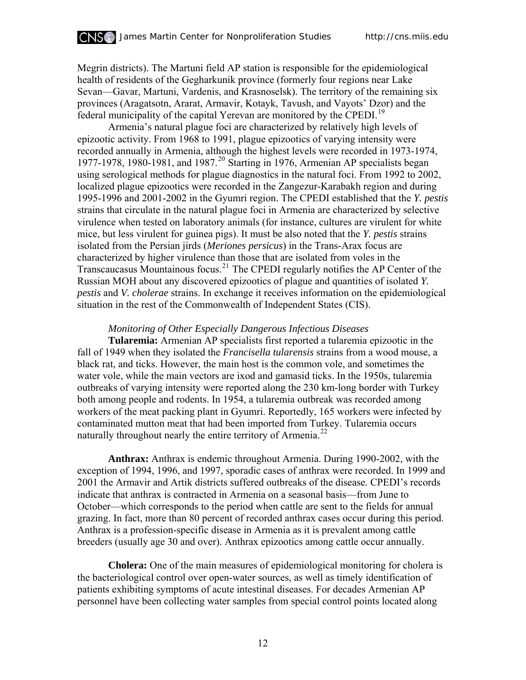Megrin districts). The Martuni field AP station is responsible for the epidemiological health of residents of the Gegharkunik province (formerly four regions near Lake Sevan—Gavar, Martuni, Vardenis, and Krasnoselsk). The territory of the remaining six provinces (Aragatsotn, Ararat, Armavir, Kotayk, Tavush, and Vayots' Dzor) and the federal municipality of the capital Yerevan are monitored by the CPEDI.<sup>[19](#page-3-1)</sup>

 Armenia's natural plague foci are characterized by relatively high levels of epizootic activity. From 1968 to 1991, plague epizootics of varying intensity were recorded annually in Armenia, although the highest levels were recorded in 1973-1974, 1977-1978, 1980-1981, and 1987.<sup>[20](#page-3-1)</sup> Starting in 1976, Armenian AP specialists began using serological methods for plague diagnostics in the natural foci. From 1992 to 2002, localized plague epizootics were recorded in the Zangezur-Karabakh region and during 1995-1996 and 2001-2002 in the Gyumri region. The CPEDI established that the *Y. pestis* strains that circulate in the natural plague foci in Armenia are characterized by selective virulence when tested on laboratory animals (for instance, cultures are virulent for white mice, but less virulent for guinea pigs). It must be also noted that the *Y. pestis* strains isolated from the Persian jirds (*Meriones persicus*) in the Trans-Arax focus are characterized by higher virulence than those that are isolated from voles in the Transcaucasus Mountainous focus.[21](#page-3-1) The CPEDI regularly notifies the AP Center of the Russian MOH about any discovered epizootics of plague and quantities of isolated *Y. pestis* and *V. cholerae* strains. In exchange it receives information on the epidemiological situation in the rest of the Commonwealth of Independent States (CIS).

### *Monitoring of Other Especially Dangerous Infectious Diseases*

**Tularemia:** Armenian AP specialists first reported a tularemia epizootic in the fall of 1949 when they isolated the *Francisella tularensis* strains from a wood mouse, a black rat, and ticks. However, the main host is the common vole, and sometimes the water vole, while the main vectors are ixod and gamasid ticks. In the 1950s, tularemia outbreaks of varying intensity were reported along the 230 km-long border with Turkey both among people and rodents. In 1954, a tularemia outbreak was recorded among workers of the meat packing plant in Gyumri. Reportedly, 165 workers were infected by contaminated mutton meat that had been imported from Turkey. Tularemia occurs naturally throughout nearly the entire territory of Armenia.<sup>[22](#page-4-0)</sup>

**Anthrax:** Anthrax is endemic throughout Armenia. During 1990-2002, with the exception of 1994, 1996, and 1997, sporadic cases of anthrax were recorded. In 1999 and 2001 the Armavir and Artik districts suffered outbreaks of the disease. CPEDI's records indicate that anthrax is contracted in Armenia on a seasonal basis—from June to October—which corresponds to the period when cattle are sent to the fields for annual grazing. In fact, more than 80 percent of recorded anthrax cases occur during this period. Anthrax is a profession-specific disease in Armenia as it is prevalent among cattle breeders (usually age 30 and over). Anthrax epizootics among cattle occur annually.

**Cholera:** One of the main measures of epidemiological monitoring for cholera is the bacteriological control over open-water sources, as well as timely identification of patients exhibiting symptoms of acute intestinal diseases. For decades Armenian AP personnel have been collecting water samples from special control points located along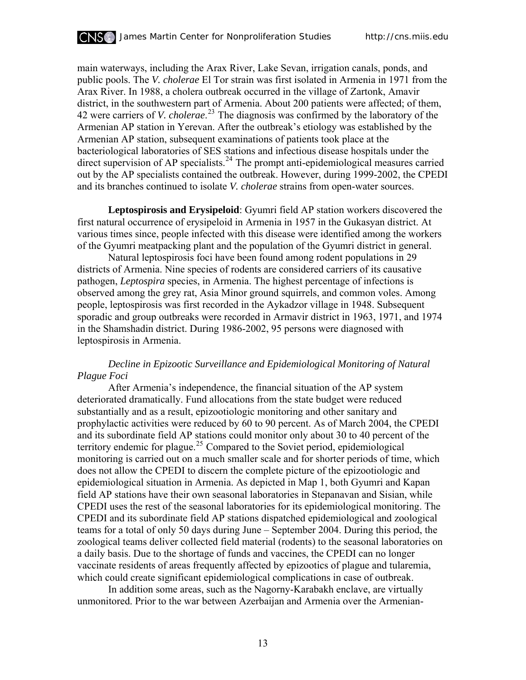main waterways, including the Arax River, Lake Sevan, irrigation canals, ponds, and public pools. The *V. cholerae* El Tor strain was first isolated in Armenia in 1971 from the Arax River. In 1988, a cholera outbreak occurred in the village of Zartonk, Amavir district, in the southwestern part of Armenia. About 200 patients were affected; of them, 42 were carriers of *V. cholerae*. [23](#page-4-0) The diagnosis was confirmed by the laboratory of the Armenian AP station in Yerevan. After the outbreak's etiology was established by the Armenian AP station, subsequent examinations of patients took place at the bacteriological laboratories of SES stations and infectious disease hospitals under the direct supervision of AP specialists.<sup>[24](#page-4-0)</sup> The prompt anti-epidemiological measures carried out by the AP specialists contained the outbreak. However, during 1999-2002, the CPEDI and its branches continued to isolate *V. cholerae* strains from open-water sources.

**Leptospirosis and Erysipeloid**: Gyumri field AP station workers discovered the first natural occurrence of erysipeloid in Armenia in 1957 in the Gukasyan district. At various times since, people infected with this disease were identified among the workers of the Gyumri meatpacking plant and the population of the Gyumri district in general.

 Natural leptospirosis foci have been found among rodent populations in 29 districts of Armenia. Nine species of rodents are considered carriers of its causative pathogen, *Leptospira* species, in Armenia. The highest percentage of infections is observed among the grey rat, Asia Minor ground squirrels, and common voles. Among people, leptospirosis was first recorded in the Aykadzor village in 1948. Subsequent sporadic and group outbreaks were recorded in Armavir district in 1963, 1971, and 1974 in the Shamshadin district. During 1986-2002, 95 persons were diagnosed with leptospirosis in Armenia.

## *Decline in Epizootic Surveillance and Epidemiological Monitoring of Natural Plague Foci*

 After Armenia's independence, the financial situation of the AP system deteriorated dramatically. Fund allocations from the state budget were reduced substantially and as a result, epizootiologic monitoring and other sanitary and prophylactic activities were reduced by 60 to 90 percent. As of March 2004, the CPEDI and its subordinate field AP stations could monitor only about 30 to 40 percent of the territory endemic for plague.<sup>[25](#page-4-0)</sup> Compared to the Soviet period, epidemiological monitoring is carried out on a much smaller scale and for shorter periods of time, which does not allow the CPEDI to discern the complete picture of the epizootiologic and epidemiological situation in Armenia. As depicted in Map 1, both Gyumri and Kapan field AP stations have their own seasonal laboratories in Stepanavan and Sisian, while CPEDI uses the rest of the seasonal laboratories for its epidemiological monitoring. The CPEDI and its subordinate field AP stations dispatched epidemiological and zoological teams for a total of only 50 days during June – September 2004. During this period, the zoological teams deliver collected field material (rodents) to the seasonal laboratories on a daily basis. Due to the shortage of funds and vaccines, the CPEDI can no longer vaccinate residents of areas frequently affected by epizootics of plague and tularemia, which could create significant epidemiological complications in case of outbreak.

In addition some areas, such as the Nagorny-Karabakh enclave, are virtually unmonitored. Prior to the war between Azerbaijan and Armenia over the Armenian-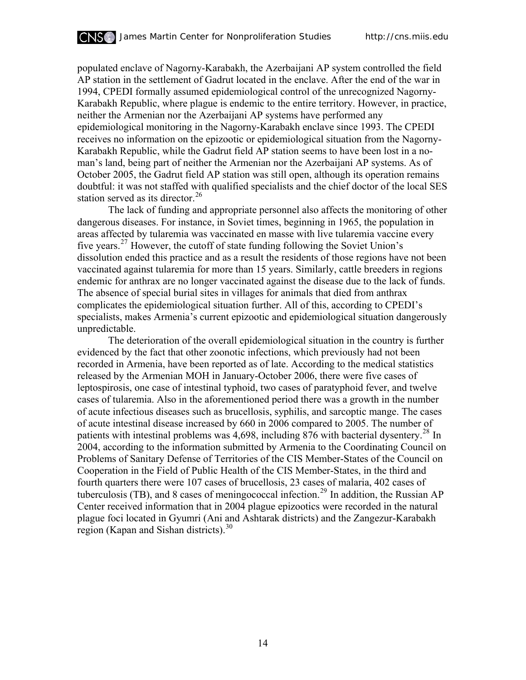populated enclave of Nagorny-Karabakh, the Azerbaijani AP system controlled the field AP station in the settlement of Gadrut located in the enclave. After the end of the war in 1994, CPEDI formally assumed epidemiological control of the unrecognized Nagorny-Karabakh Republic, where plague is endemic to the entire territory. However, in practice, neither the Armenian nor the Azerbaijani AP systems have performed any epidemiological monitoring in the Nagorny-Karabakh enclave since 1993. The CPEDI receives no information on the epizootic or epidemiological situation from the Nagorny-Karabakh Republic, while the Gadrut field AP station seems to have been lost in a noman's land, being part of neither the Armenian nor the Azerbaijani AP systems. As of October 2005, the Gadrut field AP station was still open, although its operation remains doubtful: it was not staffed with qualified specialists and the chief doctor of the local SES station served as its director.<sup>[26](#page-4-0)</sup>

The lack of funding and appropriate personnel also affects the monitoring of other dangerous diseases. For instance, in Soviet times, beginning in 1965, the population in areas affected by tularemia was vaccinated en masse with live tularemia vaccine every five years.[27](#page-4-0) However, the cutoff of state funding following the Soviet Union's dissolution ended this practice and as a result the residents of those regions have not been vaccinated against tularemia for more than 15 years. Similarly, cattle breeders in regions endemic for anthrax are no longer vaccinated against the disease due to the lack of funds. The absence of special burial sites in villages for animals that died from anthrax complicates the epidemiological situation further. All of this, according to CPEDI's specialists, makes Armenia's current epizootic and epidemiological situation dangerously unpredictable.

 The deterioration of the overall epidemiological situation in the country is further evidenced by the fact that other zoonotic infections, which previously had not been recorded in Armenia, have been reported as of late. According to the medical statistics released by the Armenian MOH in January-October 2006, there were five cases of leptospirosis, one case of intestinal typhoid, two cases of paratyphoid fever, and twelve cases of tularemia. Also in the aforementioned period there was a growth in the number of acute infectious diseases such as brucellosis, syphilis, and sarcoptic mange. The cases of acute intestinal disease increased by 660 in 2006 compared to 2005. The number of patients with intestinal problems was 4,698, including 876 with bacterial dysentery.<sup>[28](#page-4-0)</sup> In 2004, according to the information submitted by Armenia to the Coordinating Council on Problems of Sanitary Defense of Territories of the CIS Member-States of the Council on Cooperation in the Field of Public Health of the CIS Member-States, in the third and fourth quarters there were 107 cases of brucellosis, 23 cases of malaria, 402 cases of tuberculosis (TB), and 8 cases of meningococcal infection.<sup>[29](#page-4-0)</sup> In addition, the Russian AP Center received information that in 2004 plague epizootics were recorded in the natural plague foci located in Gyumri (Ani and Ashtarak districts) and the Zangezur-Karabakh region (Kapan and Sishan districts).[30](#page-4-0)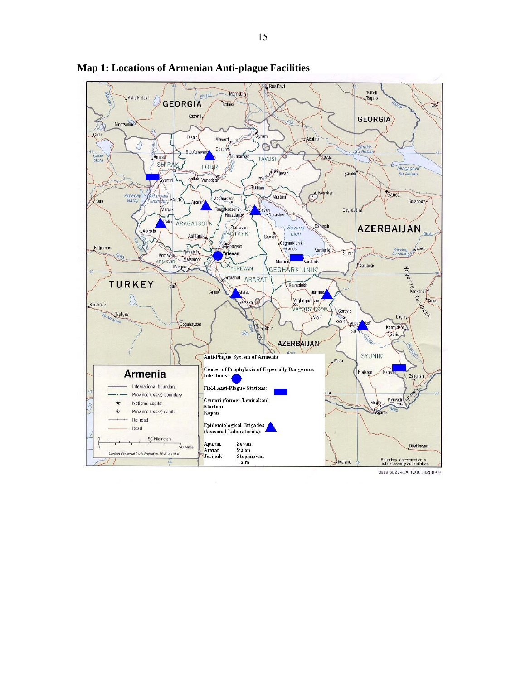

**Map 1: Locations of Armenian Anti-plague Facilities** 

Base 802741AI (C00132) 8-02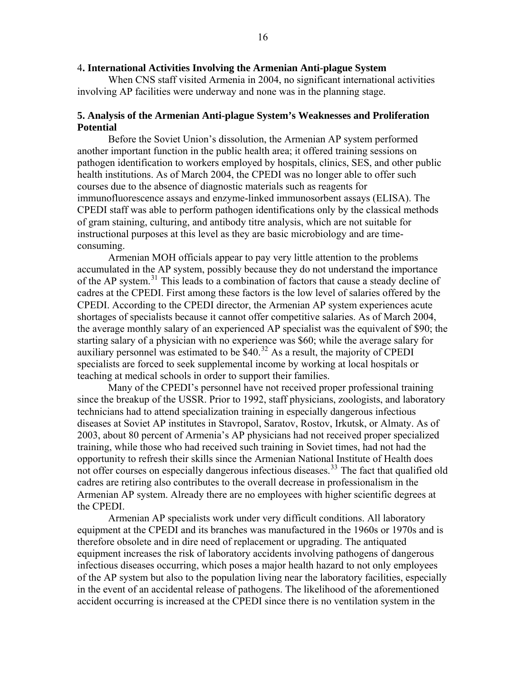#### 4**. International Activities Involving the Armenian Anti-plague System**

 When CNS staff visited Armenia in 2004, no significant international activities involving AP facilities were underway and none was in the planning stage.

#### **5. Analysis of the Armenian Anti-plague System's Weaknesses and Proliferation Potential**

 Before the Soviet Union's dissolution, the Armenian AP system performed another important function in the public health area; it offered training sessions on pathogen identification to workers employed by hospitals, clinics, SES, and other public health institutions. As of March 2004, the CPEDI was no longer able to offer such courses due to the absence of diagnostic materials such as reagents for immunofluorescence assays and enzyme-linked immunosorbent assays (ELISA). The CPEDI staff was able to perform pathogen identifications only by the classical methods of gram staining, culturing, and antibody titre analysis, which are not suitable for instructional purposes at this level as they are basic microbiology and are timeconsuming.

 Armenian MOH officials appear to pay very little attention to the problems accumulated in the AP system, possibly because they do not understand the importance of the AP system.<sup>[31](#page-4-0)</sup> This leads to a combination of factors that cause a steady decline of cadres at the CPEDI. First among these factors is the low level of salaries offered by the CPEDI. According to the CPEDI director, the Armenian AP system experiences acute shortages of specialists because it cannot offer competitive salaries. As of March 2004, the average monthly salary of an experienced AP specialist was the equivalent of \$90; the starting salary of a physician with no experience was \$60; while the average salary for auxiliary personnel was estimated to be  $$40.<sup>32</sup>$  $$40.<sup>32</sup>$  $$40.<sup>32</sup>$  As a result, the majority of CPEDI specialists are forced to seek supplemental income by working at local hospitals or teaching at medical schools in order to support their families.

Many of the CPEDI's personnel have not received proper professional training since the breakup of the USSR. Prior to 1992, staff physicians, zoologists, and laboratory technicians had to attend specialization training in especially dangerous infectious diseases at Soviet AP institutes in Stavropol, Saratov, Rostov, Irkutsk, or Almaty. As of 2003, about 80 percent of Armenia's AP physicians had not received proper specialized training, while those who had received such training in Soviet times, had not had the opportunity to refresh their skills since the Armenian National Institute of Health does not offer courses on especially dangerous infectious diseases.<sup>[33](#page-4-0)</sup> The fact that qualified old cadres are retiring also contributes to the overall decrease in professionalism in the Armenian AP system. Already there are no employees with higher scientific degrees at the CPEDI.

 Armenian AP specialists work under very difficult conditions. All laboratory equipment at the CPEDI and its branches was manufactured in the 1960s or 1970s and is therefore obsolete and in dire need of replacement or upgrading. The antiquated equipment increases the risk of laboratory accidents involving pathogens of dangerous infectious diseases occurring, which poses a major health hazard to not only employees of the AP system but also to the population living near the laboratory facilities, especially in the event of an accidental release of pathogens. The likelihood of the aforementioned accident occurring is increased at the CPEDI since there is no ventilation system in the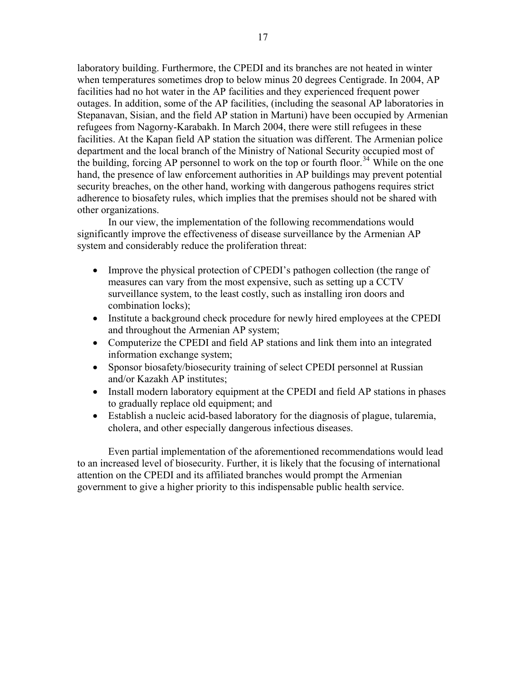laboratory building. Furthermore, the CPEDI and its branches are not heated in winter when temperatures sometimes drop to below minus 20 degrees Centigrade. In 2004, AP facilities had no hot water in the AP facilities and they experienced frequent power outages. In addition, some of the AP facilities, (including the seasonal AP laboratories in Stepanavan, Sisian, and the field AP station in Martuni) have been occupied by Armenian refugees from Nagorny-Karabakh. In March 2004, there were still refugees in these facilities. At the Kapan field AP station the situation was different. The Armenian police department and the local branch of the Ministry of National Security occupied most of the building, forcing AP personnel to work on the top or fourth floor.<sup>[34](#page-4-0)</sup> While on the one hand, the presence of law enforcement authorities in AP buildings may prevent potential security breaches, on the other hand, working with dangerous pathogens requires strict adherence to biosafety rules, which implies that the premises should not be shared with other organizations.

 In our view, the implementation of the following recommendations would significantly improve the effectiveness of disease surveillance by the Armenian AP system and considerably reduce the proliferation threat:

- Improve the physical protection of CPEDI's pathogen collection (the range of measures can vary from the most expensive, such as setting up a CCTV surveillance system, to the least costly, such as installing iron doors and combination locks);
- Institute a background check procedure for newly hired employees at the CPEDI and throughout the Armenian AP system;
- Computerize the CPEDI and field AP stations and link them into an integrated information exchange system;
- Sponsor biosafety/biosecurity training of select CPEDI personnel at Russian and/or Kazakh AP institutes;
- Install modern laboratory equipment at the CPEDI and field AP stations in phases to gradually replace old equipment; and
- Establish a nucleic acid-based laboratory for the diagnosis of plague, tularemia, cholera, and other especially dangerous infectious diseases.

Even partial implementation of the aforementioned recommendations would lead to an increased level of biosecurity. Further, it is likely that the focusing of international attention on the CPEDI and its affiliated branches would prompt the Armenian government to give a higher priority to this indispensable public health service.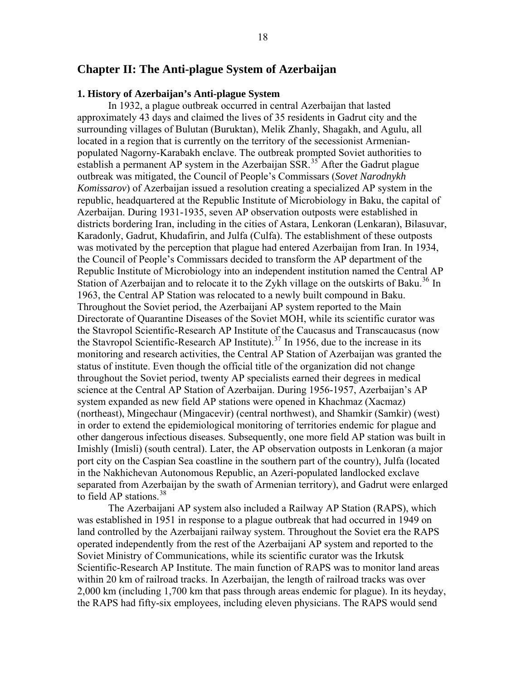## **Chapter II: The Anti-plague System of Azerbaijan**

#### **1. History of Azerbaijan's Anti-plague System**

 In 1932, a plague outbreak occurred in central Azerbaijan that lasted approximately 43 days and claimed the lives of 35 residents in Gadrut city and the surrounding villages of Bulutan (Buruktan), Melik Zhanly, Shagakh, and Agulu, all located in a region that is currently on the territory of the secessionist Armenianpopulated Nagorny-Karabakh enclave. The outbreak prompted Soviet authorities to establish a permanent AP system in the Azerbaijan SSR.<sup>[35](#page-4-0)</sup> After the Gadrut plague outbreak was mitigated, the Council of People's Commissars (*Sovet Narodnykh Komissarov*) of Azerbaijan issued a resolution creating a specialized AP system in the republic, headquartered at the Republic Institute of Microbiology in Baku, the capital of Azerbaijan. During 1931-1935, seven AP observation outposts were established in districts bordering Iran, including in the cities of Astara, Lenkoran (Lenkaran), Bilasuvar, Karadonly, Gadrut, Khudafirin, and Julfa (Culfa). The establishment of these outposts was motivated by the perception that plague had entered Azerbaijan from Iran. In 1934, the Council of People's Commissars decided to transform the AP department of the Republic Institute of Microbiology into an independent institution named the Central AP Station of Azerbaijan and to relocate it to the Zykh village on the outskirts of Baku.<sup>[36](#page-4-0)</sup> In 1963, the Central AP Station was relocated to a newly built compound in Baku. Throughout the Soviet period, the Azerbaijani AP system reported to the Main Directorate of Quarantine Diseases of the Soviet MOH, while its scientific curator was the Stavropol Scientific-Research AP Institute of the Caucasus and Transcaucasus (now the Stavropol Scientific-Research AP Institute).<sup>[37](#page-5-0)</sup> In 1956, due to the increase in its monitoring and research activities, the Central AP Station of Azerbaijan was granted the status of institute. Even though the official title of the organization did not change throughout the Soviet period, twenty AP specialists earned their degrees in medical science at the Central AP Station of Azerbaijan. During 1956-1957, Azerbaijan's AP system expanded as new field AP stations were opened in Khachmaz (Xacmaz) (northeast), Mingechaur (Mingacevir) (central northwest), and Shamkir (Samkir) (west) in order to extend the epidemiological monitoring of territories endemic for plague and other dangerous infectious diseases. Subsequently, one more field AP station was built in Imishly (Imisli) (south central). Later, the AP observation outposts in Lenkoran (a major port city on the Caspian Sea coastline in the southern part of the country), Julfa (located in the Nakhichevan Autonomous Republic, an Azeri-populated landlocked exclave separated from Azerbaijan by the swath of Armenian territory), and Gadrut were enlarged to field AP stations.<sup>[38](#page-5-0)</sup>

The Azerbaijani AP system also included a Railway AP Station (RAPS), which was established in 1951 in response to a plague outbreak that had occurred in 1949 on land controlled by the Azerbaijani railway system. Throughout the Soviet era the RAPS operated independently from the rest of the Azerbaijani AP system and reported to the Soviet Ministry of Communications, while its scientific curator was the Irkutsk Scientific-Research AP Institute. The main function of RAPS was to monitor land areas within 20 km of railroad tracks. In Azerbaijan, the length of railroad tracks was over 2,000 km (including 1,700 km that pass through areas endemic for plague). In its heyday, the RAPS had fifty-six employees, including eleven physicians. The RAPS would send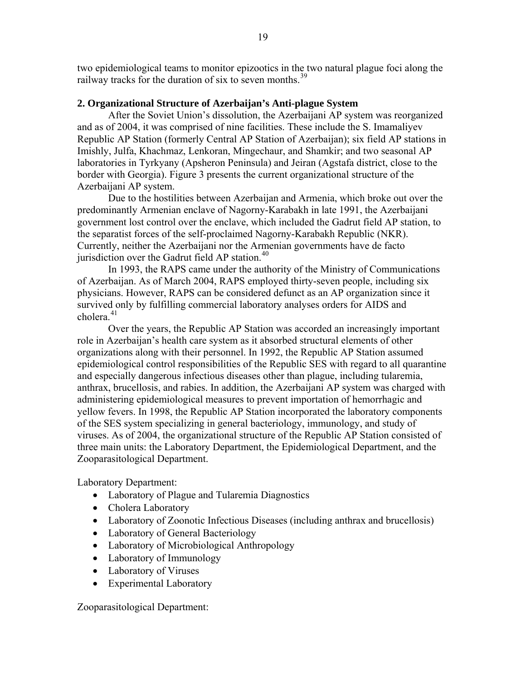two epidemiological teams to monitor epizootics in the two natural plague foci along the railway tracks for the duration of six to seven months.<sup>[39](#page-5-0)</sup>

### **2. Organizational Structure of Azerbaijan's Anti-plague System**

After the Soviet Union's dissolution, the Azerbaijani AP system was reorganized and as of 2004, it was comprised of nine facilities. These include the S. Imamaliyev Republic AP Station (formerly Central AP Station of Azerbaijan); six field AP stations in Imishly, Julfa, Khachmaz, Lenkoran, Mingechaur, and Shamkir; and two seasonal AP laboratories in Tyrkyany (Apsheron Peninsula) and Jeiran (Agstafa district, close to the border with Georgia). Figure 3 presents the current organizational structure of the Azerbaijani AP system.

Due to the hostilities between Azerbaijan and Armenia, which broke out over the predominantly Armenian enclave of Nagorny-Karabakh in late 1991, the Azerbaijani government lost control over the enclave, which included the Gadrut field AP station, to the separatist forces of the self-proclaimed Nagorny-Karabakh Republic (NKR). Currently, neither the Azerbaijani nor the Armenian governments have de facto jurisdiction over the Gadrut field AP station. $40$ 

In 1993, the RAPS came under the authority of the Ministry of Communications of Azerbaijan. As of March 2004, RAPS employed thirty-seven people, including six physicians. However, RAPS can be considered defunct as an AP organization since it survived only by fulfilling commercial laboratory analyses orders for AIDS and cholera $41$ 

Over the years, the Republic AP Station was accorded an increasingly important role in Azerbaijan's health care system as it absorbed structural elements of other organizations along with their personnel. In 1992, the Republic AP Station assumed epidemiological control responsibilities of the Republic SES with regard to all quarantine and especially dangerous infectious diseases other than plague, including tularemia, anthrax, brucellosis, and rabies. In addition, the Azerbaijani AP system was charged with administering epidemiological measures to prevent importation of hemorrhagic and yellow fevers. In 1998, the Republic AP Station incorporated the laboratory components of the SES system specializing in general bacteriology, immunology, and study of viruses. As of 2004, the organizational structure of the Republic AP Station consisted of three main units: the Laboratory Department, the Epidemiological Department, and the Zooparasitological Department.

Laboratory Department:

- Laboratory of Plague and Tularemia Diagnostics
- Cholera Laboratory
- Laboratory of Zoonotic Infectious Diseases (including anthrax and brucellosis)
- Laboratory of General Bacteriology
- Laboratory of Microbiological Anthropology
- Laboratory of Immunology
- Laboratory of Viruses
- Experimental Laboratory

Zooparasitological Department: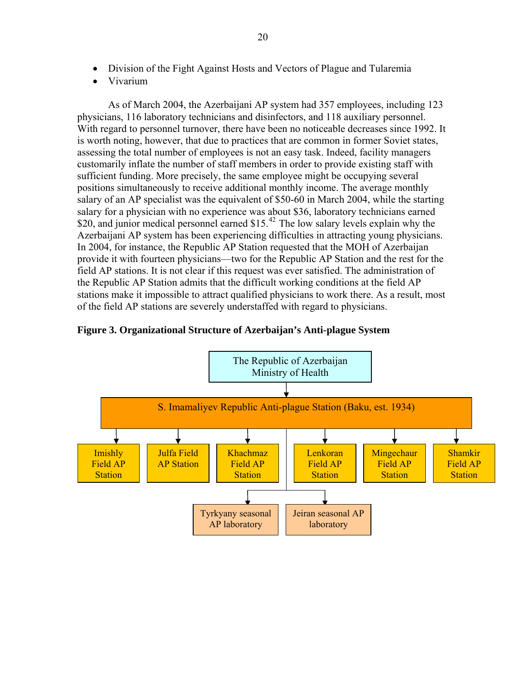- Division of the Fight Against Hosts and Vectors of Plague and Tularemia
- Vivarium

As of March 2004, the Azerbaijani AP system had 357 employees, including 123 physicians, 116 laboratory technicians and disinfectors, and 118 auxiliary personnel. With regard to personnel turnover, there have been no noticeable decreases since 1992. It is worth noting, however, that due to practices that are common in former Soviet states, assessing the total number of employees is not an easy task. Indeed, facility managers customarily inflate the number of staff members in order to provide existing staff with sufficient funding. More precisely, the same employee might be occupying several positions simultaneously to receive additional monthly income. The average monthly salary of an AP specialist was the equivalent of \$50-60 in March 2004, while the starting salary for a physician with no experience was about \$36, laboratory technicians earned \$20, and junior medical personnel earned \$15.<sup>[42](#page-5-0)</sup> The low salary levels explain why the Azerbaijani AP system has been experiencing difficulties in attracting young physicians. In 2004, for instance, the Republic AP Station requested that the MOH of Azerbaijan provide it with fourteen physicians—two for the Republic AP Station and the rest for the field AP stations. It is not clear if this request was ever satisfied. The administration of the Republic AP Station admits that the difficult working conditions at the field AP stations make it impossible to attract qualified physicians to work there. As a result, most of the field AP stations are severely understaffed with regard to physicians.



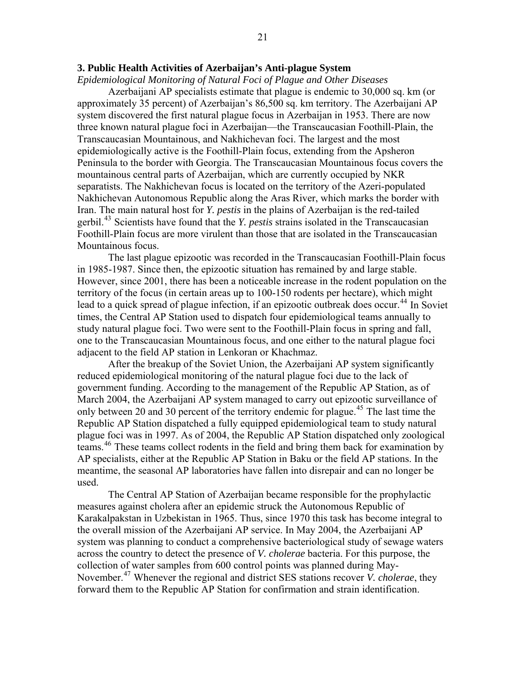#### **3. Public Health Activities of Azerbaijan's Anti-plague System**

*Epidemiological Monitoring of Natural Foci of Plague and Other Diseases* 

 Azerbaijani AP specialists estimate that plague is endemic to 30,000 sq. km (or approximately 35 percent) of Azerbaijan's 86,500 sq. km territory. The Azerbaijani AP system discovered the first natural plague focus in Azerbaijan in 1953. There are now three known natural plague foci in Azerbaijan—the Transcaucasian Foothill-Plain, the Transcaucasian Mountainous, and Nakhichevan foci. The largest and the most epidemiologically active is the Foothill-Plain focus, extending from the Apsheron Peninsula to the border with Georgia. The Transcaucasian Mountainous focus covers the mountainous central parts of Azerbaijan, which are currently occupied by NKR separatists. The Nakhichevan focus is located on the territory of the Azeri-populated Nakhichevan Autonomous Republic along the Aras River, which marks the border with Iran. The main natural host for *Y. pestis* in the plains of Azerbaijan is the red-tailed gerbil.[43](#page-5-0) Scientists have found that the *Y. pestis* strains isolated in the Transcaucasian Foothill-Plain focus are more virulent than those that are isolated in the Transcaucasian Mountainous focus.

 The last plague epizootic was recorded in the Transcaucasian Foothill-Plain focus in 1985-1987. Since then, the epizootic situation has remained by and large stable. However, since 2001, there has been a noticeable increase in the rodent population on the territory of the focus (in certain areas up to 100-150 rodents per hectare), which might lead to a quick spread of plague infection, if an epizootic outbreak does occur.<sup>[44](#page-5-0)</sup> In Soviet times, the Central AP Station used to dispatch four epidemiological teams annually to study natural plague foci. Two were sent to the Foothill-Plain focus in spring and fall, one to the Transcaucasian Mountainous focus, and one either to the natural plague foci adjacent to the field AP station in Lenkoran or Khachmaz.

 After the breakup of the Soviet Union, the Azerbaijani AP system significantly reduced epidemiological monitoring of the natural plague foci due to the lack of government funding. According to the management of the Republic AP Station, as of March 2004, the Azerbaijani AP system managed to carry out epizootic surveillance of only between 20 and 30 percent of the territory endemic for plague.<sup>[45](#page-5-0)</sup> The last time the Republic AP Station dispatched a fully equipped epidemiological team to study natural plague foci was in 1997. As of 2004, the Republic AP Station dispatched only zoological teams.<sup>[46](#page-5-0)</sup> These teams collect rodents in the field and bring them back for examination by AP specialists, either at the Republic AP Station in Baku or the field AP stations. In the meantime, the seasonal AP laboratories have fallen into disrepair and can no longer be used.

The Central AP Station of Azerbaijan became responsible for the prophylactic measures against cholera after an epidemic struck the Autonomous Republic of Karakalpakstan in Uzbekistan in 1965. Thus, since 1970 this task has become integral to the overall mission of the Azerbaijani AP service. In May 2004, the Azerbaijani AP system was planning to conduct a comprehensive bacteriological study of sewage waters across the country to detect the presence of *V. cholerae* bacteria. For this purpose, the collection of water samples from 600 control points was planned during May-November.[47](#page-5-0) Whenever the regional and district SES stations recover *V. cholerae*, they forward them to the Republic AP Station for confirmation and strain identification.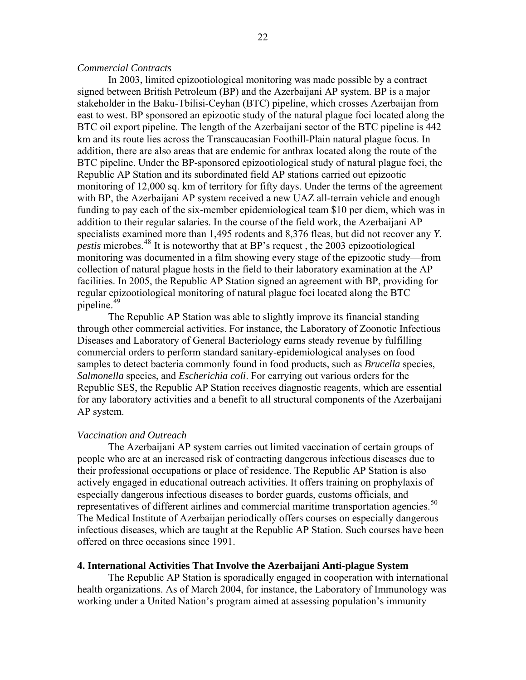#### *Commercial Contracts*

 In 2003, limited epizootiological monitoring was made possible by a contract signed between British Petroleum (BP) and the Azerbaijani AP system. BP is a major stakeholder in the Baku-Tbilisi-Ceyhan (BTC) pipeline, which crosses Azerbaijan from east to west. BP sponsored an epizootic study of the natural plague foci located along the BTC oil export pipeline. The length of the Azerbaijani sector of the BTC pipeline is 442 km and its route lies across the Transcaucasian Foothill-Plain natural plague focus. In addition, there are also areas that are endemic for anthrax located along the route of the BTC pipeline. Under the BP-sponsored epizootiological study of natural plague foci, the Republic AP Station and its subordinated field AP stations carried out epizootic monitoring of 12,000 sq. km of territory for fifty days. Under the terms of the agreement with BP, the Azerbaijani AP system received a new UAZ all-terrain vehicle and enough funding to pay each of the six-member epidemiological team \$10 per diem, which was in addition to their regular salaries. In the course of the field work, the Azerbaijani AP specialists examined more than 1,495 rodents and 8,376 fleas, but did not recover any *Y. pestis* microbes.<sup>[48](#page-5-0)</sup> It is noteworthy that at BP's request, the 2003 epizootiological monitoring was documented in a film showing every stage of the epizootic study—from collection of natural plague hosts in the field to their laboratory examination at the AP facilities. In 2005, the Republic AP Station signed an agreement with BP, providing for regular epizootiological monitoring of natural plague foci located along the BTC pipeline.<sup>[49](#page-5-0)</sup>

 The Republic AP Station was able to slightly improve its financial standing through other commercial activities. For instance, the Laboratory of Zoonotic Infectious Diseases and Laboratory of General Bacteriology earns steady revenue by fulfilling commercial orders to perform standard sanitary-epidemiological analyses on food samples to detect bacteria commonly found in food products, such as *Brucella* species, *Salmonella* species, and *Escherichia coli*. For carrying out various orders for the Republic SES, the Republic AP Station receives diagnostic reagents, which are essential for any laboratory activities and a benefit to all structural components of the Azerbaijani AP system.

#### *Vaccination and Outreach*

The Azerbaijani AP system carries out limited vaccination of certain groups of people who are at an increased risk of contracting dangerous infectious diseases due to their professional occupations or place of residence. The Republic AP Station is also actively engaged in educational outreach activities. It offers training on prophylaxis of especially dangerous infectious diseases to border guards, customs officials, and representatives of different airlines and commercial maritime transportation agencies.<sup>[50](#page-5-0)</sup> The Medical Institute of Azerbaijan periodically offers courses on especially dangerous infectious diseases, which are taught at the Republic AP Station. Such courses have been offered on three occasions since 1991.

#### **4. International Activities That Involve the Azerbaijani Anti-plague System**

The Republic AP Station is sporadically engaged in cooperation with international health organizations. As of March 2004, for instance, the Laboratory of Immunology was working under a United Nation's program aimed at assessing population's immunity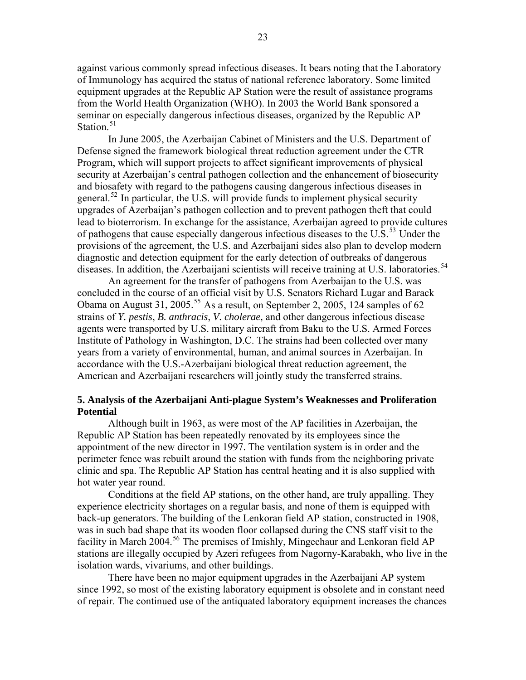against various commonly spread infectious diseases. It bears noting that the Laboratory of Immunology has acquired the status of national reference laboratory. Some limited equipment upgrades at the Republic AP Station were the result of assistance programs from the World Health Organization (WHO). In 2003 the World Bank sponsored a seminar on especially dangerous infectious diseases, organized by the Republic AP Station. $51$ 

In June 2005, the Azerbaijan Cabinet of Ministers and the U.S. Department of Defense signed the framework biological threat reduction agreement under the CTR Program, which will support projects to affect significant improvements of physical security at Azerbaijan's central pathogen collection and the enhancement of biosecurity and biosafety with regard to the pathogens causing dangerous infectious diseases in general.<sup>[52](#page-5-0)</sup> In particular, the U.S. will provide funds to implement physical security upgrades of Azerbaijan's pathogen collection and to prevent pathogen theft that could lead to bioterrorism. In exchange for the assistance, Azerbaijan agreed to provide cultures of pathogens that cause especially dangerous infectious diseases to the U.S.<sup>[53](#page-5-0)</sup> Under the provisions of the agreement, the U.S. and Azerbaijani sides also plan to develop modern diagnostic and detection equipment for the early detection of outbreaks of dangerous diseases. In addition, the Azerbaijani scientists will receive training at U.S. laboratories.<sup>[54](#page-5-0)</sup>

An agreement for the transfer of pathogens from Azerbaijan to the U.S. was concluded in the course of an official visit by U.S. Senators Richard Lugar and Barack Obama on August 31, 2005.<sup>[55](#page-5-0)</sup> As a result, on September 2, 2005, 124 samples of 62 strains of *Y. pestis*, *B. anthracis*, *V. cholerae,* and other dangerous infectious disease agents were transported by U.S. military aircraft from Baku to the U.S. Armed Forces Institute of Pathology in Washington, D.C. The strains had been collected over many years from a variety of environmental, human, and animal sources in Azerbaijan. In accordance with the U.S.-Azerbaijani biological threat reduction agreement, the American and Azerbaijani researchers will jointly study the transferred strains.

#### **5. Analysis of the Azerbaijani Anti-plague System's Weaknesses and Proliferation Potential**

 Although built in 1963, as were most of the AP facilities in Azerbaijan, the Republic AP Station has been repeatedly renovated by its employees since the appointment of the new director in 1997. The ventilation system is in order and the perimeter fence was rebuilt around the station with funds from the neighboring private clinic and spa. The Republic AP Station has central heating and it is also supplied with hot water year round.

Conditions at the field AP stations, on the other hand, are truly appalling. They experience electricity shortages on a regular basis, and none of them is equipped with back-up generators. The building of the Lenkoran field AP station, constructed in 1908, was in such bad shape that its wooden floor collapsed during the CNS staff visit to the facility in March 2004.<sup>[56](#page-5-0)</sup> The premises of Imishly, Mingechaur and Lenkoran field AP stations are illegally occupied by Azeri refugees from Nagorny-Karabakh, who live in the isolation wards, vivariums, and other buildings.

There have been no major equipment upgrades in the Azerbaijani AP system since 1992, so most of the existing laboratory equipment is obsolete and in constant need of repair. The continued use of the antiquated laboratory equipment increases the chances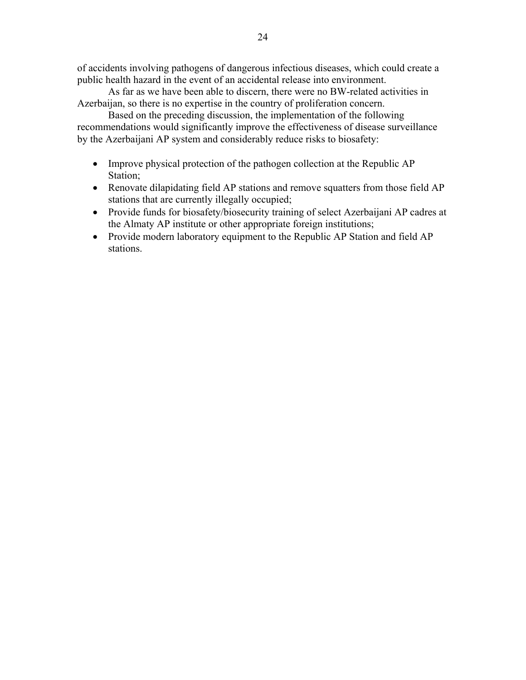of accidents involving pathogens of dangerous infectious diseases, which could create a public health hazard in the event of an accidental release into environment.

As far as we have been able to discern, there were no BW-related activities in Azerbaijan, so there is no expertise in the country of proliferation concern.

Based on the preceding discussion, the implementation of the following recommendations would significantly improve the effectiveness of disease surveillance by the Azerbaijani AP system and considerably reduce risks to biosafety:

- Improve physical protection of the pathogen collection at the Republic AP Station;
- Renovate dilapidating field AP stations and remove squatters from those field AP stations that are currently illegally occupied;
- Provide funds for biosafety/biosecurity training of select Azerbaijani AP cadres at the Almaty AP institute or other appropriate foreign institutions;
- Provide modern laboratory equipment to the Republic AP Station and field AP stations.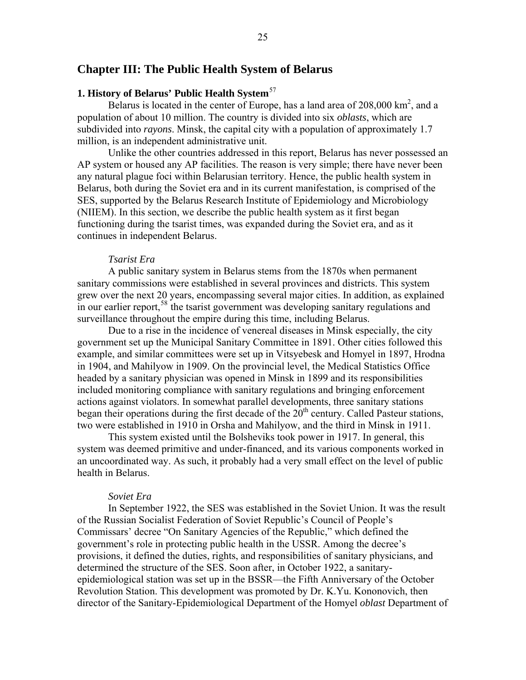#### **Chapter III: The Public Health System of Belarus**

# **1. History of Belarus' Public Health System**[57](#page-5-0)

Belarus is located in the center of Europe, has a land area of  $208,000 \text{ km}^2$ , and a population of about 10 million. The country is divided into six *oblasts*, which are subdivided into *rayons*. Minsk, the capital city with a population of approximately 1.7 million, is an independent administrative unit.

Unlike the other countries addressed in this report, Belarus has never possessed an AP system or housed any AP facilities. The reason is very simple; there have never been any natural plague foci within Belarusian territory. Hence, the public health system in Belarus, both during the Soviet era and in its current manifestation, is comprised of the SES, supported by the Belarus Research Institute of Epidemiology and Microbiology (NIIEM). In this section, we describe the public health system as it first began functioning during the tsarist times, was expanded during the Soviet era, and as it continues in independent Belarus.

#### *Tsarist Era*

 A public sanitary system in Belarus stems from the 1870s when permanent sanitary commissions were established in several provinces and districts. This system grew over the next 20 years, encompassing several major cities. In addition, as explained in our earlier report,<sup>[58](#page-5-0)</sup> the tsarist government was developing sanitary regulations and surveillance throughout the empire during this time, including Belarus.

 Due to a rise in the incidence of venereal diseases in Minsk especially, the city government set up the Municipal Sanitary Committee in 1891. Other cities followed this example, and similar committees were set up in Vitsyebesk and Homyel in 1897, Hrodna in 1904, and Mahilyow in 1909. On the provincial level, the Medical Statistics Office headed by a sanitary physician was opened in Minsk in 1899 and its responsibilities included monitoring compliance with sanitary regulations and bringing enforcement actions against violators. In somewhat parallel developments, three sanitary stations began their operations during the first decade of the  $20<sup>th</sup>$  century. Called Pasteur stations, two were established in 1910 in Orsha and Mahilyow, and the third in Minsk in 1911.

 This system existed until the Bolsheviks took power in 1917. In general, this system was deemed primitive and under-financed, and its various components worked in an uncoordinated way. As such, it probably had a very small effect on the level of public health in Belarus.

#### *Soviet Era*

 In September 1922, the SES was established in the Soviet Union. It was the result of the Russian Socialist Federation of Soviet Republic's Council of People's Commissars' decree "On Sanitary Agencies of the Republic," which defined the government's role in protecting public health in the USSR. Among the decree's provisions, it defined the duties, rights, and responsibilities of sanitary physicians, and determined the structure of the SES. Soon after, in October 1922, a sanitaryepidemiological station was set up in the BSSR—the Fifth Anniversary of the October Revolution Station. This development was promoted by Dr. K.Yu. Kononovich, then director of the Sanitary-Epidemiological Department of the Homyel *oblast* Department of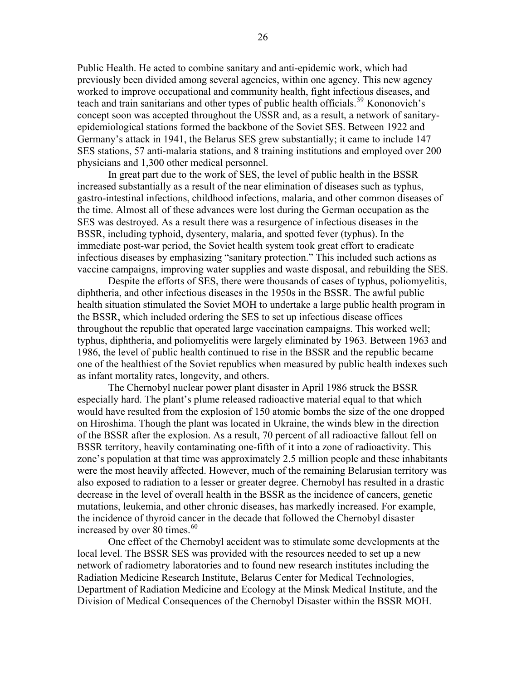Public Health. He acted to combine sanitary and anti-epidemic work, which had previously been divided among several agencies, within one agency. This new agency worked to improve occupational and community health, fight infectious diseases, and teach and train sanitarians and other types of public health officials.<sup>[59](#page-5-0)</sup> Kononovich's concept soon was accepted throughout the USSR and, as a result, a network of sanitaryepidemiological stations formed the backbone of the Soviet SES. Between 1922 and Germany's attack in 1941, the Belarus SES grew substantially; it came to include 147 SES stations, 57 anti-malaria stations, and 8 training institutions and employed over 200 physicians and 1,300 other medical personnel.

In great part due to the work of SES, the level of public health in the BSSR increased substantially as a result of the near elimination of diseases such as typhus, gastro-intestinal infections, childhood infections, malaria, and other common diseases of the time. Almost all of these advances were lost during the German occupation as the SES was destroyed. As a result there was a resurgence of infectious diseases in the BSSR, including typhoid, dysentery, malaria, and spotted fever (typhus). In the immediate post-war period, the Soviet health system took great effort to eradicate infectious diseases by emphasizing "sanitary protection." This included such actions as vaccine campaigns, improving water supplies and waste disposal, and rebuilding the SES.

 Despite the efforts of SES, there were thousands of cases of typhus, poliomyelitis, diphtheria, and other infectious diseases in the 1950s in the BSSR. The awful public health situation stimulated the Soviet MOH to undertake a large public health program in the BSSR, which included ordering the SES to set up infectious disease offices throughout the republic that operated large vaccination campaigns. This worked well; typhus, diphtheria, and poliomyelitis were largely eliminated by 1963. Between 1963 and 1986, the level of public health continued to rise in the BSSR and the republic became one of the healthiest of the Soviet republics when measured by public health indexes such as infant mortality rates, longevity, and others.

The Chernobyl nuclear power plant disaster in April 1986 struck the BSSR especially hard. The plant's plume released radioactive material equal to that which would have resulted from the explosion of 150 atomic bombs the size of the one dropped on Hiroshima. Though the plant was located in Ukraine, the winds blew in the direction of the BSSR after the explosion. As a result, 70 percent of all radioactive fallout fell on BSSR territory, heavily contaminating one-fifth of it into a zone of radioactivity. This zone's population at that time was approximately 2.5 million people and these inhabitants were the most heavily affected. However, much of the remaining Belarusian territory was also exposed to radiation to a lesser or greater degree. Chernobyl has resulted in a drastic decrease in the level of overall health in the BSSR as the incidence of cancers, genetic mutations, leukemia, and other chronic diseases, has markedly increased. For example, the incidence of thyroid cancer in the decade that followed the Chernobyl disaster increased by over 80 times.<sup>[60](#page-5-0)</sup>

 One effect of the Chernobyl accident was to stimulate some developments at the local level. The BSSR SES was provided with the resources needed to set up a new network of radiometry laboratories and to found new research institutes including the Radiation Medicine Research Institute, Belarus Center for Medical Technologies, Department of Radiation Medicine and Ecology at the Minsk Medical Institute, and the Division of Medical Consequences of the Chernobyl Disaster within the BSSR MOH.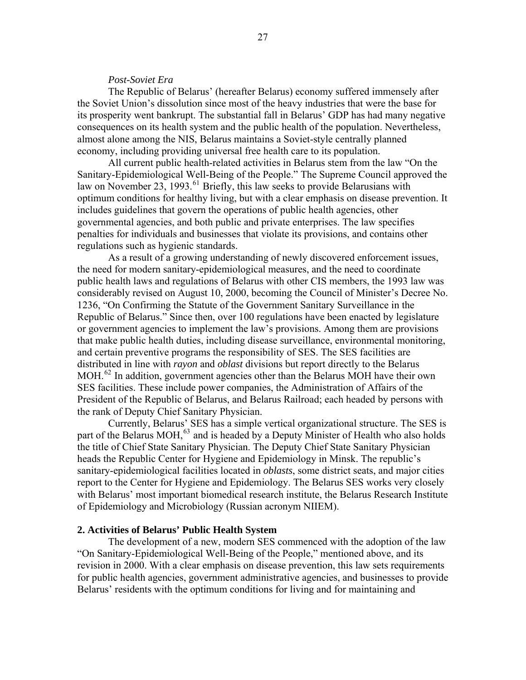#### *Post-Soviet Era*

The Republic of Belarus' (hereafter Belarus) economy suffered immensely after the Soviet Union's dissolution since most of the heavy industries that were the base for its prosperity went bankrupt. The substantial fall in Belarus' GDP has had many negative consequences on its health system and the public health of the population. Nevertheless, almost alone among the NIS, Belarus maintains a Soviet-style centrally planned economy, including providing universal free health care to its population.

 All current public health-related activities in Belarus stem from the law "On the Sanitary-Epidemiological Well-Being of the People." The Supreme Council approved the law on November 23, 1993.<sup>[61](#page-6-0)</sup> Briefly, this law seeks to provide Belarusians with optimum conditions for healthy living, but with a clear emphasis on disease prevention. It includes guidelines that govern the operations of public health agencies, other governmental agencies, and both public and private enterprises. The law specifies penalties for individuals and businesses that violate its provisions, and contains other regulations such as hygienic standards.

 As a result of a growing understanding of newly discovered enforcement issues, the need for modern sanitary-epidemiological measures, and the need to coordinate public health laws and regulations of Belarus with other CIS members, the 1993 law was considerably revised on August 10, 2000, becoming the Council of Minister's Decree No. 1236, "On Confirming the Statute of the Government Sanitary Surveillance in the Republic of Belarus." Since then, over 100 regulations have been enacted by legislature or government agencies to implement the law's provisions. Among them are provisions that make public health duties, including disease surveillance, environmental monitoring, and certain preventive programs the responsibility of SES. The SES facilities are distributed in line with *rayon* and *oblast* divisions but report directly to the Belarus MOH.<sup>[62](#page-6-0)</sup> In addition, government agencies other than the Belarus MOH have their own SES facilities. These include power companies, the Administration of Affairs of the President of the Republic of Belarus, and Belarus Railroad; each headed by persons with the rank of Deputy Chief Sanitary Physician.

 Currently, Belarus' SES has a simple vertical organizational structure. The SES is part of the Belarus MOH,<sup>[63](#page-6-0)</sup> and is headed by a Deputy Minister of Health who also holds the title of Chief State Sanitary Physician. The Deputy Chief State Sanitary Physician heads the Republic Center for Hygiene and Epidemiology in Minsk. The republic's sanitary-epidemiological facilities located in *oblasts*, some district seats, and major cities report to the Center for Hygiene and Epidemiology. The Belarus SES works very closely with Belarus' most important biomedical research institute, the Belarus Research Institute of Epidemiology and Microbiology (Russian acronym NIIEM).

#### **2. Activities of Belarus' Public Health System**

The development of a new, modern SES commenced with the adoption of the law "On Sanitary-Epidemiological Well-Being of the People," mentioned above, and its revision in 2000. With a clear emphasis on disease prevention, this law sets requirements for public health agencies, government administrative agencies, and businesses to provide Belarus' residents with the optimum conditions for living and for maintaining and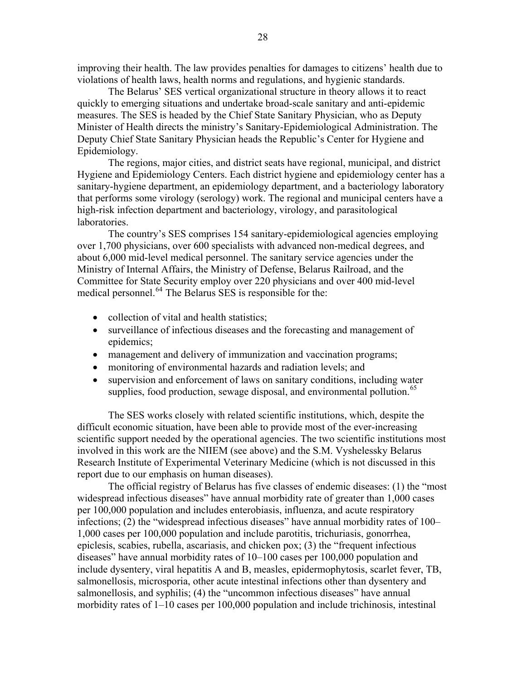improving their health. The law provides penalties for damages to citizens' health due to violations of health laws, health norms and regulations, and hygienic standards.

The Belarus' SES vertical organizational structure in theory allows it to react quickly to emerging situations and undertake broad-scale sanitary and anti-epidemic measures. The SES is headed by the Chief State Sanitary Physician, who as Deputy Minister of Health directs the ministry's Sanitary-Epidemiological Administration. The Deputy Chief State Sanitary Physician heads the Republic's Center for Hygiene and Epidemiology.

 The regions, major cities, and district seats have regional, municipal, and district Hygiene and Epidemiology Centers. Each district hygiene and epidemiology center has a sanitary-hygiene department, an epidemiology department, and a bacteriology laboratory that performs some virology (serology) work. The regional and municipal centers have a high-risk infection department and bacteriology, virology, and parasitological laboratories.

 The country's SES comprises 154 sanitary-epidemiological agencies employing over 1,700 physicians, over 600 specialists with advanced non-medical degrees, and about 6,000 mid-level medical personnel. The sanitary service agencies under the Ministry of Internal Affairs, the Ministry of Defense, Belarus Railroad, and the Committee for State Security employ over 220 physicians and over 400 mid-level medical personnel.<sup>[64](#page-6-0)</sup> The Belarus SES is responsible for the:

- collection of vital and health statistics;
- surveillance of infectious diseases and the forecasting and management of epidemics;
- management and delivery of immunization and vaccination programs;
- monitoring of environmental hazards and radiation levels; and
- supervision and enforcement of laws on sanitary conditions, including water supplies, food production, sewage disposal, and environmental pollution.<sup>[65](#page-6-0)</sup>

The SES works closely with related scientific institutions, which, despite the difficult economic situation, have been able to provide most of the ever-increasing scientific support needed by the operational agencies. The two scientific institutions most involved in this work are the NIIEM (see above) and the S.M. Vyshelessky Belarus Research Institute of Experimental Veterinary Medicine (which is not discussed in this report due to our emphasis on human diseases).

 The official registry of Belarus has five classes of endemic diseases: (1) the "most widespread infectious diseases" have annual morbidity rate of greater than 1,000 cases per 100,000 population and includes enterobiasis, influenza, and acute respiratory infections; (2) the "widespread infectious diseases" have annual morbidity rates of 100– 1,000 cases per 100,000 population and include parotitis, trichuriasis, gonorrhea, epiclesis, scabies, rubella, ascariasis, and chicken pox; (3) the "frequent infectious diseases" have annual morbidity rates of 10–100 cases per 100,000 population and include dysentery, viral hepatitis A and B, measles, epidermophytosis, scarlet fever, TB, salmonellosis, microsporia, other acute intestinal infections other than dysentery and salmonellosis, and syphilis; (4) the "uncommon infectious diseases" have annual morbidity rates of 1–10 cases per 100,000 population and include trichinosis, intestinal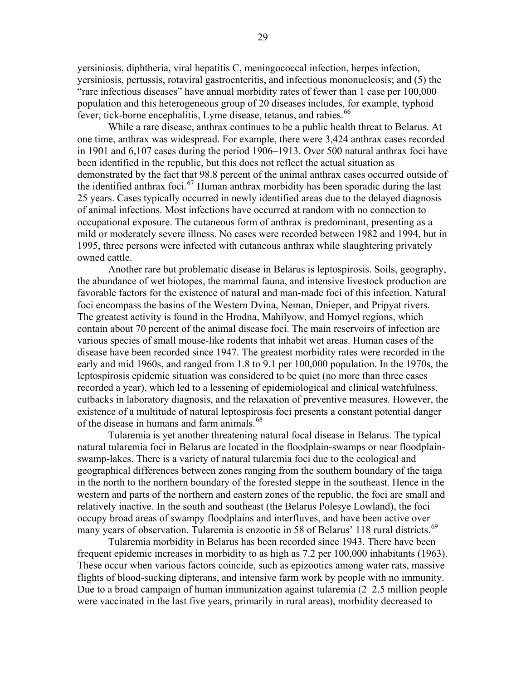yersiniosis, diphtheria, viral hepatitis C, meningococcal infection, herpes infection, yersiniosis, pertussis, rotaviral gastroenteritis, and infectious mononucleosis; and (5) the "rare infectious diseases" have annual morbidity rates of fewer than 1 case per 100,000 population and this heterogeneous group of 20 diseases includes, for example, typhoid fever, tick-borne encephalitis, Lyme disease, tetanus, and rabies.<sup>[66](#page-6-0)</sup>

 While a rare disease, anthrax continues to be a public health threat to Belarus. At one time, anthrax was widespread. For example, there were 3,424 anthrax cases recorded in 1901 and 6,107 cases during the period 1906–1913. Over 500 natural anthrax foci have been identified in the republic, but this does not reflect the actual situation as demonstrated by the fact that 98.8 percent of the animal anthrax cases occurred outside of the identified anthrax foci.<sup>[67](#page-6-0)</sup> Human anthrax morbidity has been sporadic during the last 25 years. Cases typically occurred in newly identified areas due to the delayed diagnosis of animal infections. Most infections have occurred at random with no connection to occupational exposure. The cutaneous form of anthrax is predominant, presenting as a mild or moderately severe illness. No cases were recorded between 1982 and 1994, but in 1995, three persons were infected with cutaneous anthrax while slaughtering privately owned cattle.

 Another rare but problematic disease in Belarus is leptospirosis. Soils, geography, the abundance of wet biotopes, the mammal fauna, and intensive livestock production are favorable factors for the existence of natural and man-made foci of this infection. Natural foci encompass the basins of the Western Dvina, Neman, Dnieper, and Pripyat rivers. The greatest activity is found in the Hrodna, Mahilyow, and Homyel regions, which contain about 70 percent of the animal disease foci. The main reservoirs of infection are various species of small mouse-like rodents that inhabit wet areas. Human cases of the disease have been recorded since 1947. The greatest morbidity rates were recorded in the early and mid 1960s, and ranged from 1.8 to 9.1 per 100,000 population. In the 1970s, the leptospirosis epidemic situation was considered to be quiet (no more than three cases recorded a year), which led to a lessening of epidemiological and clinical watchfulness, cutbacks in laboratory diagnosis, and the relaxation of preventive measures. However, the existence of a multitude of natural leptospirosis foci presents a constant potential danger of the disease in humans and farm animals.<sup>[68](#page-6-0)</sup>

Tularemia is yet another threatening natural focal disease in Belarus. The typical natural tularemia foci in Belarus are located in the floodplain-swamps or near floodplainswamp-lakes. There is a variety of natural tularemia foci due to the ecological and geographical differences between zones ranging from the southern boundary of the taiga in the north to the northern boundary of the forested steppe in the southeast. Hence in the western and parts of the northern and eastern zones of the republic, the foci are small and relatively inactive. In the south and southeast (the Belarus Polesye Lowland), the foci occupy broad areas of swampy floodplains and interfluves, and have been active over many years of observation. Tularemia is enzootic in 58 of Belarus' 118 rural districts.<sup>[69](#page-6-0)</sup>

Tularemia morbidity in Belarus has been recorded since 1943. There have been frequent epidemic increases in morbidity to as high as 7.2 per 100,000 inhabitants (1963). These occur when various factors coincide, such as epizootics among water rats, massive flights of blood-sucking dipterans, and intensive farm work by people with no immunity. Due to a broad campaign of human immunization against tularemia  $(2-2.5$  million people were vaccinated in the last five years, primarily in rural areas), morbidity decreased to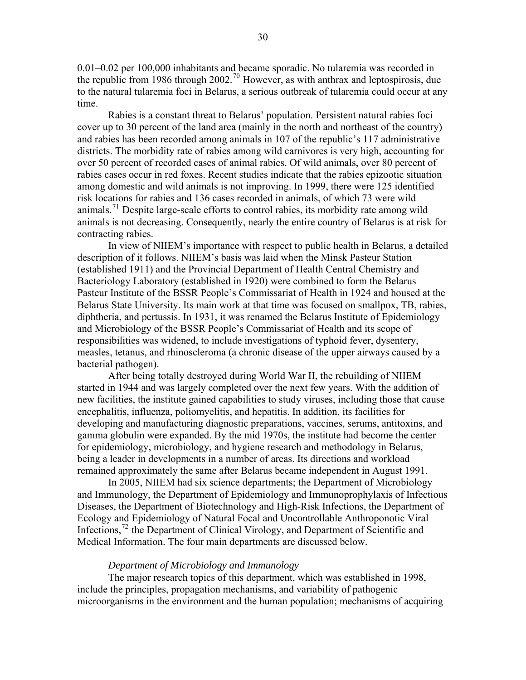0.01–0.02 per 100,000 inhabitants and became sporadic. No tularemia was recorded in the republic from 1986 through 2002.<sup>[70](#page-6-0)</sup> However, as with anthrax and leptospirosis, due to the natural tularemia foci in Belarus, a serious outbreak of tularemia could occur at any time.

Rabies is a constant threat to Belarus' population. Persistent natural rabies foci cover up to 30 percent of the land area (mainly in the north and northeast of the country) and rabies has been recorded among animals in 107 of the republic's 117 administrative districts. The morbidity rate of rabies among wild carnivores is very high, accounting for over 50 percent of recorded cases of animal rabies. Of wild animals, over 80 percent of rabies cases occur in red foxes. Recent studies indicate that the rabies epizootic situation among domestic and wild animals is not improving. In 1999, there were 125 identified risk locations for rabies and 136 cases recorded in animals, of which 73 were wild animals.<sup>[71](#page-6-0)</sup> Despite large-scale efforts to control rabies, its morbidity rate among wild animals is not decreasing. Consequently, nearly the entire country of Belarus is at risk for contracting rabies.

 In view of NIIEM's importance with respect to public health in Belarus, a detailed description of it follows. NIIEM's basis was laid when the Minsk Pasteur Station (established 1911) and the Provincial Department of Health Central Chemistry and Bacteriology Laboratory (established in 1920) were combined to form the Belarus Pasteur Institute of the BSSR People's Commissariat of Health in 1924 and housed at the Belarus State University. Its main work at that time was focused on smallpox, TB, rabies, diphtheria, and pertussis. In 1931, it was renamed the Belarus Institute of Epidemiology and Microbiology of the BSSR People's Commissariat of Health and its scope of responsibilities was widened, to include investigations of typhoid fever, dysentery, measles, tetanus, and rhinoscleroma (a chronic disease of the upper airways caused by a bacterial pathogen).

 After being totally destroyed during World War II, the rebuilding of NIIEM started in 1944 and was largely completed over the next few years. With the addition of new facilities, the institute gained capabilities to study viruses, including those that cause encephalitis, influenza, poliomyelitis, and hepatitis. In addition, its facilities for developing and manufacturing diagnostic preparations, vaccines, serums, antitoxins, and gamma globulin were expanded. By the mid 1970s, the institute had become the center for epidemiology, microbiology, and hygiene research and methodology in Belarus, being a leader in developments in a number of areas. Its directions and workload remained approximately the same after Belarus became independent in August 1991.

 In 2005, NIIEM had six science departments; the Department of Microbiology and Immunology, the Department of Epidemiology and Immunoprophylaxis of Infectious Diseases, the Department of Biotechnology and High-Risk Infections, the Department of Ecology and Epidemiology of Natural Focal and Uncontrollable Anthroponotic Viral Infections,[72](#page-6-0) the Department of Clinical Virology, and Department of Scientific and Medical Information. The four main departments are discussed below.

#### *Department of Microbiology and Immunology*

The major research topics of this department, which was established in 1998, include the principles, propagation mechanisms, and variability of pathogenic microorganisms in the environment and the human population; mechanisms of acquiring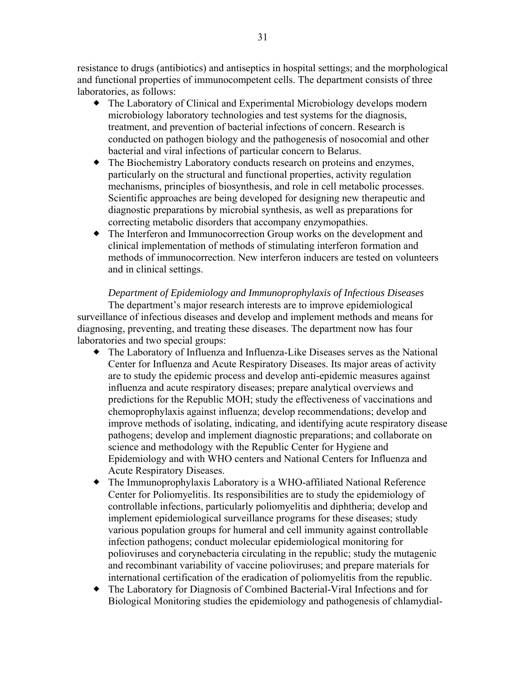resistance to drugs (antibiotics) and antiseptics in hospital settings; and the morphological and functional properties of immunocompetent cells. The department consists of three laboratories, as follows:

- The Laboratory of Clinical and Experimental Microbiology develops modern microbiology laboratory technologies and test systems for the diagnosis, treatment, and prevention of bacterial infections of concern. Research is conducted on pathogen biology and the pathogenesis of nosocomial and other bacterial and viral infections of particular concern to Belarus.
- The Biochemistry Laboratory conducts research on proteins and enzymes, particularly on the structural and functional properties, activity regulation mechanisms, principles of biosynthesis, and role in cell metabolic processes. Scientific approaches are being developed for designing new therapeutic and diagnostic preparations by microbial synthesis, as well as preparations for correcting metabolic disorders that accompany enzymopathies.
- The Interferon and Immunocorrection Group works on the development and clinical implementation of methods of stimulating interferon formation and methods of immunocorrection. New interferon inducers are tested on volunteers and in clinical settings.

### *Department of Epidemiology and Immunoprophylaxis of Infectious Diseases*  The department's major research interests are to improve epidemiological surveillance of infectious diseases and develop and implement methods and means for diagnosing, preventing, and treating these diseases. The department now has four laboratories and two special groups:

- The Laboratory of Influenza and Influenza-Like Diseases serves as the National Center for Influenza and Acute Respiratory Diseases. Its major areas of activity are to study the epidemic process and develop anti-epidemic measures against influenza and acute respiratory diseases; prepare analytical overviews and predictions for the Republic MOH; study the effectiveness of vaccinations and chemoprophylaxis against influenza; develop recommendations; develop and improve methods of isolating, indicating, and identifying acute respiratory disease pathogens; develop and implement diagnostic preparations; and collaborate on science and methodology with the Republic Center for Hygiene and Epidemiology and with WHO centers and National Centers for Influenza and Acute Respiratory Diseases.
- The Immunoprophylaxis Laboratory is a WHO-affiliated National Reference Center for Poliomyelitis. Its responsibilities are to study the epidemiology of controllable infections, particularly poliomyelitis and diphtheria; develop and implement epidemiological surveillance programs for these diseases; study various population groups for humeral and cell immunity against controllable infection pathogens; conduct molecular epidemiological monitoring for polioviruses and corynebacteria circulating in the republic; study the mutagenic and recombinant variability of vaccine polioviruses; and prepare materials for international certification of the eradication of poliomyelitis from the republic.
- The Laboratory for Diagnosis of Combined Bacterial-Viral Infections and for Biological Monitoring studies the epidemiology and pathogenesis of chlamydial-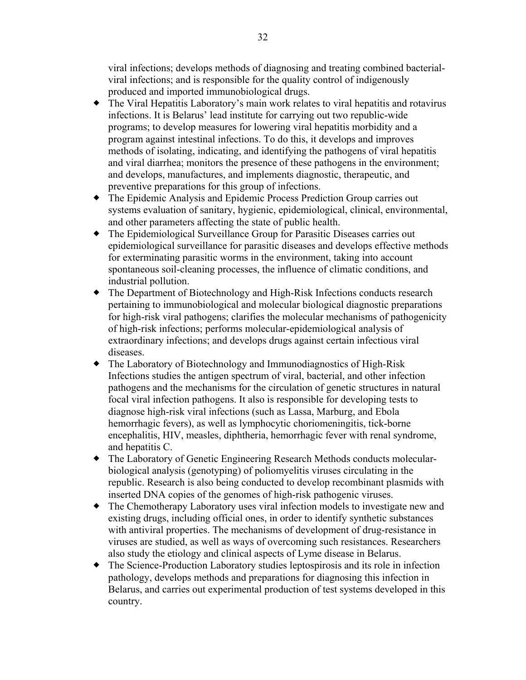viral infections; develops methods of diagnosing and treating combined bacterialviral infections; and is responsible for the quality control of indigenously produced and imported immunobiological drugs.

- The Viral Hepatitis Laboratory's main work relates to viral hepatitis and rotavirus infections. It is Belarus' lead institute for carrying out two republic-wide programs; to develop measures for lowering viral hepatitis morbidity and a program against intestinal infections. To do this, it develops and improves methods of isolating, indicating, and identifying the pathogens of viral hepatitis and viral diarrhea; monitors the presence of these pathogens in the environment; and develops, manufactures, and implements diagnostic, therapeutic, and preventive preparations for this group of infections.
- The Epidemic Analysis and Epidemic Process Prediction Group carries out systems evaluation of sanitary, hygienic, epidemiological, clinical, environmental, and other parameters affecting the state of public health.
- The Epidemiological Surveillance Group for Parasitic Diseases carries out epidemiological surveillance for parasitic diseases and develops effective methods for exterminating parasitic worms in the environment, taking into account spontaneous soil-cleaning processes, the influence of climatic conditions, and industrial pollution.
- The Department of Biotechnology and High-Risk Infections conducts research pertaining to immunobiological and molecular biological diagnostic preparations for high-risk viral pathogens; clarifies the molecular mechanisms of pathogenicity of high-risk infections; performs molecular-epidemiological analysis of extraordinary infections; and develops drugs against certain infectious viral diseases.
- The Laboratory of Biotechnology and Immunodiagnostics of High-Risk Infections studies the antigen spectrum of viral, bacterial, and other infection pathogens and the mechanisms for the circulation of genetic structures in natural focal viral infection pathogens. It also is responsible for developing tests to diagnose high-risk viral infections (such as Lassa, Marburg, and Ebola hemorrhagic fevers), as well as lymphocytic choriomeningitis, tick-borne encephalitis, HIV, measles, diphtheria, hemorrhagic fever with renal syndrome, and hepatitis C.
- The Laboratory of Genetic Engineering Research Methods conducts molecularbiological analysis (genotyping) of poliomyelitis viruses circulating in the republic. Research is also being conducted to develop recombinant plasmids with inserted DNA copies of the genomes of high-risk pathogenic viruses.
- The Chemotherapy Laboratory uses viral infection models to investigate new and existing drugs, including official ones, in order to identify synthetic substances with antiviral properties. The mechanisms of development of drug-resistance in viruses are studied, as well as ways of overcoming such resistances. Researchers also study the etiology and clinical aspects of Lyme disease in Belarus.
- The Science-Production Laboratory studies leptospirosis and its role in infection pathology, develops methods and preparations for diagnosing this infection in Belarus, and carries out experimental production of test systems developed in this country.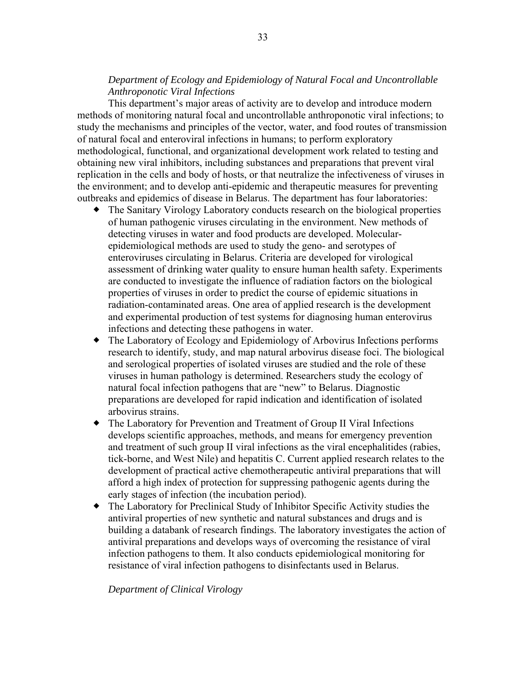### *Department of Ecology and Epidemiology of Natural Focal and Uncontrollable Anthroponotic Viral Infections*

This department's major areas of activity are to develop and introduce modern methods of monitoring natural focal and uncontrollable anthroponotic viral infections; to study the mechanisms and principles of the vector, water, and food routes of transmission of natural focal and enteroviral infections in humans; to perform exploratory methodological, functional, and organizational development work related to testing and obtaining new viral inhibitors, including substances and preparations that prevent viral replication in the cells and body of hosts, or that neutralize the infectiveness of viruses in the environment; and to develop anti-epidemic and therapeutic measures for preventing outbreaks and epidemics of disease in Belarus. The department has four laboratories:

- The Sanitary Virology Laboratory conducts research on the biological properties of human pathogenic viruses circulating in the environment. New methods of detecting viruses in water and food products are developed. Molecularepidemiological methods are used to study the geno- and serotypes of enteroviruses circulating in Belarus. Criteria are developed for virological assessment of drinking water quality to ensure human health safety. Experiments are conducted to investigate the influence of radiation factors on the biological properties of viruses in order to predict the course of epidemic situations in radiation-contaminated areas. One area of applied research is the development and experimental production of test systems for diagnosing human enterovirus infections and detecting these pathogens in water.
- The Laboratory of Ecology and Epidemiology of Arbovirus Infections performs research to identify, study, and map natural arbovirus disease foci. The biological and serological properties of isolated viruses are studied and the role of these viruses in human pathology is determined. Researchers study the ecology of natural focal infection pathogens that are "new" to Belarus. Diagnostic preparations are developed for rapid indication and identification of isolated arbovirus strains.
- The Laboratory for Prevention and Treatment of Group II Viral Infections develops scientific approaches, methods, and means for emergency prevention and treatment of such group II viral infections as the viral encephalitides (rabies, tick-borne, and West Nile) and hepatitis C. Current applied research relates to the development of practical active chemotherapeutic antiviral preparations that will afford a high index of protection for suppressing pathogenic agents during the early stages of infection (the incubation period).
- The Laboratory for Preclinical Study of Inhibitor Specific Activity studies the antiviral properties of new synthetic and natural substances and drugs and is building a databank of research findings. The laboratory investigates the action of antiviral preparations and develops ways of overcoming the resistance of viral infection pathogens to them. It also conducts epidemiological monitoring for resistance of viral infection pathogens to disinfectants used in Belarus.

*Department of Clinical Virology*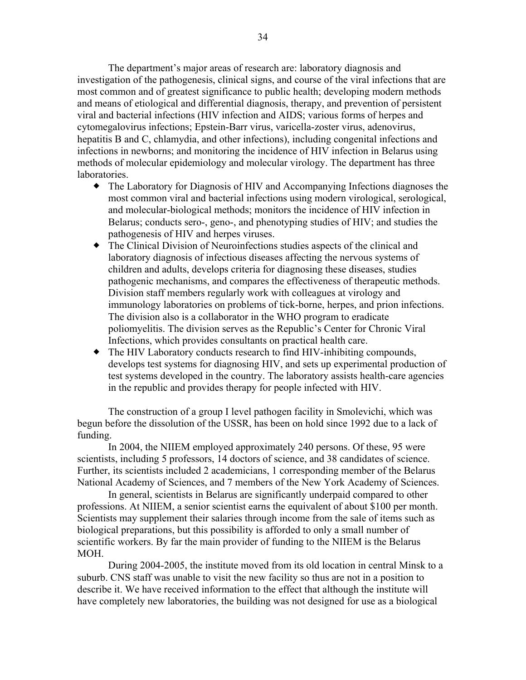The department's major areas of research are: laboratory diagnosis and investigation of the pathogenesis, clinical signs, and course of the viral infections that are most common and of greatest significance to public health; developing modern methods and means of etiological and differential diagnosis, therapy, and prevention of persistent viral and bacterial infections (HIV infection and AIDS; various forms of herpes and cytomegalovirus infections; Epstein-Barr virus, varicella-zoster virus, adenovirus, hepatitis B and C, chlamydia, and other infections), including congenital infections and infections in newborns; and monitoring the incidence of HIV infection in Belarus using methods of molecular epidemiology and molecular virology. The department has three laboratories.

- The Laboratory for Diagnosis of HIV and Accompanying Infections diagnoses the most common viral and bacterial infections using modern virological, serological, and molecular-biological methods; monitors the incidence of HIV infection in Belarus; conducts sero-, geno-, and phenotyping studies of HIV; and studies the pathogenesis of HIV and herpes viruses.
- The Clinical Division of Neuroinfections studies aspects of the clinical and laboratory diagnosis of infectious diseases affecting the nervous systems of children and adults, develops criteria for diagnosing these diseases, studies pathogenic mechanisms, and compares the effectiveness of therapeutic methods. Division staff members regularly work with colleagues at virology and immunology laboratories on problems of tick-borne, herpes, and prion infections. The division also is a collaborator in the WHO program to eradicate poliomyelitis. The division serves as the Republic's Center for Chronic Viral Infections, which provides consultants on practical health care.
- The HIV Laboratory conducts research to find HIV-inhibiting compounds, develops test systems for diagnosing HIV, and sets up experimental production of test systems developed in the country. The laboratory assists health-care agencies in the republic and provides therapy for people infected with HIV.

The construction of a group I level pathogen facility in Smolevichi, which was begun before the dissolution of the USSR, has been on hold since 1992 due to a lack of funding.

 In 2004, the NIIEM employed approximately 240 persons. Of these, 95 were scientists, including 5 professors, 14 doctors of science, and 38 candidates of science. Further, its scientists included 2 academicians, 1 corresponding member of the Belarus National Academy of Sciences, and 7 members of the New York Academy of Sciences.

 In general, scientists in Belarus are significantly underpaid compared to other professions. At NIIEM, a senior scientist earns the equivalent of about \$100 per month. Scientists may supplement their salaries through income from the sale of items such as biological preparations, but this possibility is afforded to only a small number of scientific workers. By far the main provider of funding to the NIIEM is the Belarus MOH.

During 2004-2005, the institute moved from its old location in central Minsk to a suburb. CNS staff was unable to visit the new facility so thus are not in a position to describe it. We have received information to the effect that although the institute will have completely new laboratories, the building was not designed for use as a biological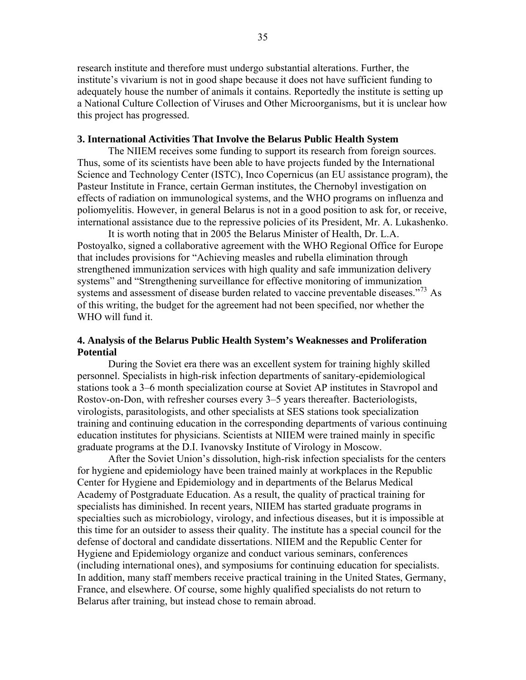research institute and therefore must undergo substantial alterations. Further, the institute's vivarium is not in good shape because it does not have sufficient funding to adequately house the number of animals it contains. Reportedly the institute is setting up a National Culture Collection of Viruses and Other Microorganisms, but it is unclear how this project has progressed.

#### **3. International Activities That Involve the Belarus Public Health System**

The NIIEM receives some funding to support its research from foreign sources. Thus, some of its scientists have been able to have projects funded by the International Science and Technology Center (ISTC), Inco Copernicus (an EU assistance program), the Pasteur Institute in France, certain German institutes, the Chernobyl investigation on effects of radiation on immunological systems, and the WHO programs on influenza and poliomyelitis. However, in general Belarus is not in a good position to ask for, or receive, international assistance due to the repressive policies of its President, Mr. A. Lukashenko.

It is worth noting that in 2005 the Belarus Minister of Health, Dr. L.A. Postoyalko, signed a collaborative agreement with the WHO Regional Office for Europe that includes provisions for "Achieving measles and rubella elimination through strengthened immunization services with high quality and safe immunization delivery systems" and "Strengthening surveillance for effective monitoring of immunization systems and assessment of disease burden related to vaccine preventable diseases."<sup>[73](#page-6-0)</sup> As of this writing, the budget for the agreement had not been specified, nor whether the WHO will fund it.

#### **4. Analysis of the Belarus Public Health System's Weaknesses and Proliferation Potential**

 During the Soviet era there was an excellent system for training highly skilled personnel. Specialists in high-risk infection departments of sanitary-epidemiological stations took a 3–6 month specialization course at Soviet AP institutes in Stavropol and Rostov-on-Don, with refresher courses every 3–5 years thereafter. Bacteriologists, virologists, parasitologists, and other specialists at SES stations took specialization training and continuing education in the corresponding departments of various continuing education institutes for physicians. Scientists at NIIEM were trained mainly in specific graduate programs at the D.I. Ivanovsky Institute of Virology in Moscow.

 After the Soviet Union's dissolution, high-risk infection specialists for the centers for hygiene and epidemiology have been trained mainly at workplaces in the Republic Center for Hygiene and Epidemiology and in departments of the Belarus Medical Academy of Postgraduate Education. As a result, the quality of practical training for specialists has diminished. In recent years, NIIEM has started graduate programs in specialties such as microbiology, virology, and infectious diseases, but it is impossible at this time for an outsider to assess their quality. The institute has a special council for the defense of doctoral and candidate dissertations. NIIEM and the Republic Center for Hygiene and Epidemiology organize and conduct various seminars, conferences (including international ones), and symposiums for continuing education for specialists. In addition, many staff members receive practical training in the United States, Germany, France, and elsewhere. Of course, some highly qualified specialists do not return to Belarus after training, but instead chose to remain abroad.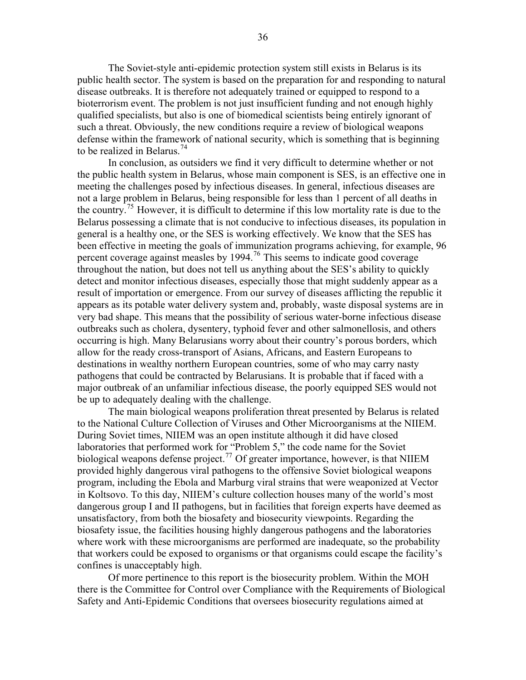The Soviet-style anti-epidemic protection system still exists in Belarus is its public health sector. The system is based on the preparation for and responding to natural disease outbreaks. It is therefore not adequately trained or equipped to respond to a bioterrorism event. The problem is not just insufficient funding and not enough highly qualified specialists, but also is one of biomedical scientists being entirely ignorant of such a threat. Obviously, the new conditions require a review of biological weapons defense within the framework of national security, which is something that is beginning to be realized in Belarus.<sup>[74](#page-6-0)</sup>

 In conclusion, as outsiders we find it very difficult to determine whether or not the public health system in Belarus, whose main component is SES, is an effective one in meeting the challenges posed by infectious diseases. In general, infectious diseases are not a large problem in Belarus, being responsible for less than 1 percent of all deaths in the country.[75](#page-6-0) However, it is difficult to determine if this low mortality rate is due to the Belarus possessing a climate that is not conducive to infectious diseases, its population in general is a healthy one, or the SES is working effectively. We know that the SES has been effective in meeting the goals of immunization programs achieving, for example, 96 percent coverage against measles by 1994.<sup>[76](#page-6-0)</sup> This seems to indicate good coverage throughout the nation, but does not tell us anything about the SES's ability to quickly detect and monitor infectious diseases, especially those that might suddenly appear as a result of importation or emergence. From our survey of diseases afflicting the republic it appears as its potable water delivery system and, probably, waste disposal systems are in very bad shape. This means that the possibility of serious water-borne infectious disease outbreaks such as cholera, dysentery, typhoid fever and other salmonellosis, and others occurring is high. Many Belarusians worry about their country's porous borders, which allow for the ready cross-transport of Asians, Africans, and Eastern Europeans to destinations in wealthy northern European countries, some of who may carry nasty pathogens that could be contracted by Belarusians. It is probable that if faced with a major outbreak of an unfamiliar infectious disease, the poorly equipped SES would not be up to adequately dealing with the challenge.

 The main biological weapons proliferation threat presented by Belarus is related to the National Culture Collection of Viruses and Other Microorganisms at the NIIEM. During Soviet times, NIIEM was an open institute although it did have closed laboratories that performed work for "Problem 5," the code name for the Soviet biological weapons defense project.<sup>[77](#page-6-0)</sup> Of greater importance, however, is that NIIEM provided highly dangerous viral pathogens to the offensive Soviet biological weapons program, including the Ebola and Marburg viral strains that were weaponized at Vector in Koltsovo. To this day, NIIEM's culture collection houses many of the world's most dangerous group I and II pathogens, but in facilities that foreign experts have deemed as unsatisfactory, from both the biosafety and biosecurity viewpoints. Regarding the biosafety issue, the facilities housing highly dangerous pathogens and the laboratories where work with these microorganisms are performed are inadequate, so the probability that workers could be exposed to organisms or that organisms could escape the facility's confines is unacceptably high.

 Of more pertinence to this report is the biosecurity problem. Within the MOH there is the Committee for Control over Compliance with the Requirements of Biological Safety and Anti-Epidemic Conditions that oversees biosecurity regulations aimed at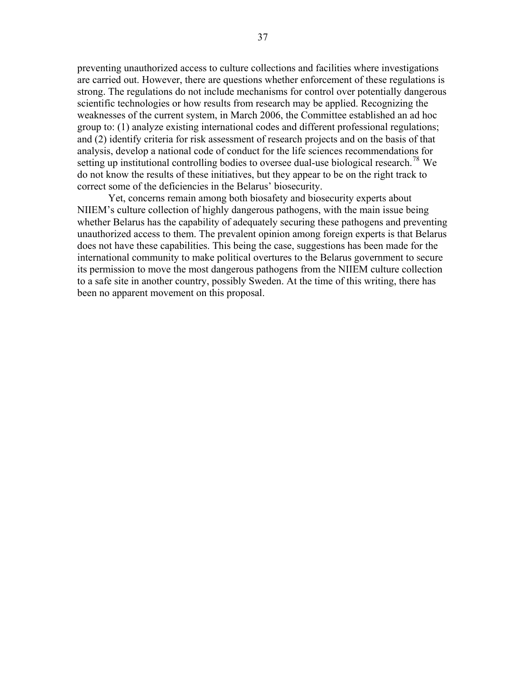preventing unauthorized access to culture collections and facilities where investigations are carried out. However, there are questions whether enforcement of these regulations is strong. The regulations do not include mechanisms for control over potentially dangerous scientific technologies or how results from research may be applied. Recognizing the weaknesses of the current system, in March 2006, the Committee established an ad hoc group to: (1) analyze existing international codes and different professional regulations; and (2) identify criteria for risk assessment of research projects and on the basis of that analysis, develop a national code of conduct for the life sciences recommendations for setting up institutional controlling bodies to oversee dual-use biological research.<sup>[78](#page-6-0)</sup> We do not know the results of these initiatives, but they appear to be on the right track to correct some of the deficiencies in the Belarus' biosecurity.

 Yet, concerns remain among both biosafety and biosecurity experts about NIIEM's culture collection of highly dangerous pathogens, with the main issue being whether Belarus has the capability of adequately securing these pathogens and preventing unauthorized access to them. The prevalent opinion among foreign experts is that Belarus does not have these capabilities. This being the case, suggestions has been made for the international community to make political overtures to the Belarus government to secure its permission to move the most dangerous pathogens from the NIIEM culture collection to a safe site in another country, possibly Sweden. At the time of this writing, there has been no apparent movement on this proposal.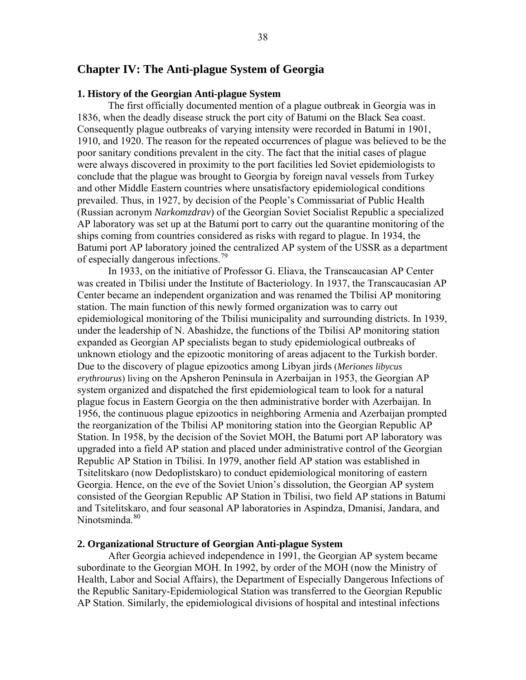# **Chapter IV: The Anti-plague System of Georgia**

### **1. History of the Georgian Anti-plague System**

 The first officially documented mention of a plague outbreak in Georgia was in 1836, when the deadly disease struck the port city of Batumi on the Black Sea coast. Consequently plague outbreaks of varying intensity were recorded in Batumi in 1901, 1910, and 1920. The reason for the repeated occurrences of plague was believed to be the poor sanitary conditions prevalent in the city. The fact that the initial cases of plague were always discovered in proximity to the port facilities led Soviet epidemiologists to conclude that the plague was brought to Georgia by foreign naval vessels from Turkey and other Middle Eastern countries where unsatisfactory epidemiological conditions prevailed. Thus, in 1927, by decision of the People's Commissariat of Public Health (Russian acronym *Narkomzdrav*) of the Georgian Soviet Socialist Republic a specialized AP laboratory was set up at the Batumi port to carry out the quarantine monitoring of the ships coming from countries considered as risks with regard to plague. In 1934, the Batumi port AP laboratory joined the centralized AP system of the USSR as a department of especially dangerous infections.[79](#page-6-0)

 In 1933, on the initiative of Professor G. Eliava, the Transcaucasian AP Center was created in Tbilisi under the Institute of Bacteriology. In 1937, the Transcaucasian AP Center became an independent organization and was renamed the Tbilisi AP monitoring station. The main function of this newly formed organization was to carry out epidemiological monitoring of the Tbilisi municipality and surrounding districts. In 1939, under the leadership of N. Abashidze, the functions of the Tbilisi AP monitoring station expanded as Georgian AP specialists began to study epidemiological outbreaks of unknown etiology and the epizootic monitoring of areas adjacent to the Turkish border. Due to the discovery of plague epizootics among Libyan jirds (*Meriones libycus erythrourus*) living on the Apsheron Peninsula in Azerbaijan in 1953, the Georgian AP system organized and dispatched the first epidemiological team to look for a natural plague focus in Eastern Georgia on the then administrative border with Azerbaijan. In 1956, the continuous plague epizootics in neighboring Armenia and Azerbaijan prompted the reorganization of the Tbilisi AP monitoring station into the Georgian Republic AP Station. In 1958, by the decision of the Soviet MOH, the Batumi port AP laboratory was upgraded into a field AP station and placed under administrative control of the Georgian Republic AP Station in Tbilisi. In 1979, another field AP station was established in Tsitelitskaro (now Dedoplistskaro) to conduct epidemiological monitoring of eastern Georgia. Hence, on the eve of the Soviet Union's dissolution, the Georgian AP system consisted of the Georgian Republic AP Station in Tbilisi, two field AP stations in Batumi and Tsitelitskaro, and four seasonal AP laboratories in Aspindza, Dmanisi, Jandara, and Ninotsminda.<sup>[80](#page-6-0)</sup>

### **2. Organizational Structure of Georgian Anti-plague System**

After Georgia achieved independence in 1991, the Georgian AP system became subordinate to the Georgian MOH. In 1992, by order of the MOH (now the Ministry of Health, Labor and Social Affairs), the Department of Especially Dangerous Infections of the Republic Sanitary-Epidemiological Station was transferred to the Georgian Republic AP Station. Similarly, the epidemiological divisions of hospital and intestinal infections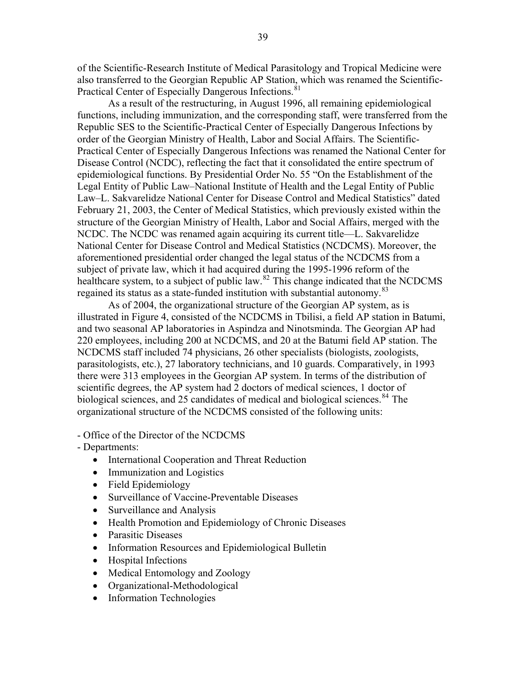of the Scientific-Research Institute of Medical Parasitology and Tropical Medicine were also transferred to the Georgian Republic AP Station, which was renamed the Scientific-Practical Center of Especially Dangerous Infections.<sup>[81](#page-6-0)</sup>

 As a result of the restructuring, in August 1996, all remaining epidemiological functions, including immunization, and the corresponding staff, were transferred from the Republic SES to the Scientific-Practical Center of Especially Dangerous Infections by order of the Georgian Ministry of Health, Labor and Social Affairs. The Scientific-Practical Center of Especially Dangerous Infections was renamed the National Center for Disease Control (NCDC), reflecting the fact that it consolidated the entire spectrum of epidemiological functions. By Presidential Order No. 55 "On the Establishment of the Legal Entity of Public Law–National Institute of Health and the Legal Entity of Public Law–L. Sakvarelidze National Center for Disease Control and Medical Statistics" dated February 21, 2003, the Center of Medical Statistics, which previously existed within the structure of the Georgian Ministry of Health, Labor and Social Affairs, merged with the NCDC. The NCDC was renamed again acquiring its current title—L. Sakvarelidze National Center for Disease Control and Medical Statistics (NCDCMS). Moreover, the aforementioned presidential order changed the legal status of the NCDCMS from a subject of private law, which it had acquired during the 1995-1996 reform of the healthcare system, to a subject of public law.<sup>[82](#page-6-0)</sup> This change indicated that the NCDCMS regained its status as a state-funded institution with substantial autonomy.<sup>[83](#page-6-0)</sup>

 As of 2004, the organizational structure of the Georgian AP system, as is illustrated in Figure 4, consisted of the NCDCMS in Tbilisi, a field AP station in Batumi, and two seasonal AP laboratories in Aspindza and Ninotsminda. The Georgian AP had 220 employees, including 200 at NCDCMS, and 20 at the Batumi field AP station. The NCDCMS staff included 74 physicians, 26 other specialists (biologists, zoologists, parasitologists, etc.), 27 laboratory technicians, and 10 guards. Comparatively, in 1993 there were 313 employees in the Georgian AP system. In terms of the distribution of scientific degrees, the AP system had 2 doctors of medical sciences, 1 doctor of biological sciences, and 25 candidates of medical and biological sciences.<sup>[84](#page-7-0)</sup> The organizational structure of the NCDCMS consisted of the following units:

- Office of the Director of the NCDCMS

- Departments:

- International Cooperation and Threat Reduction
- Immunization and Logistics
- Field Epidemiology
- Surveillance of Vaccine-Preventable Diseases
- Surveillance and Analysis
- Health Promotion and Epidemiology of Chronic Diseases
- Parasitic Diseases
- Information Resources and Epidemiological Bulletin
- Hospital Infections
- Medical Entomology and Zoology
- Organizational-Methodological
- Information Technologies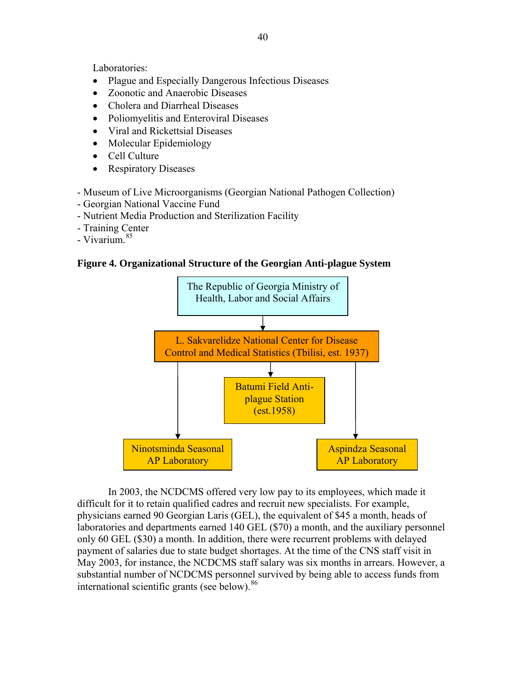Laboratories:

- Plague and Especially Dangerous Infectious Diseases
- Zoonotic and Anaerobic Diseases
- Cholera and Diarrheal Diseases
- Poliomyelitis and Enteroviral Diseases
- Viral and Rickettsial Diseases
- Molecular Epidemiology
- Cell Culture
- Respiratory Diseases
- Museum of Live Microorganisms (Georgian National Pathogen Collection)
- Georgian National Vaccine Fund
- Nutrient Media Production and Sterilization Facility
- Training Center
- Vivarium.<sup>[85](#page-7-0)</sup>

# **Figure 4. Organizational Structure of the Georgian Anti-plague System**



 In 2003, the NCDCMS offered very low pay to its employees, which made it difficult for it to retain qualified cadres and recruit new specialists. For example, physicians earned 90 Georgian Laris (GEL), the equivalent of \$45 a month, heads of laboratories and departments earned 140 GEL (\$70) a month, and the auxiliary personnel only 60 GEL (\$30) a month. In addition, there were recurrent problems with delayed payment of salaries due to state budget shortages. At the time of the CNS staff visit in May 2003, for instance, the NCDCMS staff salary was six months in arrears. However, a substantial number of NCDCMS personnel survived by being able to access funds from international scientific grants (see below).<sup>[86](#page-7-0)</sup>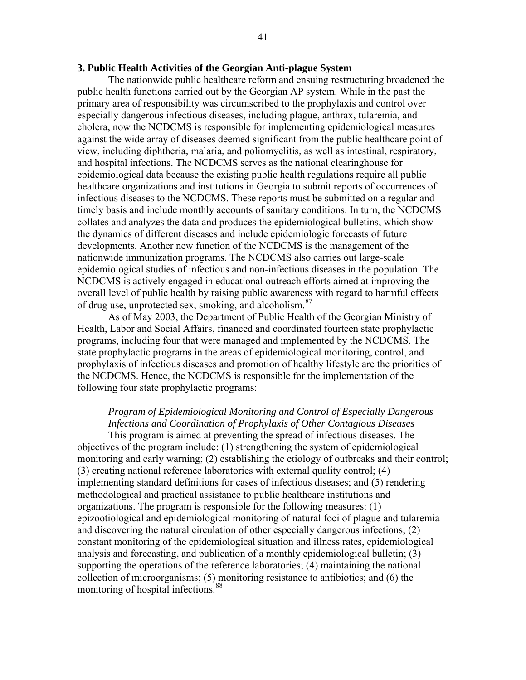#### **3. Public Health Activities of the Georgian Anti-plague System**

 The nationwide public healthcare reform and ensuing restructuring broadened the public health functions carried out by the Georgian AP system. While in the past the primary area of responsibility was circumscribed to the prophylaxis and control over especially dangerous infectious diseases, including plague, anthrax, tularemia, and cholera, now the NCDCMS is responsible for implementing epidemiological measures against the wide array of diseases deemed significant from the public healthcare point of view, including diphtheria, malaria, and poliomyelitis, as well as intestinal, respiratory, and hospital infections. The NCDCMS serves as the national clearinghouse for epidemiological data because the existing public health regulations require all public healthcare organizations and institutions in Georgia to submit reports of occurrences of infectious diseases to the NCDCMS. These reports must be submitted on a regular and timely basis and include monthly accounts of sanitary conditions. In turn, the NCDCMS collates and analyzes the data and produces the epidemiological bulletins, which show the dynamics of different diseases and include epidemiologic forecasts of future developments. Another new function of the NCDCMS is the management of the nationwide immunization programs. The NCDCMS also carries out large-scale epidemiological studies of infectious and non-infectious diseases in the population. The NCDCMS is actively engaged in educational outreach efforts aimed at improving the overall level of public health by raising public awareness with regard to harmful effects of drug use, unprotected sex, smoking, and alcoholism.<sup>[87](#page-7-0)</sup>

 As of May 2003, the Department of Public Health of the Georgian Ministry of Health, Labor and Social Affairs, financed and coordinated fourteen state prophylactic programs, including four that were managed and implemented by the NCDCMS. The state prophylactic programs in the areas of epidemiological monitoring, control, and prophylaxis of infectious diseases and promotion of healthy lifestyle are the priorities of the NCDCMS. Hence, the NCDCMS is responsible for the implementation of the following four state prophylactic programs:

# *Program of Epidemiological Monitoring and Control of Especially Dangerous Infections and Coordination of Prophylaxis of Other Contagious Diseases*

 This program is aimed at preventing the spread of infectious diseases. The objectives of the program include: (1) strengthening the system of epidemiological monitoring and early warning; (2) establishing the etiology of outbreaks and their control; (3) creating national reference laboratories with external quality control; (4) implementing standard definitions for cases of infectious diseases; and (5) rendering methodological and practical assistance to public healthcare institutions and organizations. The program is responsible for the following measures: (1) epizootiological and epidemiological monitoring of natural foci of plague and tularemia and discovering the natural circulation of other especially dangerous infections; (2) constant monitoring of the epidemiological situation and illness rates, epidemiological analysis and forecasting, and publication of a monthly epidemiological bulletin; (3) supporting the operations of the reference laboratories; (4) maintaining the national collection of microorganisms; (5) monitoring resistance to antibiotics; and (6) the monitoring of hospital infections.<sup>[88](#page-7-0)</sup>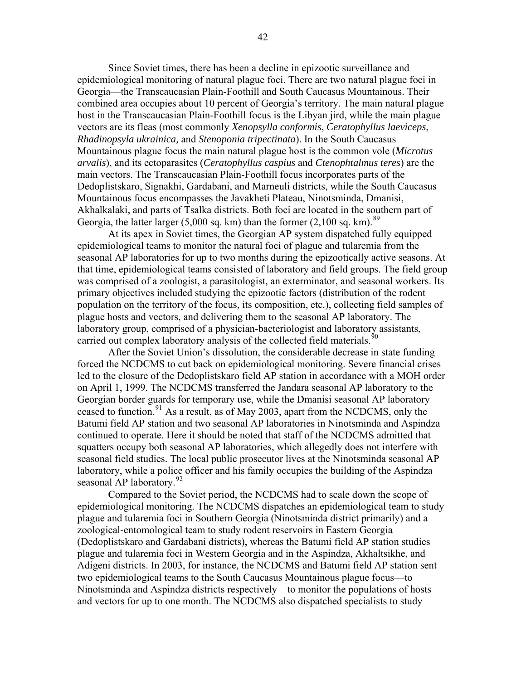Since Soviet times, there has been a decline in epizootic surveillance and epidemiological monitoring of natural plague foci. There are two natural plague foci in Georgia—the Transcaucasian Plain-Foothill and South Caucasus Mountainous. Their combined area occupies about 10 percent of Georgia's territory. The main natural plague host in the Transcaucasian Plain-Foothill focus is the Libyan jird, while the main plague vectors are its fleas (most commonly *Xenopsylla conformis*, *Ceratophyllus laeviceps*, *Rhadinopsyla ukrainica,* and *Stenoponia tripectinata*). In the South Caucasus Mountainous plague focus the main natural plague host is the common vole (*Microtus arvalis*), and its ectoparasites (*Ceratophyllus caspius* and *Ctenophtalmus teres*) are the main vectors. The Transcaucasian Plain-Foothill focus incorporates parts of the Dedoplistskaro, Signakhi, Gardabani, and Marneuli districts, while the South Caucasus Mountainous focus encompasses the Javakheti Plateau, Ninotsminda, Dmanisi, Akhalkalaki, and parts of Tsalka districts. Both foci are located in the southern part of Georgia, the latter larger (5,000 sq. km) than the former (2,100 sq. km).<sup>[89](#page-7-0)</sup>

 At its apex in Soviet times, the Georgian AP system dispatched fully equipped epidemiological teams to monitor the natural foci of plague and tularemia from the seasonal AP laboratories for up to two months during the epizootically active seasons. At that time, epidemiological teams consisted of laboratory and field groups. The field group was comprised of a zoologist, a parasitologist, an exterminator, and seasonal workers. Its primary objectives included studying the epizootic factors (distribution of the rodent population on the territory of the focus, its composition, etc.), collecting field samples of plague hosts and vectors, and delivering them to the seasonal AP laboratory. The laboratory group, comprised of a physician-bacteriologist and laboratory assistants, carried out complex laboratory analysis of the collected field materials.<sup>[90](#page-7-0)</sup>

 After the Soviet Union's dissolution, the considerable decrease in state funding forced the NCDCMS to cut back on epidemiological monitoring. Severe financial crises led to the closure of the Dedoplistskaro field AP station in accordance with a MOH order on April 1, 1999. The NCDCMS transferred the Jandara seasonal AP laboratory to the Georgian border guards for temporary use, while the Dmanisi seasonal AP laboratory ceased to function.<sup>[91](#page-7-0)</sup> As a result, as of May 2003, apart from the NCDCMS, only the Batumi field AP station and two seasonal AP laboratories in Ninotsminda and Aspindza continued to operate. Here it should be noted that staff of the NCDCMS admitted that squatters occupy both seasonal AP laboratories, which allegedly does not interfere with seasonal field studies. The local public prosecutor lives at the Ninotsminda seasonal AP laboratory, while a police officer and his family occupies the building of the Aspindza seasonal AP laboratory.<sup>[92](#page-7-0)</sup>

Compared to the Soviet period, the NCDCMS had to scale down the scope of epidemiological monitoring. The NCDCMS dispatches an epidemiological team to study plague and tularemia foci in Southern Georgia (Ninotsminda district primarily) and a zoological-entomological team to study rodent reservoirs in Eastern Georgia (Dedoplistskaro and Gardabani districts), whereas the Batumi field AP station studies plague and tularemia foci in Western Georgia and in the Aspindza, Akhaltsikhe, and Adigeni districts. In 2003, for instance, the NCDCMS and Batumi field AP station sent two epidemiological teams to the South Caucasus Mountainous plague focus—to Ninotsminda and Aspindza districts respectively—to monitor the populations of hosts and vectors for up to one month. The NCDCMS also dispatched specialists to study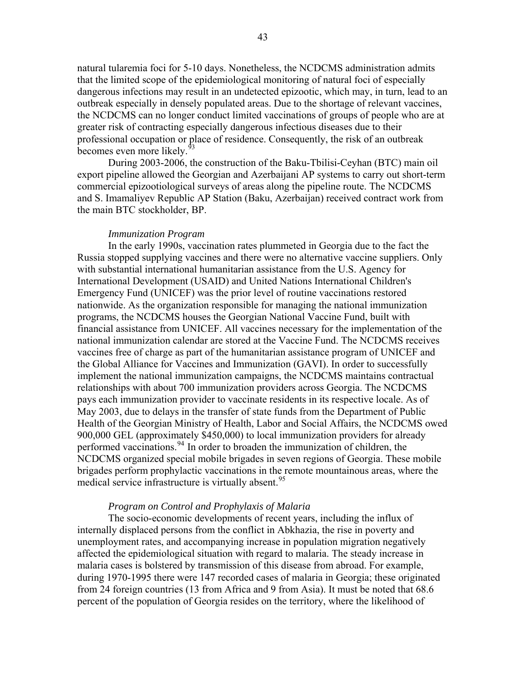natural tularemia foci for 5-10 days. Nonetheless, the NCDCMS administration admits that the limited scope of the epidemiological monitoring of natural foci of especially dangerous infections may result in an undetected epizootic, which may, in turn, lead to an outbreak especially in densely populated areas. Due to the shortage of relevant vaccines, the NCDCMS can no longer conduct limited vaccinations of groups of people who are at greater risk of contracting especially dangerous infectious diseases due to their professional occupation or place of residence. Consequently, the risk of an outbreak becomes even more likely.<sup>9</sup>

During 2003-2006, the construction of the Baku-Tbilisi-Ceyhan (BTC) main oil export pipeline allowed the Georgian and Azerbaijani AP systems to carry out short-term commercial epizootiological surveys of areas along the pipeline route. The NCDCMS and S. Imamaliyev Republic AP Station (Baku, Azerbaijan) received contract work from the main BTC stockholder, BP.

#### *Immunization Program*

 In the early 1990s, vaccination rates plummeted in Georgia due to the fact the Russia stopped supplying vaccines and there were no alternative vaccine suppliers. Only with substantial international humanitarian assistance from the U.S. Agency for International Development (USAID) and United Nations International Children's Emergency Fund (UNICEF) was the prior level of routine vaccinations restored nationwide. As the organization responsible for managing the national immunization programs, the NCDCMS houses the Georgian National Vaccine Fund, built with financial assistance from UNICEF. All vaccines necessary for the implementation of the national immunization calendar are stored at the Vaccine Fund. The NCDCMS receives vaccines free of charge as part of the humanitarian assistance program of UNICEF and the Global Alliance for Vaccines and Immunization (GAVI). In order to successfully implement the national immunization campaigns, the NCDCMS maintains contractual relationships with about 700 immunization providers across Georgia. The NCDCMS pays each immunization provider to vaccinate residents in its respective locale. As of May 2003, due to delays in the transfer of state funds from the Department of Public Health of the Georgian Ministry of Health, Labor and Social Affairs, the NCDCMS owed 900,000 GEL (approximately \$450,000) to local immunization providers for already performed vaccinations.<sup>[94](#page-7-0)</sup> In order to broaden the immunization of children, the NCDCMS organized special mobile brigades in seven regions of Georgia. These mobile brigades perform prophylactic vaccinations in the remote mountainous areas, where the medical service infrastructure is virtually absent.<sup>[95](#page-7-0)</sup>

## *Program on Control and Prophylaxis of Malaria*

 The socio-economic developments of recent years, including the influx of internally displaced persons from the conflict in Abkhazia, the rise in poverty and unemployment rates, and accompanying increase in population migration negatively affected the epidemiological situation with regard to malaria. The steady increase in malaria cases is bolstered by transmission of this disease from abroad. For example, during 1970-1995 there were 147 recorded cases of malaria in Georgia; these originated from 24 foreign countries (13 from Africa and 9 from Asia). It must be noted that 68.6 percent of the population of Georgia resides on the territory, where the likelihood of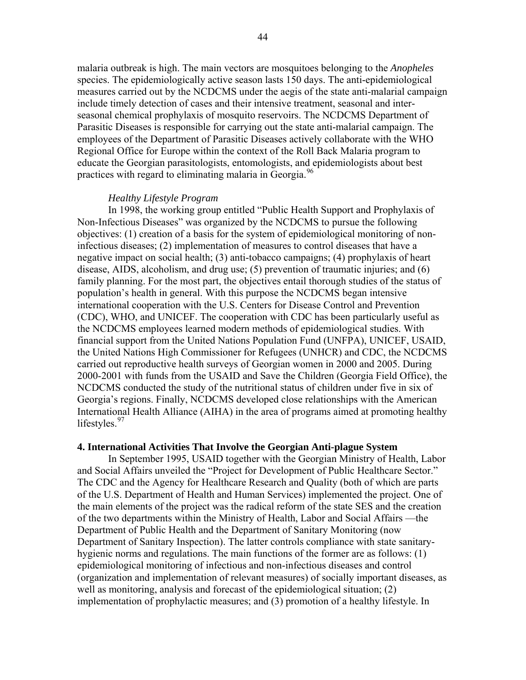malaria outbreak is high. The main vectors are mosquitoes belonging to the *Anopheles* species. The epidemiologically active season lasts 150 days. The anti-epidemiological measures carried out by the NCDCMS under the aegis of the state anti-malarial campaign include timely detection of cases and their intensive treatment, seasonal and interseasonal chemical prophylaxis of mosquito reservoirs. The NCDCMS Department of Parasitic Diseases is responsible for carrying out the state anti-malarial campaign. The employees of the Department of Parasitic Diseases actively collaborate with the WHO Regional Office for Europe within the context of the Roll Back Malaria program to educate the Georgian parasitologists, entomologists, and epidemiologists about best practices with regard to eliminating malaria in Georgia.<sup>[96](#page-7-0)</sup>

### *Healthy Lifestyle Program*

 In 1998, the working group entitled "Public Health Support and Prophylaxis of Non-Infectious Diseases" was organized by the NCDCMS to pursue the following objectives: (1) creation of a basis for the system of epidemiological monitoring of noninfectious diseases; (2) implementation of measures to control diseases that have a negative impact on social health; (3) anti-tobacco campaigns; (4) prophylaxis of heart disease, AIDS, alcoholism, and drug use; (5) prevention of traumatic injuries; and (6) family planning. For the most part, the objectives entail thorough studies of the status of population's health in general. With this purpose the NCDCMS began intensive international cooperation with the U.S. Centers for Disease Control and Prevention (CDC), WHO, and UNICEF. The cooperation with CDC has been particularly useful as the NCDCMS employees learned modern methods of epidemiological studies. With financial support from the United Nations Population Fund (UNFPA), UNICEF, USAID, the United Nations High Commissioner for Refugees (UNHCR) and CDC, the NCDCMS carried out reproductive health surveys of Georgian women in 2000 and 2005. During 2000-2001 with funds from the USAID and Save the Children (Georgia Field Office), the NCDCMS conducted the study of the nutritional status of children under five in six of Georgia's regions. Finally, NCDCMS developed close relationships with the American International Health Alliance (AIHA) in the area of programs aimed at promoting healthy lifestyles. $97$ 

### **4. International Activities That Involve the Georgian Anti-plague System**

 In September 1995, USAID together with the Georgian Ministry of Health, Labor and Social Affairs unveiled the "Project for Development of Public Healthcare Sector." The CDC and the Agency for Healthcare Research and Quality (both of which are parts of the U.S. Department of Health and Human Services) implemented the project. One of the main elements of the project was the radical reform of the state SES and the creation of the two departments within the Ministry of Health, Labor and Social Affairs —the Department of Public Health and the Department of Sanitary Monitoring (now Department of Sanitary Inspection). The latter controls compliance with state sanitaryhygienic norms and regulations. The main functions of the former are as follows: (1) epidemiological monitoring of infectious and non-infectious diseases and control (organization and implementation of relevant measures) of socially important diseases, as well as monitoring, analysis and forecast of the epidemiological situation; (2) implementation of prophylactic measures; and (3) promotion of a healthy lifestyle. In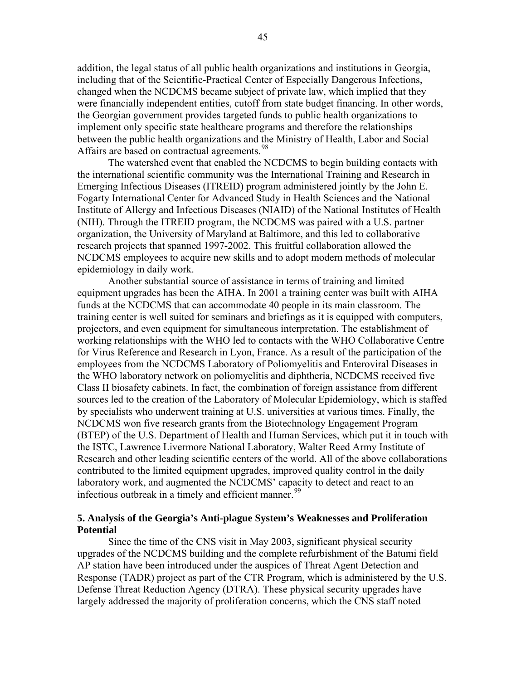addition, the legal status of all public health organizations and institutions in Georgia, including that of the Scientific-Practical Center of Especially Dangerous Infections, changed when the NCDCMS became subject of private law, which implied that they were financially independent entities, cutoff from state budget financing. In other words, the Georgian government provides targeted funds to public health organizations to implement only specific state healthcare programs and therefore the relationships between the public health organizations and the Ministry of Health, Labor and Social Affairs are based on contractual agreements.<sup>[98](#page-7-0)</sup>

The watershed event that enabled the NCDCMS to begin building contacts with the international scientific community was the International Training and Research in Emerging Infectious Diseases (ITREID) program administered jointly by the John E. Fogarty International Center for Advanced Study in Health Sciences and the National Institute of Allergy and Infectious Diseases (NIAID) of the National Institutes of Health (NIH). Through the ITREID program, the NCDCMS was paired with a U.S. partner organization, the University of Maryland at Baltimore, and this led to collaborative research projects that spanned 1997-2002. This fruitful collaboration allowed the NCDCMS employees to acquire new skills and to adopt modern methods of molecular epidemiology in daily work.

Another substantial source of assistance in terms of training and limited equipment upgrades has been the AIHA. In 2001 a training center was built with AIHA funds at the NCDCMS that can accommodate 40 people in its main classroom. The training center is well suited for seminars and briefings as it is equipped with computers, projectors, and even equipment for simultaneous interpretation. The establishment of working relationships with the WHO led to contacts with the WHO Collaborative Centre for Virus Reference and Research in Lyon, France. As a result of the participation of the employees from the NCDCMS Laboratory of Poliomyelitis and Enteroviral Diseases in the WHO laboratory network on poliomyelitis and diphtheria, NCDCMS received five Class II biosafety cabinets. In fact, the combination of foreign assistance from different sources led to the creation of the Laboratory of Molecular Epidemiology, which is staffed by specialists who underwent training at U.S. universities at various times. Finally, the NCDCMS won five research grants from the Biotechnology Engagement Program (BTEP) of the U.S. Department of Health and Human Services, which put it in touch with the ISTC, Lawrence Livermore National Laboratory, Walter Reed Army Institute of Research and other leading scientific centers of the world. All of the above collaborations contributed to the limited equipment upgrades, improved quality control in the daily laboratory work, and augmented the NCDCMS' capacity to detect and react to an infectious outbreak in a timely and efficient manner.<sup>[99](#page-7-0)</sup>

## **5. Analysis of the Georgia's Anti-plague System's Weaknesses and Proliferation Potential**

Since the time of the CNS visit in May 2003, significant physical security upgrades of the NCDCMS building and the complete refurbishment of the Batumi field AP station have been introduced under the auspices of Threat Agent Detection and Response (TADR) project as part of the CTR Program, which is administered by the U.S. Defense Threat Reduction Agency (DTRA). These physical security upgrades have largely addressed the majority of proliferation concerns, which the CNS staff noted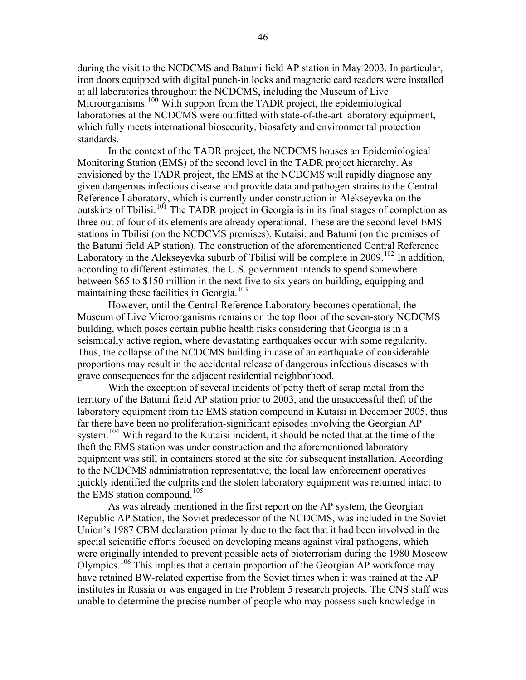during the visit to the NCDCMS and Batumi field AP station in May 2003. In particular, iron doors equipped with digital punch-in locks and magnetic card readers were installed at all laboratories throughout the NCDCMS, including the Museum of Live Microorganisms.<sup>[100](#page-7-0)</sup> With support from the TADR project, the epidemiological laboratories at the NCDCMS were outfitted with state-of-the-art laboratory equipment, which fully meets international biosecurity, biosafety and environmental protection standards.

In the context of the TADR project, the NCDCMS houses an Epidemiological Monitoring Station (EMS) of the second level in the TADR project hierarchy. As envisioned by the TADR project, the EMS at the NCDCMS will rapidly diagnose any given dangerous infectious disease and provide data and pathogen strains to the Central Reference Laboratory, which is currently under construction in Alekseyevka on the outskirts of Tbilisi.<sup>[101](#page-7-0)</sup> The TADR project in Georgia is in its final stages of completion as three out of four of its elements are already operational. These are the second level EMS stations in Tbilisi (on the NCDCMS premises), Kutaisi, and Batumi (on the premises of the Batumi field AP station). The construction of the aforementioned Central Reference Laboratory in the Alekseyevka suburb of Tbilisi will be complete in 2009.<sup>[102](#page-7-0)</sup> In addition, according to different estimates, the U.S. government intends to spend somewhere between \$65 to \$150 million in the next five to six years on building, equipping and maintaining these facilities in Georgia.<sup>[103](#page-7-0)</sup>

However, until the Central Reference Laboratory becomes operational, the Museum of Live Microorganisms remains on the top floor of the seven-story NCDCMS building, which poses certain public health risks considering that Georgia is in a seismically active region, where devastating earthquakes occur with some regularity. Thus, the collapse of the NCDCMS building in case of an earthquake of considerable proportions may result in the accidental release of dangerous infectious diseases with grave consequences for the adjacent residential neighborhood.

 With the exception of several incidents of petty theft of scrap metal from the territory of the Batumi field AP station prior to 2003, and the unsuccessful theft of the laboratory equipment from the EMS station compound in Kutaisi in December 2005, thus far there have been no proliferation-significant episodes involving the Georgian AP system.<sup>[104](#page-7-0)</sup> With regard to the Kutaisi incident, it should be noted that at the time of the theft the EMS station was under construction and the aforementioned laboratory equipment was still in containers stored at the site for subsequent installation. According to the NCDCMS administration representative, the local law enforcement operatives quickly identified the culprits and the stolen laboratory equipment was returned intact to the EMS station compound.<sup>[105](#page-7-0)</sup>

 As was already mentioned in the first report on the AP system, the Georgian Republic AP Station, the Soviet predecessor of the NCDCMS, was included in the Soviet Union's 1987 CBM declaration primarily due to the fact that it had been involved in the special scientific efforts focused on developing means against viral pathogens, which were originally intended to prevent possible acts of bioterrorism during the 1980 Moscow Olympics.[106](#page-7-0) This implies that a certain proportion of the Georgian AP workforce may have retained BW-related expertise from the Soviet times when it was trained at the AP institutes in Russia or was engaged in the Problem 5 research projects. The CNS staff was unable to determine the precise number of people who may possess such knowledge in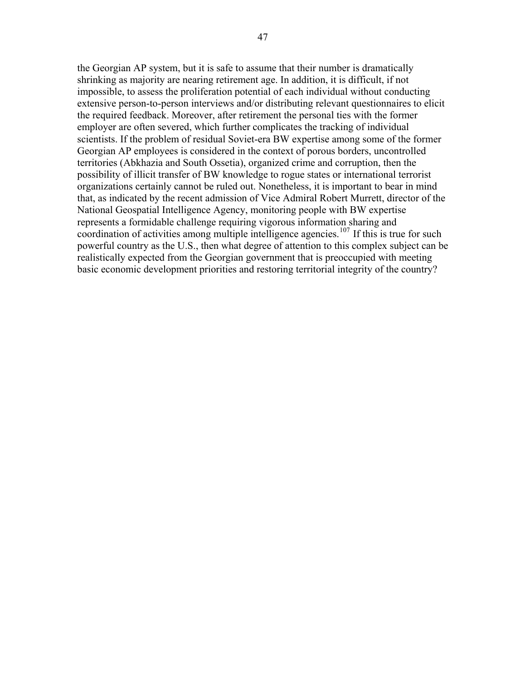the Georgian AP system, but it is safe to assume that their number is dramatically shrinking as majority are nearing retirement age. In addition, it is difficult, if not impossible, to assess the proliferation potential of each individual without conducting extensive person-to-person interviews and/or distributing relevant questionnaires to elicit the required feedback. Moreover, after retirement the personal ties with the former employer are often severed, which further complicates the tracking of individual scientists. If the problem of residual Soviet-era BW expertise among some of the former Georgian AP employees is considered in the context of porous borders, uncontrolled territories (Abkhazia and South Ossetia), organized crime and corruption, then the possibility of illicit transfer of BW knowledge to rogue states or international terrorist organizations certainly cannot be ruled out. Nonetheless, it is important to bear in mind that, as indicated by the recent admission of Vice Admiral Robert Murrett, director of the National Geospatial Intelligence Agency, monitoring people with BW expertise represents a formidable challenge requiring vigorous information sharing and coordination of activities among multiple intelligence agencies.<sup>[107](#page-7-0)</sup> If this is true for such powerful country as the U.S., then what degree of attention to this complex subject can be realistically expected from the Georgian government that is preoccupied with meeting basic economic development priorities and restoring territorial integrity of the country?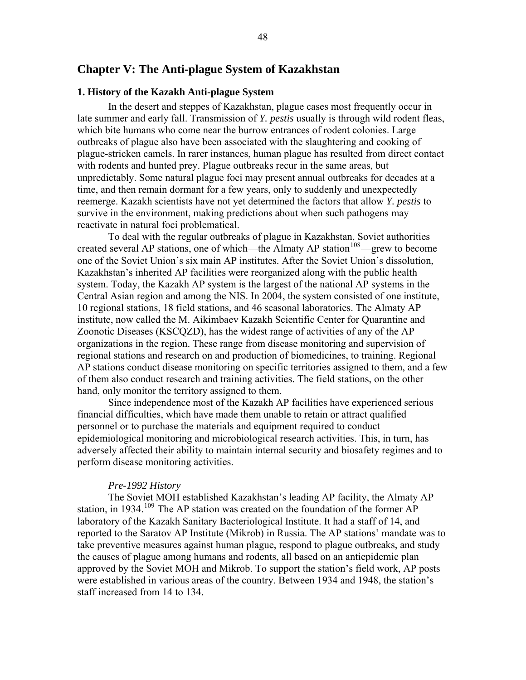# **Chapter V: The Anti-plague System of Kazakhstan**

### **1. History of the Kazakh Anti-plague System**

In the desert and steppes of Kazakhstan, plague cases most frequently occur in late summer and early fall. Transmission of *Y. pestis* usually is through wild rodent fleas, which bite humans who come near the burrow entrances of rodent colonies. Large outbreaks of plague also have been associated with the slaughtering and cooking of plague-stricken camels. In rarer instances, human plague has resulted from direct contact with rodents and hunted prey. Plague outbreaks recur in the same areas, but unpredictably. Some natural plague foci may present annual outbreaks for decades at a time, and then remain dormant for a few years, only to suddenly and unexpectedly reemerge. Kazakh scientists have not yet determined the factors that allow *Y. pestis* to survive in the environment, making predictions about when such pathogens may reactivate in natural foci problematical.

To deal with the regular outbreaks of plague in Kazakhstan, Soviet authorities created several AP stations, one of which—the Almaty AP station<sup>[108](#page-7-0)</sup>—grew to become one of the Soviet Union's six main AP institutes. After the Soviet Union's dissolution, Kazakhstan's inherited AP facilities were reorganized along with the public health system. Today, the Kazakh AP system is the largest of the national AP systems in the Central Asian region and among the NIS. In 2004, the system consisted of one institute, 10 regional stations, 18 field stations, and 46 seasonal laboratories. The Almaty AP institute, now called the M. Aikimbaev Kazakh Scientific Center for Quarantine and Zoonotic Diseases (KSCQZD), has the widest range of activities of any of the AP organizations in the region. These range from disease monitoring and supervision of regional stations and research on and production of biomedicines, to training. Regional AP stations conduct disease monitoring on specific territories assigned to them, and a few of them also conduct research and training activities. The field stations, on the other hand, only monitor the territory assigned to them.

Since independence most of the Kazakh AP facilities have experienced serious financial difficulties, which have made them unable to retain or attract qualified personnel or to purchase the materials and equipment required to conduct epidemiological monitoring and microbiological research activities. This, in turn, has adversely affected their ability to maintain internal security and biosafety regimes and to perform disease monitoring activities.

#### *Pre-1992 History*

 The Soviet MOH established Kazakhstan's leading AP facility, the Almaty AP station, in 1934.<sup>[109](#page-8-0)</sup> The AP station was created on the foundation of the former AP laboratory of the Kazakh Sanitary Bacteriological Institute. It had a staff of 14, and reported to the Saratov AP Institute (Mikrob) in Russia. The AP stations' mandate was to take preventive measures against human plague, respond to plague outbreaks, and study the causes of plague among humans and rodents, all based on an antiepidemic plan approved by the Soviet MOH and Mikrob. To support the station's field work, AP posts were established in various areas of the country. Between 1934 and 1948, the station's staff increased from 14 to 134.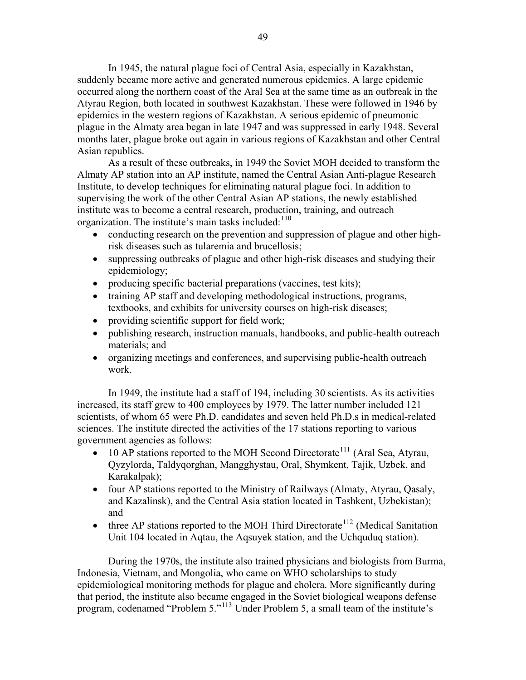In 1945, the natural plague foci of Central Asia, especially in Kazakhstan, suddenly became more active and generated numerous epidemics. A large epidemic occurred along the northern coast of the Aral Sea at the same time as an outbreak in the Atyrau Region, both located in southwest Kazakhstan. These were followed in 1946 by epidemics in the western regions of Kazakhstan. A serious epidemic of pneumonic plague in the Almaty area began in late 1947 and was suppressed in early 1948. Several months later, plague broke out again in various regions of Kazakhstan and other Central Asian republics.

As a result of these outbreaks, in 1949 the Soviet MOH decided to transform the Almaty AP station into an AP institute, named the Central Asian Anti-plague Research Institute, to develop techniques for eliminating natural plague foci. In addition to supervising the work of the other Central Asian AP stations, the newly established institute was to become a central research, production, training, and outreach organization. The institute's main tasks included:<sup>[110](#page-8-0)</sup>

- conducting research on the prevention and suppression of plague and other highrisk diseases such as tularemia and brucellosis;
- suppressing outbreaks of plague and other high-risk diseases and studying their epidemiology;
- producing specific bacterial preparations (vaccines, test kits);
- training AP staff and developing methodological instructions, programs, textbooks, and exhibits for university courses on high-risk diseases;
- providing scientific support for field work;
- publishing research, instruction manuals, handbooks, and public-health outreach materials; and
- organizing meetings and conferences, and supervising public-health outreach work.

 In 1949, the institute had a staff of 194, including 30 scientists. As its activities increased, its staff grew to 400 employees by 1979. The latter number included 121 scientists, of whom 65 were Ph.D. candidates and seven held Ph.D.s in medical-related sciences. The institute directed the activities of the 17 stations reporting to various government agencies as follows:

- 10 AP stations reported to the MOH Second Directorate<sup>[111](#page-8-0)</sup> (Aral Sea, Atyrau, Qyzylorda, Taldyqorghan, Mangghystau, Oral, Shymkent, Tajik, Uzbek, and Karakalpak);
- four AP stations reported to the Ministry of Railways (Almaty, Atyrau, Qasaly, and Kazalinsk), and the Central Asia station located in Tashkent, Uzbekistan); and
- three AP stations reported to the MOH Third Directorate<sup>[112](#page-8-0)</sup> (Medical Sanitation Unit 104 located in Aqtau, the Aqsuyek station, and the Uchquduq station).

During the 1970s, the institute also trained physicians and biologists from Burma, Indonesia, Vietnam, and Mongolia, who came on WHO scholarships to study epidemiological monitoring methods for plague and cholera. More significantly during that period, the institute also became engaged in the Soviet biological weapons defense program, codenamed "Problem 5."[113](#page-8-0) Under Problem 5, a small team of the institute's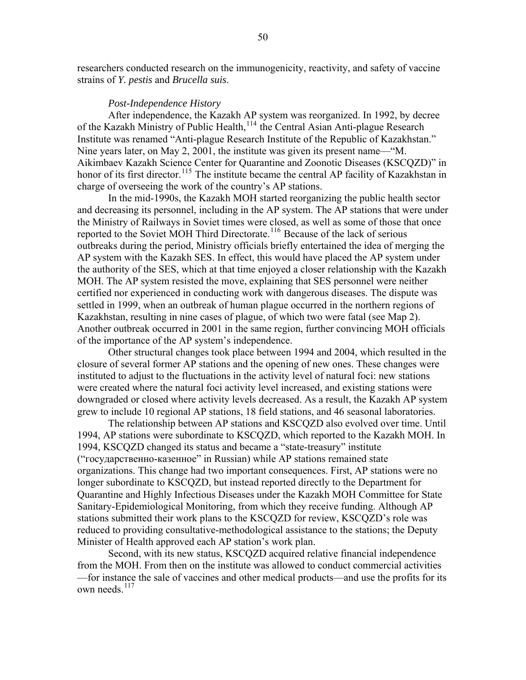researchers conducted research on the immunogenicity, reactivity, and safety of vaccine strains of *Y. pestis* and *Brucella suis*.

#### *Post-Independence History*

 After independence, the Kazakh AP system was reorganized. In 1992, by decree of the Kazakh Ministry of Public Health,<sup>[114](#page-8-0)</sup> the Central Asian Anti-plague Research Institute was renamed "Anti-plague Research Institute of the Republic of Kazakhstan." Nine years later, on May 2, 2001, the institute was given its present name—"M. Aikimbaev Kazakh Science Center for Quarantine and Zoonotic Diseases (KSCQZD)" in honor of its first director.<sup>[115](#page-8-0)</sup> The institute became the central AP facility of Kazakhstan in charge of overseeing the work of the country's AP stations.

In the mid-1990s, the Kazakh MOH started reorganizing the public health sector and decreasing its personnel, including in the AP system. The AP stations that were under the Ministry of Railways in Soviet times were closed, as well as some of those that once reported to the Soviet MOH Third Directorate.[116](#page-8-0) Because of the lack of serious outbreaks during the period, Ministry officials briefly entertained the idea of merging the AP system with the Kazakh SES. In effect, this would have placed the AP system under the authority of the SES, which at that time enjoyed a closer relationship with the Kazakh MOH. The AP system resisted the move, explaining that SES personnel were neither certified nor experienced in conducting work with dangerous diseases. The dispute was settled in 1999, when an outbreak of human plague occurred in the northern regions of Kazakhstan, resulting in nine cases of plague, of which two were fatal (see Map 2). Another outbreak occurred in 2001 in the same region, further convincing MOH officials of the importance of the AP system's independence.

Other structural changes took place between 1994 and 2004, which resulted in the closure of several former AP stations and the opening of new ones. These changes were instituted to adjust to the fluctuations in the activity level of natural foci: new stations were created where the natural foci activity level increased, and existing stations were downgraded or closed where activity levels decreased. As a result, the Kazakh AP system grew to include 10 regional AP stations, 18 field stations, and 46 seasonal laboratories.

The relationship between AP stations and KSCQZD also evolved over time. Until 1994, AP stations were subordinate to KSCQZD, which reported to the Kazakh MOH. In 1994, KSCQZD changed its status and became a "state-treasury" institute ("государственно-казенное" in Russian) while AP stations remained state organizations. This change had two important consequences. First, AP stations were no longer subordinate to KSCQZD, but instead reported directly to the Department for Quarantine and Highly Infectious Diseases under the Kazakh MOH Committee for State Sanitary-Epidemiological Monitoring, from which they receive funding. Although AP stations submitted their work plans to the KSCQZD for review, KSCQZD's role was reduced to providing consultative-methodological assistance to the stations; the Deputy Minister of Health approved each AP station's work plan.

Second, with its new status, KSCQZD acquired relative financial independence from the MOH. From then on the institute was allowed to conduct commercial activities —for instance the sale of vaccines and other medical products—and use the profits for its own needs<sup>[117](#page-8-0)</sup>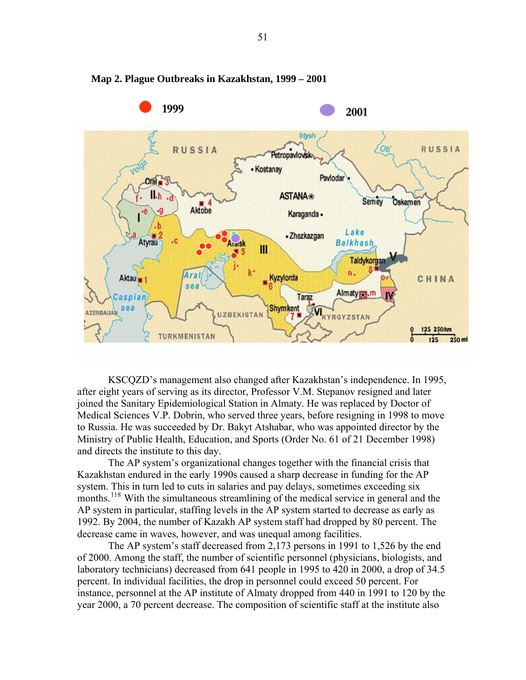

**Map 2. Plague Outbreaks in Kazakhstan, 1999 – 2001** 

 KSCQZD's management also changed after Kazakhstan's independence. In 1995, after eight years of serving as its director, Professor V.M. Stepanov resigned and later joined the Sanitary Epidemiological Station in Almaty. He was replaced by Doctor of Medical Sciences V.P. Dobrin, who served three years, before resigning in 1998 to move to Russia. He was succeeded by Dr. Bakyt Atshabar, who was appointed director by the Ministry of Public Health, Education, and Sports (Order No. 61 of 21 December 1998) and directs the institute to this day.

The AP system's organizational changes together with the financial crisis that Kazakhstan endured in the early 1990s caused a sharp decrease in funding for the AP system. This in turn led to cuts in salaries and pay delays, sometimes exceeding six months.<sup>[118](#page-8-0)</sup> With the simultaneous streamlining of the medical service in general and the AP system in particular, staffing levels in the AP system started to decrease as early as 1992. By 2004, the number of Kazakh AP system staff had dropped by 80 percent. The decrease came in waves, however, and was unequal among facilities.

The AP system's staff decreased from 2,173 persons in 1991 to 1,526 by the end of 2000. Among the staff, the number of scientific personnel (physicians, biologists, and laboratory technicians) decreased from 641 people in 1995 to 420 in 2000, a drop of 34.5 percent. In individual facilities, the drop in personnel could exceed 50 percent. For instance, personnel at the AP institute of Almaty dropped from 440 in 1991 to 120 by the year 2000, a 70 percent decrease. The composition of scientific staff at the institute also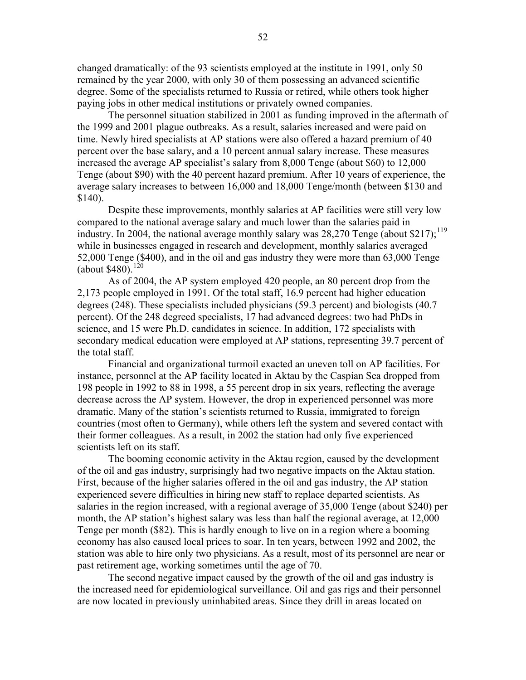changed dramatically: of the 93 scientists employed at the institute in 1991, only 50 remained by the year 2000, with only 30 of them possessing an advanced scientific degree. Some of the specialists returned to Russia or retired, while others took higher paying jobs in other medical institutions or privately owned companies.

 The personnel situation stabilized in 2001 as funding improved in the aftermath of the 1999 and 2001 plague outbreaks. As a result, salaries increased and were paid on time. Newly hired specialists at AP stations were also offered a hazard premium of 40 percent over the base salary, and a 10 percent annual salary increase. These measures increased the average AP specialist's salary from 8,000 Tenge (about \$60) to 12,000 Tenge (about \$90) with the 40 percent hazard premium. After 10 years of experience, the average salary increases to between 16,000 and 18,000 Tenge/month (between \$130 and \$140).

Despite these improvements, monthly salaries at AP facilities were still very low compared to the national average salary and much lower than the salaries paid in industry. In 2004, the national average monthly salary was  $28,270$  Tenge (about \$217);<sup>[119](#page-8-0)</sup> while in businesses engaged in research and development, monthly salaries averaged 52,000 Tenge ([\\$4](#page-8-0)00), and in the oil and gas industry they were more than 63,000 Tenge (about \$480).<sup>[120](#page-8-0)</sup>

 As of 2004, the AP system employed 420 people, an 80 percent drop from the 2,173 people employed in 1991. Of the total staff, 16.9 percent had higher education degrees (248). These specialists included physicians (59.3 percent) and biologists (40.7 percent). Of the 248 degreed specialists, 17 had advanced degrees: two had PhDs in science, and 15 were Ph.D. candidates in science. In addition, 172 specialists with secondary medical education were employed at AP stations, representing 39.7 percent of the total staff.

 Financial and organizational turmoil exacted an uneven toll on AP facilities. For instance, personnel at the AP facility located in Aktau by the Caspian Sea dropped from 198 people in 1992 to 88 in 1998, a 55 percent drop in six years, reflecting the average decrease across the AP system. However, the drop in experienced personnel was more dramatic. Many of the station's scientists returned to Russia, immigrated to foreign countries (most often to Germany), while others left the system and severed contact with their former colleagues. As a result, in 2002 the station had only five experienced scientists left on its staff.

 The booming economic activity in the Aktau region, caused by the development of the oil and gas industry, surprisingly had two negative impacts on the Aktau station. First, because of the higher salaries offered in the oil and gas industry, the AP station experienced severe difficulties in hiring new staff to replace departed scientists. As salaries in the region increased, with a regional average of 35,000 Tenge (about \$240) per month, the AP station's highest salary was less than half the regional average, at 12,000 Tenge per month (\$82). This is hardly enough to live on in a region where a booming economy has also caused local prices to soar. In ten years, between 1992 and 2002, the station was able to hire only two physicians. As a result, most of its personnel are near or past retirement age, working sometimes until the age of 70.

 The second negative impact caused by the growth of the oil and gas industry is the increased need for epidemiological surveillance. Oil and gas rigs and their personnel are now located in previously uninhabited areas. Since they drill in areas located on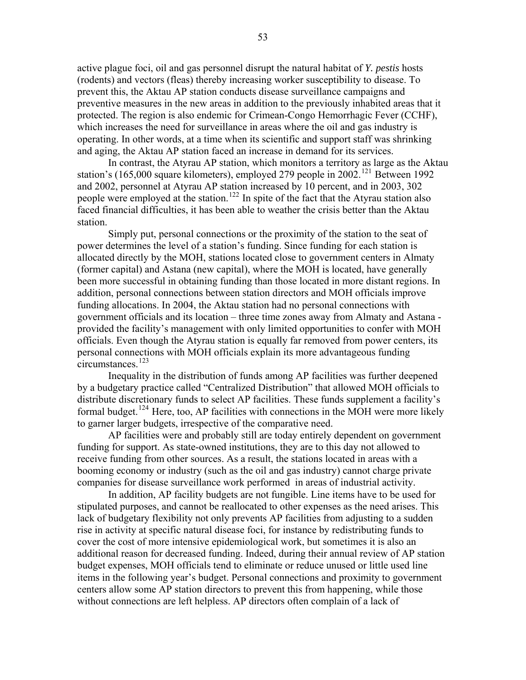active plague foci, oil and gas personnel disrupt the natural habitat of *Y. pestis* hosts (rodents) and vectors (fleas) thereby increasing worker susceptibility to disease. To prevent this, the Aktau AP station conducts disease surveillance campaigns and preventive measures in the new areas in addition to the previously inhabited areas that it protected. The region is also endemic for Crimean-Congo Hemorrhagic Fever (CCHF), which increases the need for surveillance in areas where the oil and gas industry is operating. In other words, at a time when its scientific and support staff was shrinking and aging, the Aktau AP station faced an increase in demand for its services.

In contrast, the Atyrau AP station, which monitors a territory as large as the Aktau station's (165,000 square kilometers), employed 279 people in  $2002$ <sup>[121](#page-8-0)</sup> Between 1992 and 2002, personnel at Atyrau AP station increased by 10 percent, and in 2003, 302 people were employed at the station.<sup>[122](#page-8-0)</sup> In spite of the fact that the Atyrau station also faced financial difficulties, it has been able to weather the crisis better than the Aktau station.

Simply put, personal connections or the proximity of the station to the seat of power determines the level of a station's funding. Since funding for each station is allocated directly by the MOH, stations located close to government centers in Almaty (former capital) and Astana (new capital), where the MOH is located, have generally been more successful in obtaining funding than those located in more distant regions. In addition, personal connections between station directors and MOH officials improve funding allocations. In 2004, the Aktau station had no personal connections with government officials and its location – three time zones away from Almaty and Astana provided the facility's management with only limited opportunities to confer with MOH officials. Even though the Atyrau station is equally far removed from power centers, its personal connections with MOH officials explain its more advantageous funding circumstances.[123](#page-8-0)

 Inequality in the distribution of funds among AP facilities was further deepened by a budgetary practice called "Centralized Distribution" that allowed MOH officials to distribute discretionary funds to select AP facilities. These funds supplement a facility's formal budget.<sup>[124](#page-8-0)</sup> Here, too, AP facilities with connections in the MOH were more likely to garner larger budgets, irrespective of the comparative need.

AP facilities were and probably still are today entirely dependent on government funding for support. As state-owned institutions, they are to this day not allowed to receive funding from other sources. As a result, the stations located in areas with a booming economy or industry (such as the oil and gas industry) cannot charge private companies for disease surveillance work performed in areas of industrial activity.

In addition, AP facility budgets are not fungible. Line items have to be used for stipulated purposes, and cannot be reallocated to other expenses as the need arises. This lack of budgetary flexibility not only prevents AP facilities from adjusting to a sudden rise in activity at specific natural disease foci, for instance by redistributing funds to cover the cost of more intensive epidemiological work, but sometimes it is also an additional reason for decreased funding. Indeed, during their annual review of AP station budget expenses, MOH officials tend to eliminate or reduce unused or little used line items in the following year's budget. Personal connections and proximity to government centers allow some AP station directors to prevent this from happening, while those without connections are left helpless. AP directors often complain of a lack of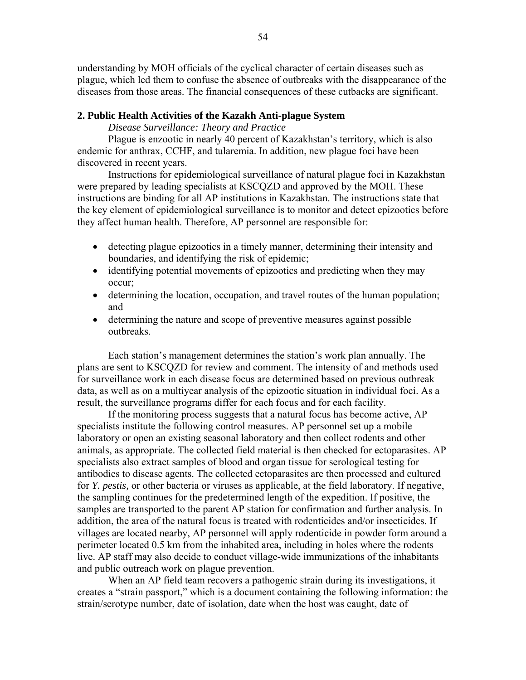understanding by MOH officials of the cyclical character of certain diseases such as plague, which led them to confuse the absence of outbreaks with the disappearance of the diseases from those areas. The financial consequences of these cutbacks are significant.

## **2. Public Health Activities of the Kazakh Anti-plague System**

*Disease Surveillance: Theory and Practice* 

Plague is enzootic in nearly 40 percent of Kazakhstan's territory, which is also endemic for anthrax, CCHF, and tularemia. In addition, new plague foci have been discovered in recent years.

Instructions for epidemiological surveillance of natural plague foci in Kazakhstan were prepared by leading specialists at KSCQZD and approved by the MOH. These instructions are binding for all AP institutions in Kazakhstan. The instructions state that the key element of epidemiological surveillance is to monitor and detect epizootics before they affect human health. Therefore, AP personnel are responsible for:

- detecting plague epizootics in a timely manner, determining their intensity and boundaries, and identifying the risk of epidemic;
- identifying potential movements of epizootics and predicting when they may occur;
- determining the location, occupation, and travel routes of the human population; and
- determining the nature and scope of preventive measures against possible outbreaks.

Each station's management determines the station's work plan annually. The plans are sent to KSCQZD for review and comment. The intensity of and methods used for surveillance work in each disease focus are determined based on previous outbreak data, as well as on a multiyear analysis of the epizootic situation in individual foci. As a result, the surveillance programs differ for each focus and for each facility.

If the monitoring process suggests that a natural focus has become active, AP specialists institute the following control measures. AP personnel set up a mobile laboratory or open an existing seasonal laboratory and then collect rodents and other animals, as appropriate. The collected field material is then checked for ectoparasites. AP specialists also extract samples of blood and organ tissue for serological testing for antibodies to disease agents. The collected ectoparasites are then processed and cultured for *Y. pestis,* or other bacteria or viruses as applicable, at the field laboratory. If negative, the sampling continues for the predetermined length of the expedition. If positive, the samples are transported to the parent AP station for confirmation and further analysis. In addition, the area of the natural focus is treated with rodenticides and/or insecticides. If villages are located nearby, AP personnel will apply rodenticide in powder form around a perimeter located 0.5 km from the inhabited area, including in holes where the rodents live. AP staff may also decide to conduct village-wide immunizations of the inhabitants and public outreach work on plague prevention.

When an AP field team recovers a pathogenic strain during its investigations, it creates a "strain passport," which is a document containing the following information: the strain/serotype number, date of isolation, date when the host was caught, date of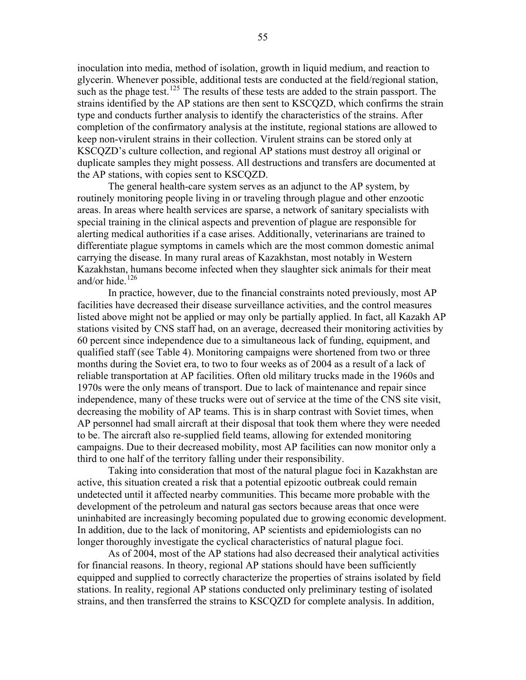inoculation into media, method of isolation, growth in liquid medium, and reaction to glycerin. Whenever possible, additional tests are conducted at the field/regional station, such as the phage test.<sup>[125](#page-8-0)</sup> The results of these tests are added to the strain passport. The strains identified by the AP stations are then sent to KSCQZD, which confirms the strain type and conducts further analysis to identify the characteristics of the strains. After completion of the confirmatory analysis at the institute, regional stations are allowed to keep non-virulent strains in their collection. Virulent strains can be stored only at KSCQZD's culture collection, and regional AP stations must destroy all original or duplicate samples they might possess. All destructions and transfers are documented at the AP stations, with copies sent to KSCQZD.

The general health-care system serves as an adjunct to the AP system, by routinely monitoring people living in or traveling through plague and other enzootic areas. In areas where health services are sparse, a network of sanitary specialists with special training in the clinical aspects and prevention of plague are responsible for alerting medical authorities if a case arises. Additionally, veterinarians are trained to differentiate plague symptoms in camels which are the most common domestic animal carrying the disease. In many rural areas of Kazakhstan, most notably in Western Kazakhstan, humans become infected when they slaughter sick animals for their meat and/or hide. $126$ 

In practice, however, due to the financial constraints noted previously, most AP facilities have decreased their disease surveillance activities, and the control measures listed above might not be applied or may only be partially applied. In fact, all Kazakh AP stations visited by CNS staff had, on an average, decreased their monitoring activities by 60 percent since independence due to a simultaneous lack of funding, equipment, and qualified staff (see Table 4). Monitoring campaigns were shortened from two or three months during the Soviet era, to two to four weeks as of 2004 as a result of a lack of reliable transportation at AP facilities. Often old military trucks made in the 1960s and 1970s were the only means of transport. Due to lack of maintenance and repair since independence, many of these trucks were out of service at the time of the CNS site visit, decreasing the mobility of AP teams. This is in sharp contrast with Soviet times, when AP personnel had small aircraft at their disposal that took them where they were needed to be. The aircraft also re-supplied field teams, allowing for extended monitoring campaigns. Due to their decreased mobility, most AP facilities can now monitor only a third to one half of the territory falling under their responsibility.

Taking into consideration that most of the natural plague foci in Kazakhstan are active, this situation created a risk that a potential epizootic outbreak could remain undetected until it affected nearby communities. This became more probable with the development of the petroleum and natural gas sectors because areas that once were uninhabited are increasingly becoming populated due to growing economic development. In addition, due to the lack of monitoring, AP scientists and epidemiologists can no longer thoroughly investigate the cyclical characteristics of natural plague foci.

As of 2004, most of the AP stations had also decreased their analytical activities for financial reasons. In theory, regional AP stations should have been sufficiently equipped and supplied to correctly characterize the properties of strains isolated by field stations. In reality, regional AP stations conducted only preliminary testing of isolated strains, and then transferred the strains to KSCQZD for complete analysis. In addition,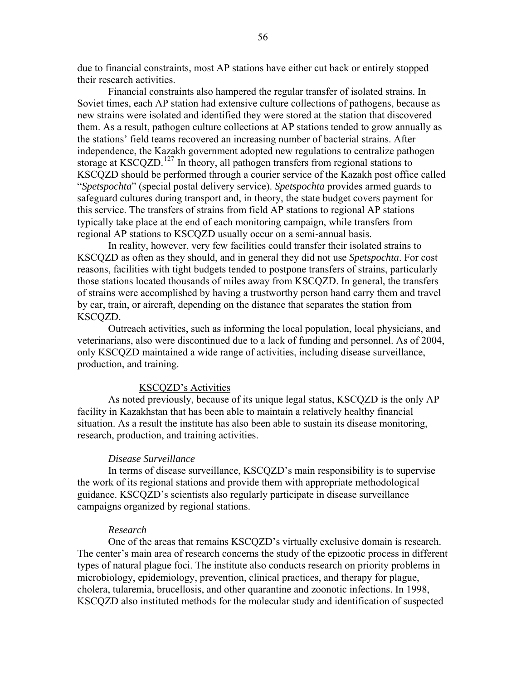due to financial constraints, most AP stations have either cut back or entirely stopped their research activities.

 Financial constraints also hampered the regular transfer of isolated strains. In Soviet times, each AP station had extensive culture collections of pathogens, because as new strains were isolated and identified they were stored at the station that discovered them. As a result, pathogen culture collections at AP stations tended to grow annually as the stations' field teams recovered an increasing number of bacterial strains. After independence, the Kazakh government adopted new regulations to centralize pathogen storage at KSCQZD.<sup>[127](#page-8-0)</sup> In theory, all pathogen transfers from regional stations to KSCQZD should be performed through a courier service of the Kazakh post office called "*Spetspochta*" (special postal delivery service). *Spetspochta* provides armed guards to safeguard cultures during transport and, in theory, the state budget covers payment for this service. The transfers of strains from field AP stations to regional AP stations typically take place at the end of each monitoring campaign, while transfers from regional AP stations to KSCQZD usually occur on a semi-annual basis.

In reality, however, very few facilities could transfer their isolated strains to KSCQZD as often as they should, and in general they did not use *Spetspochta*. For cost reasons, facilities with tight budgets tended to postpone transfers of strains, particularly those stations located thousands of miles away from KSCQZD. In general, the transfers of strains were accomplished by having a trustworthy person hand carry them and travel by car, train, or aircraft, depending on the distance that separates the station from KSCQZD.

 Outreach activities, such as informing the local population, local physicians, and veterinarians, also were discontinued due to a lack of funding and personnel. As of 2004, only KSCQZD maintained a wide range of activities, including disease surveillance, production, and training.

### KSCQZD's Activities

As noted previously, because of its unique legal status, KSCQZD is the only AP facility in Kazakhstan that has been able to maintain a relatively healthy financial situation. As a result the institute has also been able to sustain its disease monitoring, research, production, and training activities.

#### *Disease Surveillance*

In terms of disease surveillance, KSCQZD's main responsibility is to supervise the work of its regional stations and provide them with appropriate methodological guidance. KSCQZD's scientists also regularly participate in disease surveillance campaigns organized by regional stations.

#### *Research*

One of the areas that remains KSCQZD's virtually exclusive domain is research. The center's main area of research concerns the study of the epizootic process in different types of natural plague foci. The institute also conducts research on priority problems in microbiology, epidemiology, prevention, clinical practices, and therapy for plague, cholera, tularemia, brucellosis, and other quarantine and zoonotic infections. In 1998, KSCQZD also instituted methods for the molecular study and identification of suspected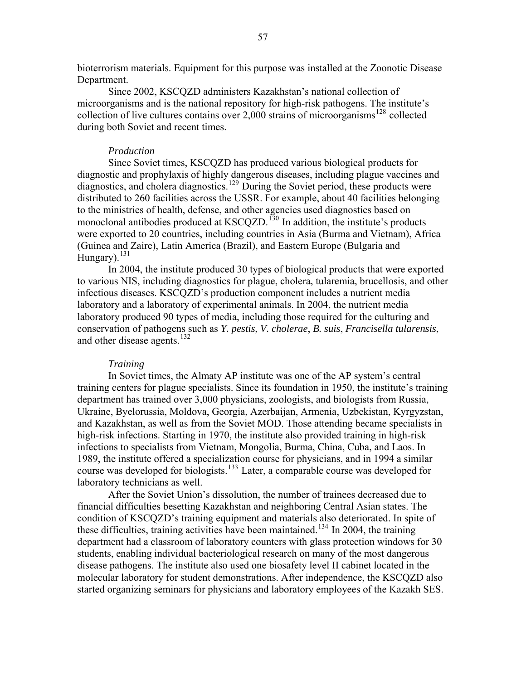bioterrorism materials. Equipment for this purpose was installed at the Zoonotic Disease Department.

Since 2002, KSCQZD administers Kazakhstan's national collection of microorganisms and is the national repository for high-risk pathogens. The institute's collection of live cultures contains over  $2,000$  strains of microorganisms<sup>[128](#page-8-0)</sup> collected during both Soviet and recent times.

### *Production*

Since Soviet times, KSCQZD has produced various biological products for diagnostic and prophylaxis of highly dangerous diseases, including plague vaccines and diagnostics, and cholera diagnostics.<sup>[129](#page-8-0)</sup> During the Soviet period, these products were distributed to 260 facilities across the USSR. For example, about 40 facilities belonging to the ministries of health, defense, and other agencies used diagnostics based on monoclonal antibodies produced at  $KSCQZD$ .<sup>[130](#page-8-0)</sup> In addition, the institute's products were exported to 20 countries, including countries in Asia (Burma and Vietnam), A frica (Guinea and Zaire), Latin America (Brazil), and Eastern Europe (Bulgaria and Hungary).<sup>[131](#page-8-0)</sup>

In 2004, the institute produced 30 types of biological products that were exported to various NIS, including diagnostics for plague, cholera, tularemia, brucellosis, and other infectious diseases. KSCQZD's production component includes a nutrient media laboratory and a laboratory of experimental animals. In 2004, the nutrient media laboratory produced 90 types of media, including those required for the culturing and conservation of pathogens such as *Y. pestis*, *V. cholerae*, *B. suis*, *Francisella tularensis*, and other disease agents.<sup>[132](#page-8-0)</sup>

#### *Training*

In Soviet times, the Almaty AP institute was one of the AP system's central training centers for plague specialists. Since its foundation in 1950, the institute's training department has trained over 3,000 physicians, zoologists, and biologists from Russia, Ukraine, Byelorussia, Moldova, Georgia, Azerbaijan, Armenia, Uzbekistan, Kyrgyzstan, and Kazakhstan, as well as from the Soviet MOD. Those attending became specialists in high-risk infections. Starting in 1970, the institute also provided training in high-risk infections to specialists from Vietnam, Mongolia, Burma, China, Cuba, and Laos. In 1989, the institute offered a specialization course for physicians, and in 1994 a similar course was developed for biologists.<sup>[133](#page-8-0)</sup> Later, a comparable course was developed for laboratory technicians as well.

After the Soviet Union's dissolution, the number of trainees decreased due to financial difficulties besetting Kazakhstan and neighboring Central Asian states. The condition of KSCQZD's training equipment and materials also deteriorated. In spite of these difficulties, training activities have been maintained.<sup>[134](#page-8-0)</sup> In 2004, the training department had a classroom of laboratory counters with glass protection windows for 30 students, enabling individual bacteriological research on many of the most dangerous disease pathogens. The institute also used one biosafety level II cabinet located in the molecular laboratory for student demonstrations. After independence, the KSCQZD also started organizing seminars for physicians and laboratory employees of the Kazakh SES.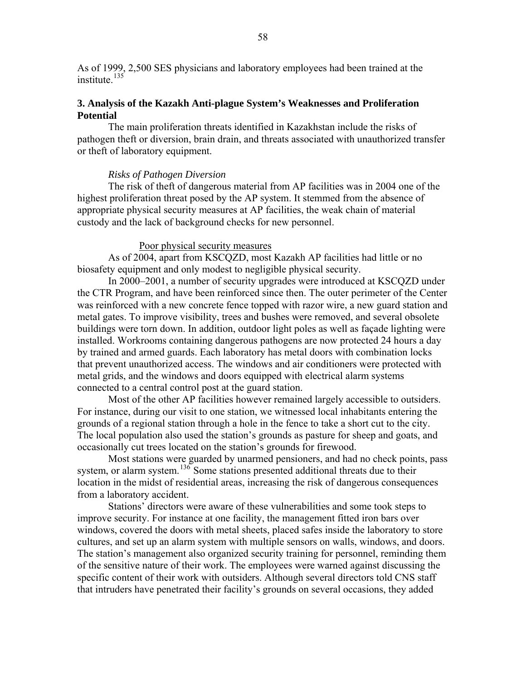As of 1999, 2,500 SES physicians and laboratory employees had been trained at the institute.<sup>[135](#page-8-0)</sup>

# **3. Analysis of the Kazakh Anti-plague System's Weaknesses and Proliferation Potential**

The main proliferation threats identified in Kazakhstan include the risks of pathogen theft or diversion, brain drain, and threats associated with unauthorized transfer or theft of laboratory equipment.

### *Risks of Pathogen Diversion*

The risk of theft of dangerous material from AP facilities was in 2004 one of the highest proliferation threat posed by the AP system. It stemmed from the absence of appropriate physical security measures at AP facilities, the weak chain of material custody and the lack of background checks for new personnel.

#### Poor physical security measures

As of 2004, apart from KSCQZD, most Kazakh AP facilities had little or no biosafety equipment and only modest to negligible physical security.

In 2000–2001, a number of security upgrades were introduced at KSCQZD under the CTR Program, and have been reinforced since then. The outer perimeter of the Center was reinforced with a new concrete fence topped with razor wire, a new guard station and metal gates. To improve visibility, trees and bushes were removed, and several obsolete buildings were torn down. In addition, outdoor light poles as well as façade lighting were installed. Workrooms containing dangerous pathogens are now protected 24 hours a day by trained and armed guards. Each laboratory has metal doors with combination locks that prevent unauthorized access. The windows and air conditioners were protected with metal grids, and the windows and doors equipped with electrical alarm systems connected to a central control post at the guard station.

Most of the other AP facilities however remained largely accessible to outsiders. For instance, during our visit to one station, we witnessed local inhabitants entering the grounds of a regional station through a hole in the fence to take a short cut to the city. The local population also used the station's grounds as pasture for sheep and goats, and occasionally cut trees located on the station's grounds for firewood.

Most stations were guarded by unarmed pensioners, and had no check points, pass system, or alarm system.<sup>[136](#page-8-0)</sup> Some stations presented additional threats due to their location in the midst of residential areas, increasing the risk of dangerous consequences from a laboratory accident.

Stations' directors were aware of these vulnerabilities and some took steps to improve security. For instance at one facility, the management fitted iron bars over windows, covered the doors with metal sheets, placed safes inside the laboratory to store cultures, and set up an alarm system with multiple sensors on walls, windows, and doors. The station's management also organized security training for personnel, reminding them of the sensitive nature of their work. The employees were warned against discussing the specific content of their work with outsiders. Although several directors told CNS staff that intruders have penetrated their facility's grounds on several occasions, they added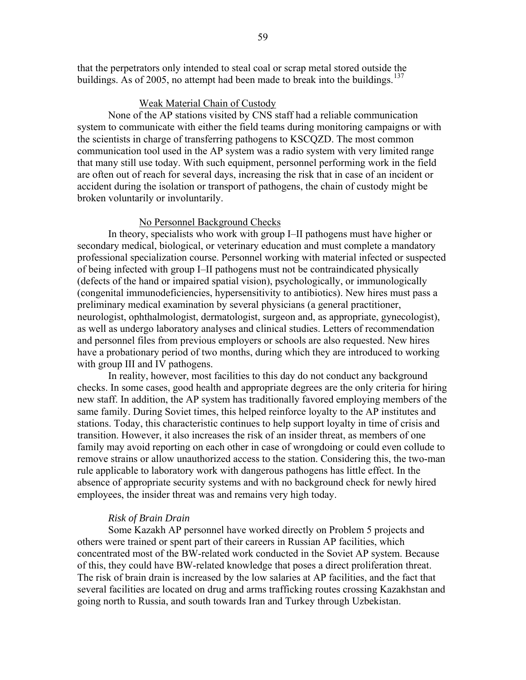that the perpetrators only intended to steal coal or scrap metal stored outside the buildings. As of 2005, no attempt had been made to break into the buildings.<sup>[137](#page-9-0)</sup>

#### Weak Material Chain of Custody

None of the AP stations visited by CNS staff had a reliable communication system to communicate with either the field teams during monitoring campaigns or with the scientists in charge of transferring pathogens to KSCQZD. The most common communication tool used in the AP system was a radio system with very limited range that many still use today. With such equipment, personnel performing work in the field are often out of reach for several days, increasing the risk that in case of an incident or accident during the isolation or transport of pathogens, the chain of custody might be broken voluntarily or involuntarily.

### No Personnel Background Checks

 In theory, specialists who work with group I–II pathogens must have higher or secondary medical, biological, or veterinary education and must complete a mandatory professional specialization course. Personnel working with material infected or suspected of being infected with group I–II pathogens must not be contraindicated physically (defects of the hand or impaired spatial vision), psychologically, or immunologically (congenital immunodeficiencies, hypersensitivity to antibiotics). New hires must pass a preliminary medical examination by several physicians (a general practitioner, neurologist, ophthalmologist, dermatologist, surgeon and, as appropriate, gynecologist), as well as undergo laboratory analyses and clinical studies. Letters of recommendation and personnel files from previous employers or schools are also requested. New hires have a probationary period of two months, during which they are introduced to working with group III and IV pathogens.

In reality, however, most facilities to this day do not conduct any background checks. In some cases, good health and appropriate degrees are the only criteria for hiring new staff. In addition, the AP system has traditionally favored employing members of the same family. During Soviet times, this helped reinforce loyalty to the AP institutes and stations. Today, this characteristic continues to help support loyalty in time of crisis and transition. However, it also increases the risk of an insider threat, as members of one family may avoid reporting on each other in case of wrongdoing or could even collude to remove strains or allow unauthorized access to the station. Considering this, the two-man rule applicable to laboratory work with dangerous pathogens has little effect. In the absence of appropriate security systems and with no background check for newly hired employees, the insider threat was and remains very high today.

#### *Risk of Brain Drain*

Some Kazakh AP personnel have worked directly on Problem 5 projects and others were trained or spent part of their careers in Russian AP facilities, which concentrated most of the BW-related work conducted in the Soviet AP system. Because of this, they could have BW-related knowledge that poses a direct proliferation threat. The risk of brain drain is increased by the low salaries at AP facilities, and the fact that several facilities are located on drug and arms trafficking routes crossing Kazakhstan and going north to Russia, and south towards Iran and Turkey through Uzbekistan.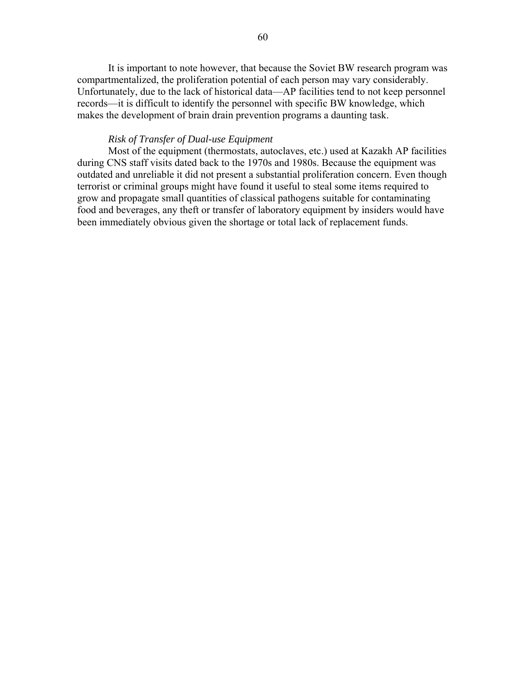It is important to note however, that because the Soviet BW research program was compartmentalized, the proliferation potential of each person may vary considerably. Unfortunately, due to the lack of historical data—AP facilities tend to not keep personnel records—it is difficult to identify the personnel with specific BW knowledge, which makes the development of brain drain prevention programs a daunting task.

### *Risk of Transfer of Dual-use Equipment*

Most of the equipment (thermostats, autoclaves, etc.) used at Kazakh AP facilities during CNS staff visits dated back to the 1970s and 1980s. Because the equipment was outdated and unreliable it did not present a substantial proliferation concern. Even though terrorist or criminal groups might have found it useful to steal some items required to grow and propagate small quantities of classical pathogens suitable for contaminating food and beverages, any theft or transfer of laboratory equipment by insiders would have been immediately obvious given the shortage or total lack of replacement funds.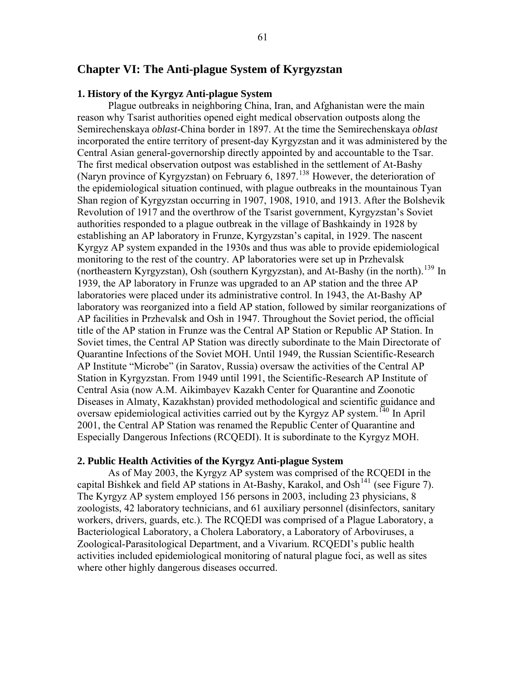# **Chapter VI: The Anti-plague System of Kyrgyzstan**

### **1. History of the Kyrgyz Anti-plague System**

 Plague outbreaks in neighboring China, Iran, and Afghanistan were the main reason why Tsarist authorities opened eight medical observation outposts along the Semirechenskaya *oblast*-China border in 1897. At the time the Semirechenskaya *oblast* incorporated the entire territory of present-day Kyrgyzstan and it was administered by the Central Asian general-governorship directly appointed by and accountable to the Tsar. The first medical observation outpost was established in the settlement of At-Bashy (Naryn province of Kyrgyzstan) on February 6, 1897.<sup>[138](#page-9-0)</sup> However, the deterioration of the epidemiological situation continued, with plague outbreaks in the mountainous Tyan Shan region of Kyrgyzstan occurring in 1907, 1908, 1910, and 1913. After the Bolshevik Revolution of 1917 and the overthrow of the Tsarist government, Kyrgyzstan's Soviet authorities responded to a plague outbreak in the village of Bashkaindy in 1928 by establishing an AP laboratory in Frunze, Kyrgyzstan's capital, in 1929. The nascent Kyrgyz AP system expanded in the 1930s and thus was able to provide epidemiological monitoring to the rest of the country. AP laboratories were set up in Przhevalsk (northeastern Kyrgyzstan), Osh (southern Kyrgyzstan), and At-Bashy (in the north).<sup>[139](#page-9-0)</sup> In 1939, the AP laboratory in Frunze was upgraded to an AP station and the three AP laboratories were placed under its administrative control. In 1943, the At-Bashy AP laboratory was reorganized into a field AP station, followed by similar reorganizations of AP facilities in Przhevalsk and Osh in 1947. Throughout the Soviet period, the official title of the AP station in Frunze was the Central AP Station or Republic AP Station. In Soviet times, the Central AP Station was directly subordinate to the Main Directorate of Quarantine Infections of the Soviet MOH. Until 1949, the Russian Scientific-Research AP Institute "Microbe" (in Saratov, Russia) oversaw the activities of the Central AP Station in Kyrgyzstan. From 1949 until 1991, the Scientific-Research AP Institute of Central Asia (now A.M. Aikimbayev Kazakh Center for Quarantine and Zoonotic Diseases in Almaty, Kazakhstan) provided methodological and scientific guidance and oversaw epidemiological activities carried out by the Kyrgyz AP system.<sup>[140](#page-9-0)</sup> In April 2001, the Central AP Station was renamed the Republic Center of Quarantine and Especially Dangerous Infections (RCQEDI). It is subordinate to the Kyrgyz MOH.

### **2. Public Health Activities of the Kyrgyz Anti-plague System**

As of May 2003, the Kyrgyz AP system was comprised of the RCQEDI in the capital Bishkek and field AP stations in At-Bashy, Karakol, and Osh<sup>[141](#page-9-0)</sup> (see Figure 7). The Kyrgyz AP system employed 156 persons in 2003, including 23 physicians, 8 zoologists, 42 laboratory technicians, and 61 auxiliary personnel (disinfectors, sanitary workers, drivers, guards, etc.). The RCQEDI was comprised of a Plague Laboratory, a Bacteriological Laboratory, a Cholera Laboratory, a Laboratory of Arboviruses, a Zoological-Parasitological Department, and a Vivarium. RCQEDI's public health activities included epidemiological monitoring of natural plague foci, as well as sites where other highly dangerous diseases occurred.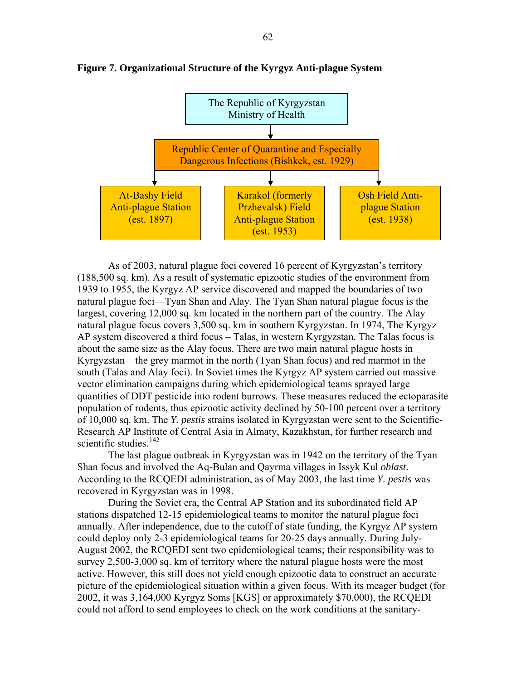

#### **Figure 7. Organizational Structure of the Kyrgyz Anti-plague System**

As of 2003, natural plague foci covered 16 percent of Kyrgyzstan's territory (188,500 sq. km). As a result of systematic epizootic studies of the environment from 1939 to 1955, the Kyrgyz AP service discovered and mapped the boundaries of two natural plague foci—Tyan Shan and Alay. The Tyan Shan natural plague focus is the largest, covering 12,000 sq. km located in the northern part of the country. The Alay natural plague focus covers 3,500 sq. km in southern Kyrgyzstan. In 1974, The Kyrgyz AP system discovered a third focus – Talas, in western Kyrgyzstan. The Talas focus is about the same size as the Alay focus. There are two main natural plague hosts in Kyrgyzstan—the grey marmot in the north (Tyan Shan focus) and red marmot in the south (Talas and Alay foci). In Soviet times the Kyrgyz AP system carried out massive vector elimination campaigns during which epidemiological teams sprayed large quantities of DDT pesticide into rodent burrows. These measures reduced the ectoparasite population of rodents, thus epizootic activity declined by 50-100 percent over a territory of 10,000 sq. km. The *Y. pestis* strains isolated in Kyrgyzstan were sent to the Scientific-Research AP Institute of Central Asia in Almaty, Kazakhstan, for further research and scientific studies. $142$ 

 The last plague outbreak in Kyrgyzstan was in 1942 on the territory of the Tyan Shan focus and involved the Aq-Bulan and Qayrma villages in Issyk Kul *oblast*. According to the RCQEDI administration, as of May 2003, the last time *Y. pestis* was recovered in Kyrgyzstan was in 1998.

During the Soviet era, the Central AP Station and its subordinated field AP stations dispatched 12-15 epidemiological teams to monitor the natural plague foci annually. After independence, due to the cutoff of state funding, the Kyrgyz AP system could deploy only 2-3 epidemiological teams for 20-25 days annually. During July-August 2002, the RCQEDI sent two epidemiological teams; their responsibility was to survey 2,500-3,000 sq. km of territory where the natural plague hosts were the most active. However, this still does not yield enough epizootic data to construct an accurate picture of the epidemiological situation within a given focus. With its meager budget (for 2002, it was 3,164,000 Kyrgyz Soms [KGS] or approximately \$70,000), the RCQEDI could not afford to send employees to check on the work conditions at the sanitary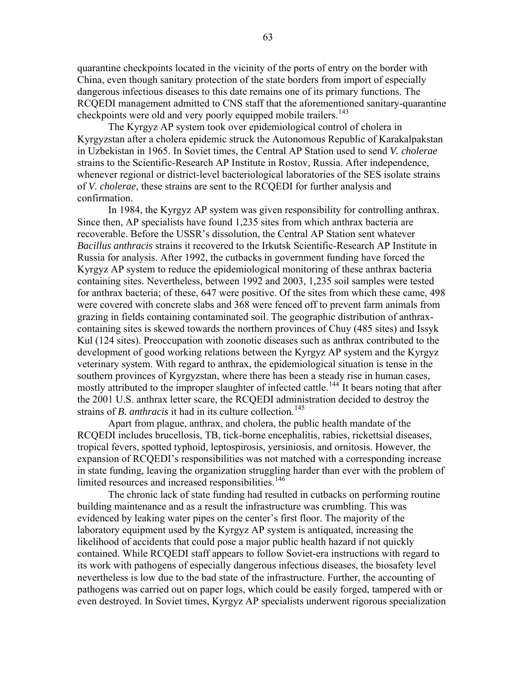quarantine checkpoints located in the vicinity of the ports of entry on the border with China, even though sanitary protection of the state borders from import of especially dangerous infectious diseases to this date remains one of its primary functions. The RCQEDI management admitted to CNS staff that the aforementioned sanitary-quarantine checkpoints were old and very poorly equipped mobile trailers.<sup>[143](#page-9-0)</sup>

The Kyrgyz AP system took over epidemiological control of cholera in Kyrgyzstan after a cholera epidemic struck the Autonomous Republic of Karakalpakstan in Uzbekistan in 1965. In Soviet times, the Central AP Station used to send *V. cholerae* strains to the Scientific-Research AP Institute in Rostov, Russia. After independence, whenever regional or district-level bacteriological laboratories of the SES isolate strains of *V. cholerae*, these strains are sent to the RCQEDI for further analysis and confirmation.

In 1984, the Kyrgyz AP system was given responsibility for controlling anthrax. Since then, AP specialists have found 1,235 sites from which anthrax bacteria are recoverable. Before the USSR's dissolution, the Central AP Station sent whatever *Bacillus anthracis* strains it recovered to the Irkutsk Scientific-Research AP Institute in Russia for analysis. After 1992, the cutbacks in government funding have forced the Kyrgyz AP system to reduce the epidemiological monitoring of these anthrax bacteria containing sites. Nevertheless, between 1992 and 2003, 1,235 soil samples were tested for anthrax bacteria; of these, 647 were positive. Of the sites from which these came, 498 were covered with concrete slabs and 368 were fenced off to prevent farm animals from grazing in fields containing contaminated soil. The geographic distribution of anthraxcontaining sites is skewed towards the northern provinces of Chuy (485 sites) and Issyk Kul (124 sites). Preoccupation with zoonotic diseases such as anthrax contributed to the development of good working relations between the Kyrgyz AP system and the Kyrgyz veterinary system. With regard to anthrax, the epidemiological situation is tense in the southern provinces of Kyrgyzstan, where there has been a steady rise in human cases, mostly attributed to the improper slaughter of infected cattle.<sup>[144](#page-9-0)</sup> It bears noting that after the 2001 U.S. anthrax letter scare, the RCQEDI administration decided to destroy the strains of *B. anthracis* it had in its culture collection.<sup>[145](#page-9-0)</sup>

 Apart from plague, anthrax, and cholera, the public health mandate of the RCQEDI includes brucellosis, TB, tick-borne encephalitis, rabies, rickettsial diseases, tropical fevers, spotted typhoid, leptospirosis, yersiniosis, and ornitosis. However, the expansion of RCQEDI's responsibilities was not matched with a corresponding increase in state funding, leaving the organization struggling harder than ever with the problem of limited resources and increased responsibilities.<sup>[146](#page-9-0)</sup>

The chronic lack of state funding had resulted in cutbacks on performing routine building maintenance and as a result the infrastructure was crumbling. This was evidenced by leaking water pipes on the center's first floor. The majority of the laboratory equipment used by the Kyrgyz AP system is antiquated, increasing the likelihood of accidents that could pose a major public health hazard if not quickly contained. While RCQEDI staff appears to follow Soviet-era instructions with regard to its work with pathogens of especially dangerous infectious diseases, the biosafety level nevertheless is low due to the bad state of the infrastructure. Further, the accounting of pathogens was carried out on paper logs, which could be easily forged, tampered with or even destroyed. In Soviet times, Kyrgyz AP specialists underwent rigorous specialization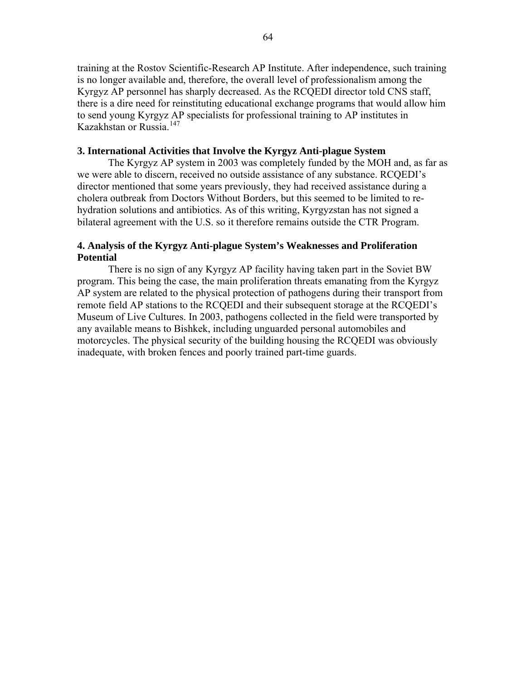training at the Rostov Scientific-Research AP Institute. After independence, such training is no longer available and, therefore, the overall level of professionalism among the Kyrgyz AP personnel has sharply decreased. As the RCQEDI director told CNS staff, there is a dire need for reinstituting educational exchange programs that would allow him to send young Kyrgyz AP specialists for professional training to AP institutes in Kazakhstan or Russia.[147](#page-9-0)

## **3. International Activities that Involve the Kyrgyz Anti-plague System**

 The Kyrgyz AP system in 2003 was completely funded by the MOH and, as far as we were able to discern, received no outside assistance of any substance. RCQEDI's director mentioned that some years previously, they had received assistance during a cholera outbreak from Doctors Without Borders, but this seemed to be limited to rehydration solutions and antibiotics. As of this writing, Kyrgyzstan has not signed a bilateral agreement with the U.S. so it therefore remains outside the CTR Program.

# **4. Analysis of the Kyrgyz Anti-plague System's Weaknesses and Proliferation Potential**

There is no sign of any Kyrgyz AP facility having taken part in the Soviet BW program. This being the case, the main proliferation threats emanating from the Kyrgyz AP system are related to the physical protection of pathogens during their transport from remote field AP stations to the RCQEDI and their subsequent storage at the RCQEDI's Museum of Live Cultures. In 2003, pathogens collected in the field were transported by any available means to Bishkek, including unguarded personal automobiles and motorcycles. The physical security of the building housing the RCQEDI was obviously inadequate, with broken fences and poorly trained part-time guards.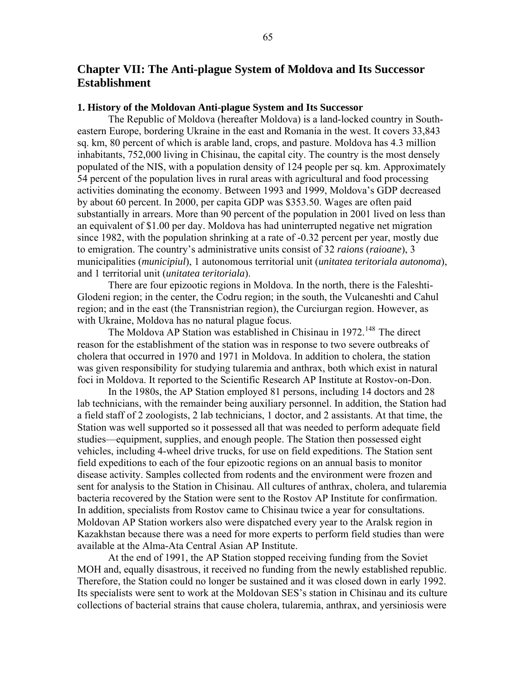# **Chapter VII: The Anti-plague System of Moldova and Its Successor Establishment**

### **1. History of the Moldovan Anti-plague System and Its Successor**

The Republic of Moldova (hereafter Moldova) is a land-locked country in Southeastern Europe, bordering Ukraine in the east and Romania in the west. It covers 33,843 sq. km, 80 percent of which is arable land, crops, and pasture. Moldova has 4.3 million inhabitants, 752,000 living in Chisinau, the capital city. The country is the most densely populated of the NIS, with a population density of 124 people per sq. km. Approximately 54 percent of the population lives in rural areas with agricultural and food processing activities dominating the economy. Between 1993 and 1999, Moldova's GDP decreased by about 60 percent. In 2000, per capita GDP was \$353.50. Wages are often paid substantially in arrears. More than 90 percent of the population in 2001 lived on less than an equivalent of \$1.00 per day. Moldova has had uninterrupted negative net migration since 1982, with the population shrinking at a rate of -0.32 percent per year, mostly due to emigration. The country's administrative units consist of 32 *raions* (*raioane*), 3 municipalities (*municipiul*), 1 autonomous territorial unit (*unitatea teritoriala autonoma*), and 1 territorial unit (*unitatea teritoriala*).

There are four epizootic regions in Moldova. In the north, there is the Faleshti-Glodeni region; in the center, the Codru region; in the south, the Vulcaneshti and Cahul region; and in the east (the Transnistrian region), the Curciurgan region. However, as with Ukraine, Moldova has no natural plague focus.

The Moldova AP Station was established in Chisinau in 1972.<sup>[148](#page-9-0)</sup> The direct reason for the establishment of the station was in response to two severe outbreaks of cholera that occurred in 1970 and 1971 in Moldova. In addition to cholera, the station was given responsibility for studying tularemia and anthrax, both which exist in natural foci in Moldova. It reported to the Scientific Research AP Institute at Rostov-on-Don.

In the 1980s, the AP Station employed 81 persons, including 14 doctors and 28 lab technicians, with the remainder being auxiliary personnel. In addition, the Station had a field staff of 2 zoologists, 2 lab technicians, 1 doctor, and 2 assistants. At that time, the Station was well supported so it possessed all that was needed to perform adequate field studies—equipment, supplies, and enough people. The Station then possessed eight vehicles, including 4-wheel drive trucks, for use on field expeditions. The Station sent field expeditions to each of the four epizootic regions on an annual basis to monitor disease activity. Samples collected from rodents and the environment were frozen and sent for analysis to the Station in Chisinau. All cultures of anthrax, cholera, and tularemia bacteria recovered by the Station were sent to the Rostov AP Institute for confirmation. In addition, specialists from Rostov came to Chisinau twice a year for consultations. Moldovan AP Station workers also were dispatched every year to the Aralsk region in Kazakhstan because there was a need for more experts to perform field studies than were available at the Alma-Ata Central Asian AP Institute.

At the end of 1991, the AP Station stopped receiving funding from the Soviet MOH and, equally disastrous, it received no funding from the newly established republic. Therefore, the Station could no longer be sustained and it was closed down in early 1992. Its specialists were sent to work at the Moldovan SES's station in Chisinau and its culture collections of bacterial strains that cause cholera, tularemia, anthrax, and yersiniosis were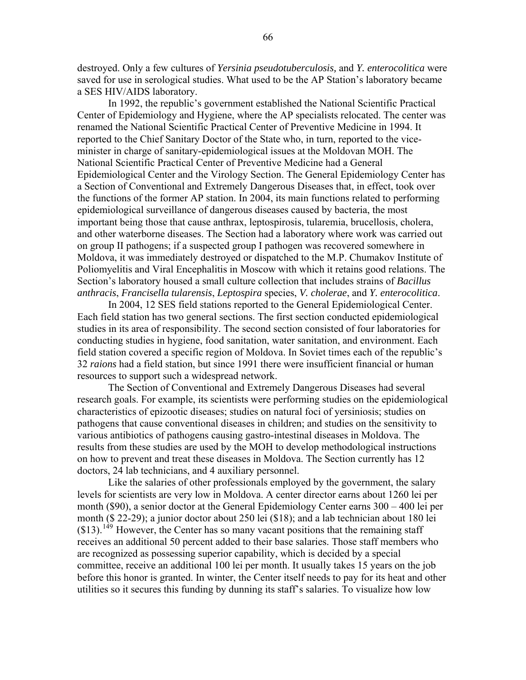destroyed. Only a few cultures of *Yersinia pseudotuberculosis,* and *Y. enterocolitica* were saved for use in serological studies. What used to be the AP Station's laboratory became a SES HIV/AIDS laboratory.

In 1992, the republic's government established the National Scientific Practical Center of Epidemiology and Hygiene, where the AP specialists relocated. The center was renamed the National Scientific Practical Center of Preventive Medicine in 1994. It reported to the Chief Sanitary Doctor of the State who, in turn, reported to the viceminister in charge of sanitary-epidemiological issues at the Moldovan MOH. The National Scientific Practical Center of Preventive Medicine had a General Epidemiological Center and the Virology Section. The General Epidemiology Center has a Section of Conventional and Extremely Dangerous Diseases that, in effect, took over the functions of the former AP station. In 2004, its main functions related to performing epidemiological surveillance of dangerous diseases caused by bacteria, the most important being those that cause anthrax, leptospirosis, tularemia, brucellosis, cholera, and other waterborne diseases. The Section had a laboratory where work was carried out on group II pathogens; if a suspected group I pathogen was recovered somewhere in Moldova, it was immediately destroyed or dispatched to the M.P. Chumakov Institute of Poliomyelitis and Viral Encephalitis in Moscow with which it retains good relations. The Section's laboratory housed a small culture collection that includes strains of *Bacillus anthracis*, *Francisella tularensis*, *Leptospira* species, *V. cholerae*, and *Y. enterocolitica*.

In 2004, 12 SES field stations reported to the General Epidemiological Center. Each field station has two general sections. The first section conducted epidemiological studies in its area of responsibility. The second section consisted of four laboratories for conducting studies in hygiene, food sanitation, water sanitation, and environment. Each field station covered a specific region of Moldova. In Soviet times each of the republic's 32 *raions* had a field station, but since 1991 there were insufficient financial or human resources to support such a widespread network.

The Section of Conventional and Extremely Dangerous Diseases had several research goals. For example, its scientists were performing studies on the epidemiological characteristics of epizootic diseases; studies on natural foci of yersiniosis; studies on pathogens that cause conventional diseases in children; and studies on the sensitivity to various antibiotics of pathogens causing gastro-intestinal diseases in Moldova. The results from these studies are used by the MOH to develop methodological instructions on how to prevent and treat these diseases in Moldova. The Section currently has 12 doctors, 24 lab technicians, and 4 auxiliary personnel.

Like the salaries of other professionals employed by the government, the salary levels for scientists are very low in Moldova. A center director earns about 1260 lei per month (\$90), a senior doctor at the General Epidemiology Center earns 300 – 400 lei per month (\$ 22-29); a junior doctor about 250 lei (\$18); and a lab technician about 180 lei  $(13)$ .<sup>[149](#page-9-0)</sup> However, the Center has so many vacant positions that the remaining staff receives an additional 50 percent added to their base salaries. Those staff members who are recognized as possessing superior capability, which is decided by a special committee, receive an additional 100 lei per month. It usually takes 15 years on the job before this honor is granted. In winter, the Center itself needs to pay for its heat and other utilities so it secures this funding by dunning its staff's salaries. To visualize how low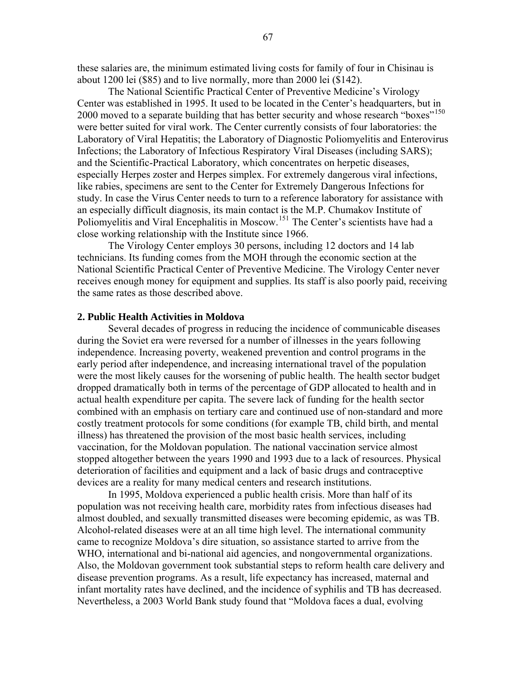these salaries are, the minimum estimated living costs for family of four in Chisinau is about 1200 lei (\$85) and to live normally, more than 2000 lei (\$142).

The National Scientific Practical Center of Preventive Medicine's Virology Center was established in 1995. It used to be located in the Center's headquarters, but in 2000 moved to a separate building that has better security and whose research "boxes"<sup>[150](#page-9-0)</sup> were better suited for viral work. The Center currently consists of four laboratories: the Laboratory of Viral Hepatitis; the Laboratory of Diagnostic Poliomyelitis and Enterovirus Infections; the Laboratory of Infectious Respiratory Viral Diseases (including SARS); and the Scientific-Practical Laboratory, which concentrates on herpetic diseases, especially Herpes zoster and Herpes simplex. For extremely dangerous viral infections, like rabies, specimens are sent to the Center for Extremely Dangerous Infections for study. In case the Virus Center needs to turn to a reference laboratory for assistance with an especially difficult diagnosis, its main contact is the M.P. Chumakov Institute of Poliomyelitis and Viral Encephalitis in Moscow.<sup>[151](#page-9-0)</sup> The Center's scientists have had a close working relationship with the Institute since 1966.

 The Virology Center employs 30 persons, including 12 doctors and 14 lab technicians. Its funding comes from the MOH through the economic section at the National Scientific Practical Center of Preventive Medicine. The Virology Center never receives enough money for equipment and supplies. Its staff is also poorly paid, receiving the same rates as those described above.

#### **2. Public Health Activities in Moldova**

Several decades of progress in reducing the incidence of communicable diseases during the Soviet era were reversed for a number of illnesses in the years following independence. Increasing poverty, weakened prevention and control programs in the early period after independence, and increasing international travel of the population were the most likely causes for the worsening of public health. The health sector budget dropped dramatically both in terms of the percentage of GDP allocated to health and in actual health expenditure per capita. The severe lack of funding for the health sector combined with an emphasis on tertiary care and continued use of non-standard and more costly treatment protocols for some conditions (for example TB, child birth, and mental illness) has threatened the provision of the most basic health services, including vaccination, for the Moldovan population. The national vaccination service almost stopped altogether between the years 1990 and 1993 due to a lack of resources. Physical deterioration of facilities and equipment and a lack of basic drugs and contraceptive devices are a reality for many medical centers and research institutions.

 In 1995, Moldova experienced a public health crisis. More than half of its population was not receiving health care, morbidity rates from infectious diseases had almost doubled, and sexually transmitted diseases were becoming epidemic, as was TB. Alcohol-related diseases were at an all time high level. The international community came to recognize Moldova's dire situation, so assistance started to arrive from the WHO, international and bi-national aid agencies, and nongovernmental organizations. Also, the Moldovan government took substantial steps to reform health care delivery and disease prevention programs. As a result, life expectancy has increased, maternal and infant mortality rates have declined, and the incidence of syphilis and TB has decreased. Nevertheless, a 2003 World Bank study found that "Moldova faces a dual, evolving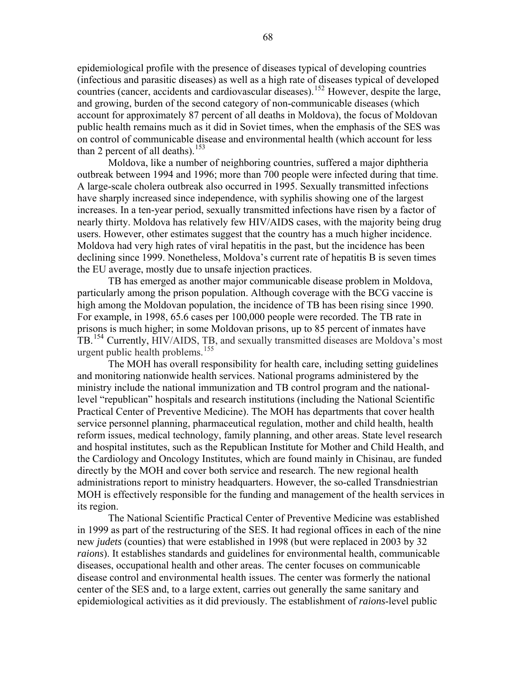epidemiological profile with the presence of diseases typical of developing countries (infectious and parasitic diseases) as well as a high rate of diseases typical of developed countries (cancer, accidents and cardiovascular diseases).<sup>[152](#page-9-0)</sup> However, despite the large, and growing, burden of the second category of non-communicable diseases (which account for approximately 87 percent of all deaths in Moldova), the focus of Moldovan public health remains much as it did in Soviet times, when the emphasis of the SES was on control of communicable disease and environmental health (which account for less than 2 percent of all deaths). $153$ 

Moldova, like a number of neighboring countries, suffered a major diphtheria outbreak between 1994 and 1996; more than 700 people were infected during that time. A large-scale cholera outbreak also occurred in 1995. Sexually transmitted infections have sharply increased since independence, with syphilis showing one of the largest increases. In a ten-year period, sexually transmitted infections have risen by a factor of nearly thirty. Moldova has relatively few HIV/AIDS cases, with the majority being drug users. However, other estimates suggest that the country has a much higher incidence. Moldova had very high rates of viral hepatitis in the past, but the incidence has been declining since 1999. Nonetheless, Moldova's current rate of hepatitis B is seven times the EU average, mostly due to unsafe injection practices.

TB has emerged as another major communicable disease problem in Moldova, particularly among the prison population. Although coverage with the BCG vaccine is high among the Moldovan population, the incidence of TB has been rising since 1990. For example, in 1998, 65.6 cases per 100,000 people were recorded. The TB rate in prisons is much higher; in some Moldovan prisons, up to 85 percent of inmates have TB.[154](#page-9-0) Currently, HIV/AIDS, TB, and sexually transmitted diseases are Moldova's most urgent public health problems.<sup>[155](#page-9-0)</sup>

 The MOH has overall responsibility for health care, including setting guidelines and monitoring nationwide health services. National programs administered by the ministry include the national immunization and TB control program and the nationallevel "republican" hospitals and research institutions (including the National Scientific Practical Center of Preventive Medicine). The MOH has departments that cover health service personnel planning, pharmaceutical regulation, mother and child health, health reform issues, medical technology, family planning, and other areas. State level research and hospital institutes, such as the Republican Institute for Mother and Child Health, and the Cardiology and Oncology Institutes, which are found mainly in Chisinau, are funded directly by the MOH and cover both service and research. The new regional health administrations report to ministry headquarters. However, the so-called Transdniestrian MOH is effectively responsible for the funding and management of the health services in its region.

The National Scientific Practical Center of Preventive Medicine was established in 1999 as part of the restructuring of the SES. It had regional offices in each of the nine new *judets* (counties) that were established in 1998 (but were replaced in 2003 by 32 *raions*). It establishes standards and guidelines for environmental health, communicable diseases, occupational health and other areas. The center focuses on communicable disease control and environmental health issues. The center was formerly the national center of the SES and, to a large extent, carries out generally the same sanitary and epidemiological activities as it did previously. The establishment of *raions*-level public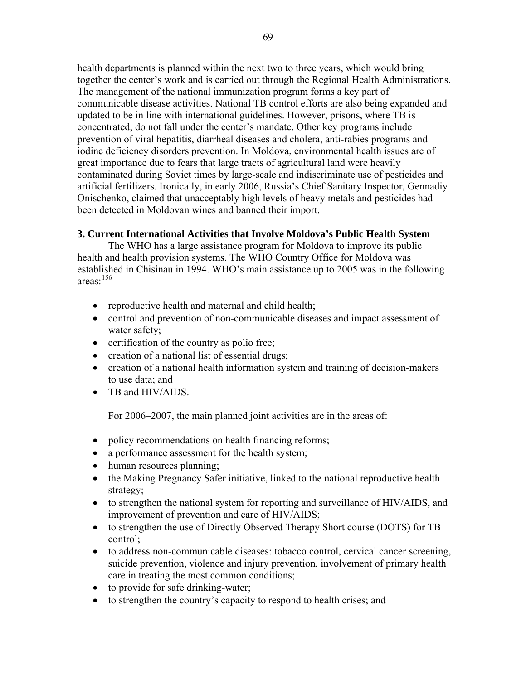health departments is planned within the next two to three years, which would bring together the center's work and is carried out through the Regional Health Administrations. The management of the national immunization program forms a key part of communicable disease activities. National TB control efforts are also being expanded and updated to be in line with international guidelines. However, prisons, where TB is concentrated, do not fall under the center's mandate. Other key programs include prevention of viral hepatitis, diarrheal diseases and cholera, anti-rabies programs and iodine deficiency disorders prevention. In Moldova, environmental health issues are of great importance due to fears that large tracts of agricultural land were heavily contaminated during Soviet times by large-scale and indiscriminate use of pesticides and artificial fertilizers. Ironically, in early 2006, Russia's Chief Sanitary Inspector, Gennadiy Onischenko, claimed that unacceptably high levels of heavy metals and pesticides had been detected in Moldovan wines and banned their import.

# **3. Current International Activities that Involve Moldova's Public Health System**

 The WHO has a large assistance program for Moldova to improve its public health and health provision systems. The WHO Country Office for Moldova was established in Chisinau in 1994. WHO's main assistance up to 2005 was in the following areas:[156](#page-9-0)

- reproductive health and maternal and child health;
- control and prevention of non-communicable diseases and impact assessment of water safety;
- certification of the country as polio free;
- creation of a national list of essential drugs;
- creation of a national health information system and training of decision-makers to use data; and
- TB and HIV/AIDS.

For 2006–2007, the main planned joint activities are in the areas of:

- policy recommendations on health financing reforms;
- a performance assessment for the health system;
- human resources planning;
- the Making Pregnancy Safer initiative, linked to the national reproductive health strategy;
- to strengthen the national system for reporting and surveillance of HIV/AIDS, and improvement of prevention and care of HIV/AIDS;
- to strengthen the use of Directly Observed Therapy Short course (DOTS) for TB control;
- to address non-communicable diseases: tobacco control, cervical cancer screening, suicide prevention, violence and injury prevention, involvement of primary health care in treating the most common conditions;
- to provide for safe drinking-water;
- to strengthen the country's capacity to respond to health crises; and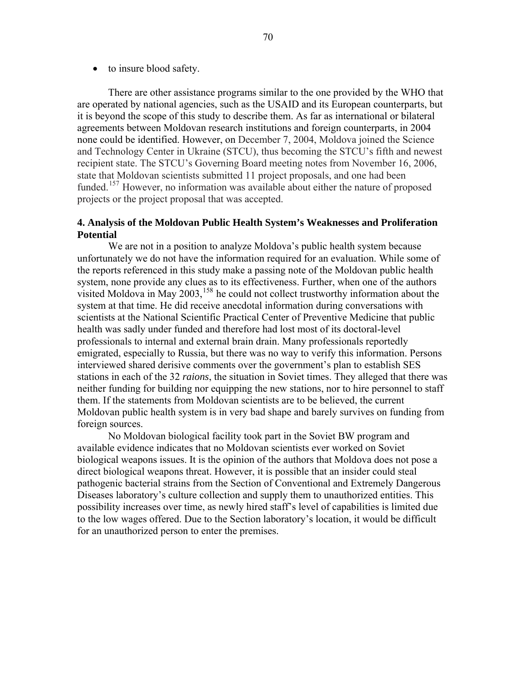• to insure blood safety.

There are other assistance programs similar to the one provided by the WHO that are operated by national agencies, such as the USAID and its European counterparts, but it is beyond the scope of this study to describe them. As far as international or bilateral agreements between Moldovan research institutions and foreign counterparts, in 2004 none could be identified. However, on December 7, 2004, Moldova joined the Science and Technology Center in Ukraine (STCU), thus becoming the STCU's fifth and newest recipient state. The STCU's Governing Board meeting notes from November 16, 2006, state that Moldovan scientists submitted 11 project proposals, and one had been funded.<sup>[157](#page-9-0)</sup> However, no information was available about either the nature of proposed projects or the project proposal that was accepted.

# **4. Analysis of the Moldovan Public Health System's Weaknesses and Proliferation Potential**

We are not in a position to analyze Moldova's public health system because unfortunately we do not have the information required for an evaluation. While some of the reports referenced in this study make a passing note of the Moldovan public health system, none provide any clues as to its effectiveness. Further, when one of the authors visited Moldova in May  $2003$ ,<sup>[158](#page-9-0)</sup> he could not collect trustworthy information about the system at that time. He did receive anecdotal information during conversations with scientists at the National Scientific Practical Center of Preventive Medicine that public health was sadly under funded and therefore had lost most of its doctoral-level professionals to internal and external brain drain. Many professionals reportedly emigrated, especially to Russia, but there was no way to verify this information. Persons interviewed shared derisive comments over the government's plan to establish SES stations in each of the 32 *raions*, the situation in Soviet times. They alleged that there was neither funding for building nor equipping the new stations, nor to hire personnel to staff them. If the statements from Moldovan scientists are to be believed, the current Moldovan public health system is in very bad shape and barely survives on funding from foreign sources.

No Moldovan biological facility took part in the Soviet BW program and available evidence indicates that no Moldovan scientists ever worked on Soviet biological weapons issues. It is the opinion of the authors that Moldova does not pose a direct biological weapons threat. However, it is possible that an insider could steal pathogenic bacterial strains from the Section of Conventional and Extremely Dangerous Diseases laboratory's culture collection and supply them to unauthorized entities. This possibility increases over time, as newly hired staff's level of capabilities is limited due to the low wages offered. Due to the Section laboratory's location, it would be difficult for an unauthorized person to enter the premises.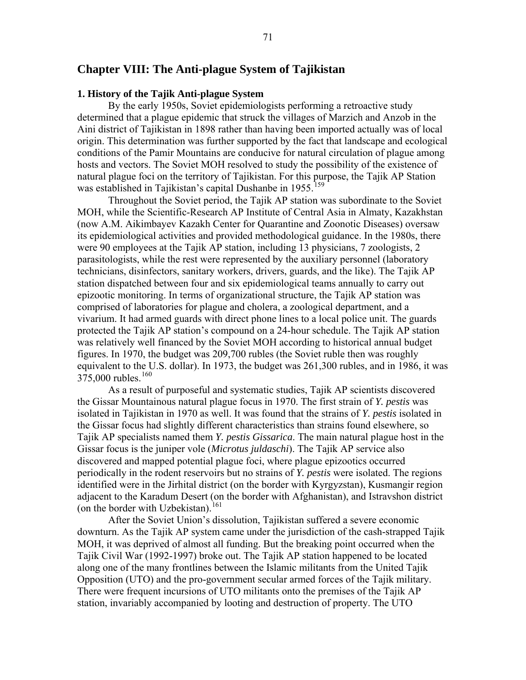# **Chapter VIII: The Anti-plague System of Tajikistan**

### **1. History of the Tajik Anti-plague System**

 By the early 1950s, Soviet epidemiologists performing a retroactive study determined that a plague epidemic that struck the villages of Marzich and Anzob in the Aini district of Tajikistan in 1898 rather than having been imported actually was of local origin. This determination was further supported by the fact that landscape and ecological conditions of the Pamir Mountains are conducive for natural circulation of plague among hosts and vectors. The Soviet MOH resolved to study the possibility of the existence of natural plague foci on the territory of Tajikistan. For this purpose, the Tajik AP Station was established in Tajikistan's capital Dushanbe in 1955.<sup>[159](#page-9-0)</sup>

 Throughout the Soviet period, the Tajik AP station was subordinate to the Soviet MOH, while the Scientific-Research AP Institute of Central Asia in Almaty, Kazakhstan (now A.M. Aikimbayev Kazakh Center for Quarantine and Zoonotic Diseases) oversaw its epidemiological activities and provided methodological guidance. In the 1980s, there were 90 employees at the Tajik AP station, including 13 physicians, 7 zoologists, 2 parasitologists, while the rest were represented by the auxiliary personnel (laboratory technicians, disinfectors, sanitary workers, drivers, guards, and the like). The Tajik AP station dispatched between four and six epidemiological teams annually to carry out epizootic monitoring. In terms of organizational structure, the Tajik AP station was comprised of laboratories for plague and cholera, a zoological department, and a vivarium. It had armed guards with direct phone lines to a local police unit. The guards protected the Tajik AP station's compound on a 24-hour schedule. The Tajik AP station was relatively well financed by the Soviet MOH according to historical annual budget figures. In 1970, the budget was 209,700 rubles (the Soviet ruble then was roughly equivalent to the U.S. dollar). In 1973, the budget was 261,300 rubles, and in 1986, it was 375,000 rubles.<sup>[160](#page-9-0)</sup>

 As a result of purposeful and systematic studies, Tajik AP scientists discovered the Gissar Mountainous natural plague focus in 1970. The first strain of *Y. pestis* was isolated in Tajikistan in 1970 as well. It was found that the strains of *Y. pestis* isolated in the Gissar focus had slightly different characteristics than strains found elsewhere, so Tajik AP specialists named them *Y. pestis Gissarica*. The main natural plague host in the Gissar focus is the juniper vole (*Microtus juldaschi*). The Tajik AP service also discovered and mapped potential plague foci, where plague epizootics occurred periodically in the rodent reservoirs but no strains of *Y. pestis* were isolated. The regions identified were in the Jirhital district (on the border with Kyrgyzstan), Kusmangir region adjacent to the Karadum Desert (on the border with Afghanistan), and Istravshon district (on the border with Uzbekistan).<sup>[161](#page-9-0)</sup>

After the Soviet Union's dissolution, Tajikistan suffered a severe economic downturn. As the Tajik AP system came under the jurisdiction of the cash-strapped Tajik MOH, it was deprived of almost all funding. But the breaking point occurred when the Tajik Civil War (1992-1997) broke out. The Tajik AP station happened to be located along one of the many frontlines between the Islamic militants from the United Tajik Opposition (UTO) and the pro-government secular armed forces of the Tajik military. There were frequent incursions of UTO militants onto the premises of the Tajik AP station, invariably accompanied by looting and destruction of property. The UTO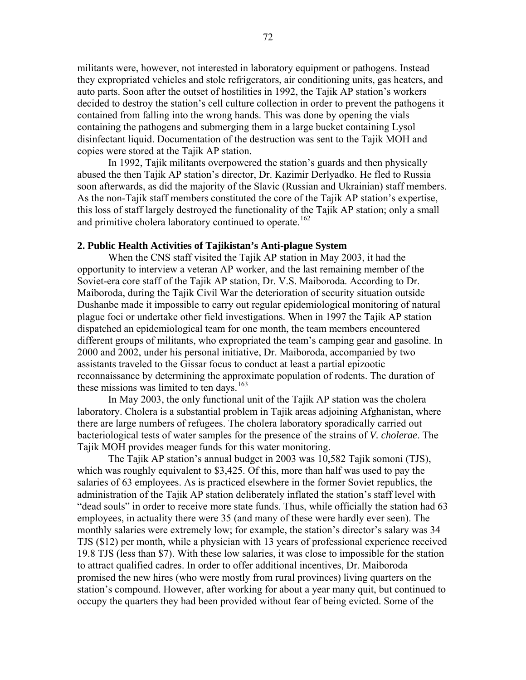militants were, however, not interested in laboratory equipment or pathogens. Instead they expropriated vehicles and stole refrigerators, air conditioning units, gas heaters, and auto parts. Soon after the outset of hostilities in 1992, the Tajik AP station's workers decided to destroy the station's cell culture collection in order to prevent the pathogens it contained from falling into the wrong hands. This was done by opening the vials containing the pathogens and submerging them in a large bucket containing Lysol disinfectant liquid. Documentation of the destruction was sent to the Tajik MOH and copies were stored at the Tajik AP station.

In 1992, Tajik militants overpowered the station's guards and then physically abused the then Tajik AP station's director, Dr. Kazimir Derlyadko. He fled to Russia soon afterwards, as did the majority of the Slavic (Russian and Ukrainian) staff members. As the non-Tajik staff members constituted the core of the Tajik AP station's expertise, this loss of staff largely destroyed the functionality of the Tajik AP station; only a small and primitive cholera laboratory continued to operate.<sup>[162](#page-9-0)</sup>

#### **2. Public Health Activities of Tajikistan's Anti-plague System**

 When the CNS staff visited the Tajik AP station in May 2003, it had the opportunity to interview a veteran AP worker, and the last remaining member of the Soviet-era core staff of the Tajik AP station, Dr. V.S. Maiboroda. According to Dr. Maiboroda, during the Tajik Civil War the deterioration of security situation outside Dushanbe made it impossible to carry out regular epidemiological monitoring of natural plague foci or undertake other field investigations. When in 1997 the Tajik AP station dispatched an epidemiological team for one month, the team members encountered different groups of militants, who expropriated the team's camping gear and gasoline. In 2000 and 2002, under his personal initiative, Dr. Maiboroda, accompanied by two assistants traveled to the Gissar focus to conduct at least a partial epizootic reconnaissance by determining the approximate population of rodents. The duration of these missions was limited to ten days.<sup>[163](#page-9-0)</sup>

 In May 2003, the only functional unit of the Tajik AP station was the cholera laboratory. Cholera is a substantial problem in Tajik areas adjoining Afghanistan, where there are large numbers of refugees. The cholera laboratory sporadically carried out bacteriological tests of water samples for the presence of the strains of *V. cholerae*. The Tajik MOH provides meager funds for this water monitoring.

The Tajik AP station's annual budget in 2003 was 10,582 Tajik somoni (TJS), which was roughly equivalent to \$3,425. Of this, more than half was used to pay the salaries of 63 employees. As is practiced elsewhere in the former Soviet republics, the administration of the Tajik AP station deliberately inflated the station's staff level with "dead souls" in order to receive more state funds. Thus, while officially the station had 63 employees, in actuality there were 35 (and many of these were hardly ever seen). The monthly salaries were extremely low; for example, the station's director's salary was 34 TJS (\$12) per month, while a physician with 13 years of professional experience received 19.8 TJS (less than \$7). With these low salaries, it was close to impossible for the station to attract qualified cadres. In order to offer additional incentives, Dr. Maiboroda promised the new hires (who were mostly from rural provinces) living quarters on the station's compound. However, after working for about a year many quit, but continued to occupy the quarters they had been provided without fear of being evicted. Some of the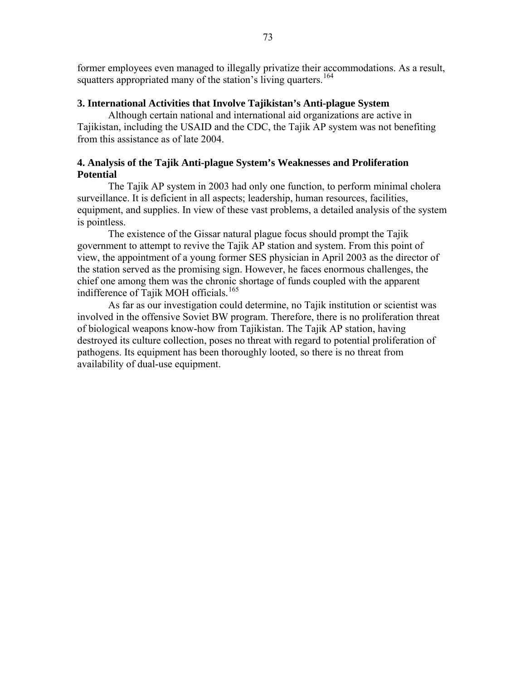former employees even managed to illegally privatize their accommodations. As a result, squatters appropriated many of the station's living quarters.<sup>[164](#page-9-0)</sup>

## **3. International Activities that Involve Tajikistan's Anti-plague System**

 Although certain national and international aid organizations are active in Tajikistan, including the USAID and the CDC, the Tajik AP system was not benefiting from this assistance as of late 2004.

## **4. Analysis of the Tajik Anti-plague System's Weaknesses and Proliferation Potential**

 The Tajik AP system in 2003 had only one function, to perform minimal cholera surveillance. It is deficient in all aspects; leadership, human resources, facilities, equipment, and supplies. In view of these vast problems, a detailed analysis of the system is pointless.

The existence of the Gissar natural plague focus should prompt the Tajik government to attempt to revive the Tajik AP station and system. From this point of view, the appointment of a young former SES physician in April 2003 as the director of the station served as the promising sign. However, he faces enormous challenges, the chief one among them was the chronic shortage of funds coupled with the apparent indifference of Tajik MOH officials.<sup>[165](#page-9-0)</sup>

As far as our investigation could determine, no Tajik institution or scientist was involved in the offensive Soviet BW program. Therefore, there is no proliferation threat of biological weapons know-how from Tajikistan. The Tajik AP station, having destroyed its culture collection, poses no threat with regard to potential proliferation of pathogens. Its equipment has been thoroughly looted, so there is no threat from availability of dual-use equipment.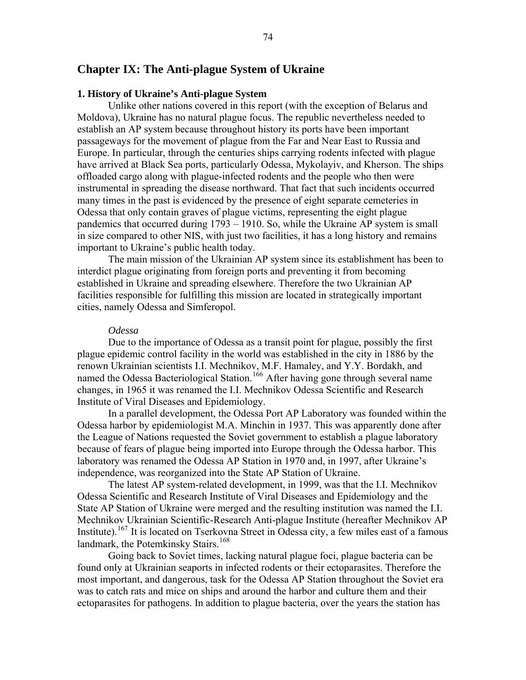# **Chapter IX: The Anti-plague System of Ukraine**

## **1. History of Ukraine's Anti-plague System**

Unlike other nations covered in this report (with the exception of Belarus and Moldova), Ukraine has no natural plague focus. The republic nevertheless needed to establish an AP system because throughout history its ports have been important passageways for the movement of plague from the Far and Near East to Russia and Europe. In particular, through the centuries ships carrying rodents infected with plague have arrived at Black Sea ports, particularly Odessa, Mykolayiv, and Kherson. The ships offloaded cargo along with plague-infected rodents and the people who then were instrumental in spreading the disease northward. That fact that such incidents occurred many times in the past is evidenced by the presence of eight separate cemeteries in Odessa that only contain graves of plague victims, representing the eight plague pandemics that occurred during 1793 – 1910. So, while the Ukraine AP system is small in size compared to other NIS, with just two facilities, it has a long history and remains important to Ukraine's public health today.

 The main mission of the Ukrainian AP system since its establishment has been to interdict plague originating from foreign ports and preventing it from becoming established in Ukraine and spreading elsewhere. Therefore the two Ukrainian AP facilities responsible for fulfilling this mission are located in strategically important cities, namely Odessa and Simferopol.

## *Odessa*

Due to the importance of Odessa as a transit point for plague, possibly the first plague epidemic control facility in the world was established in the city in 1886 by the renown Ukrainian scientists I.I. Mechnikov, M.F. Hamaley, and Y.Y. Bordakh, and named the Odessa Bacteriological Station.<sup>[166](#page-9-0)</sup> After having gone through several name changes, in 1965 it was renamed the I.I. Mechnikov Odessa Scientific and Research Institute of Viral Diseases and Epidemiology.

 In a parallel development, the Odessa Port AP Laboratory was founded within the Odessa harbor by epidemiologist M.A. Minchin in 1937. This was apparently done after the League of Nations requested the Soviet government to establish a plague laboratory because of fears of plague being imported into Europe through the Odessa harbor. This laboratory was renamed the Odessa AP Station in 1970 and, in 1997, after Ukraine's independence, was reorganized into the State AP Station of Ukraine.

 The latest AP system-related development, in 1999, was that the I.I. Mechnikov Odessa Scientific and Research Institute of Viral Diseases and Epidemiology and the State AP Station of Ukraine were merged and the resulting institution was named the I.I. Mechnikov Ukrainian Scientific-Research Anti-plague Institute (hereafter Mechnikov AP Institute).<sup>[167](#page-10-0)</sup> It is located on Tserkovna Street in Odessa city, a few miles east of a famous landmark, the Potemkinsky Stairs.<sup>[168](#page-10-0)</sup>

Going back to Soviet times, lacking natural plague foci, plague bacteria can be found only at Ukrainian seaports in infected rodents or their ectoparasites. Therefore the most important, and dangerous, task for the Odessa AP Station throughout the Soviet era was to catch rats and mice on ships and around the harbor and culture them and their ectoparasites for pathogens. In addition to plague bacteria, over the years the station has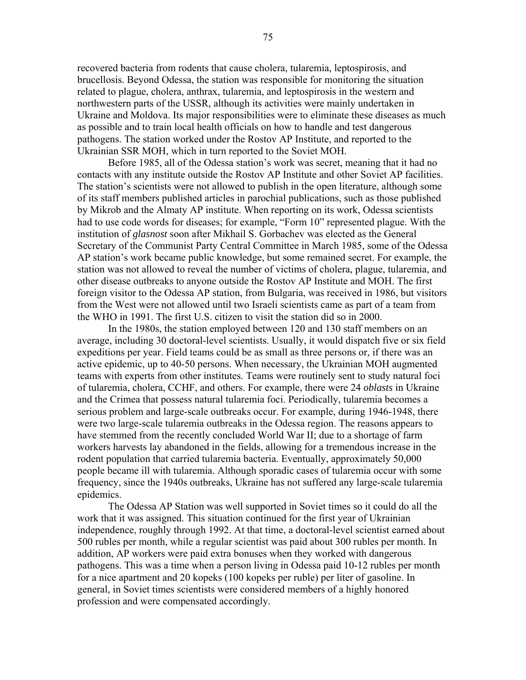recovered bacteria from rodents that cause cholera, tularemia, leptospirosis, and brucellosis. Beyond Odessa, the station was responsible for monitoring the situation related to plague, cholera, anthrax, tularemia, and leptospirosis in the western and northwestern parts of the USSR, although its activities were mainly undertaken in Ukraine and Moldova. Its major responsibilities were to eliminate these diseases as much as possible and to train local health officials on how to handle and test dangerous pathogens. The station worked under the Rostov AP Institute, and reported to the Ukrainian SSR MOH, which in turn reported to the Soviet MOH.

Before 1985, all of the Odessa station's work was secret, meaning that it had no contacts with any institute outside the Rostov AP Institute and other Soviet AP facilities. The station's scientists were not allowed to publish in the open literature, although some of its staff members published articles in parochial publications, such as those published by Mikrob and the Almaty AP institute. When reporting on its work, Odessa scientists had to use code words for diseases; for example, "Form 10" represented plague. With the institution of *glasnost* soon after Mikhail S. Gorbachev was elected as the General Secretary of the Communist Party Central Committee in March 1985, some of the Odessa AP station's work became public knowledge, but some remained secret. For example, the station was not allowed to reveal the number of victims of cholera, plague, tularemia, and other disease outbreaks to anyone outside the Rostov AP Institute and MOH. The first foreign visitor to the Odessa AP station, from Bulgaria, was received in 1986, but visitors from the West were not allowed until two Israeli scientists came as part of a team from the WHO in 1991. The first U.S. citizen to visit the station did so in 2000.

 In the 1980s, the station employed between 120 and 130 staff members on an average, including 30 doctoral-level scientists. Usually, it would dispatch five or six field expeditions per year. Field teams could be as small as three persons or, if there was an active epidemic, up to 40-50 persons. When necessary, the Ukrainian MOH augmented teams with experts from other institutes. Teams were routinely sent to study natural foci of tularemia, cholera, CCHF, and others. For example, there were 24 *oblasts* in Ukraine and the Crimea that possess natural tularemia foci. Periodically, tularemia becomes a serious problem and large-scale outbreaks occur. For example, during 1946-1948, there were two large-scale tularemia outbreaks in the Odessa region. The reasons appears to have stemmed from the recently concluded World War II; due to a shortage of farm workers harvests lay abandoned in the fields, allowing for a tremendous increase in the rodent population that carried tularemia bacteria. Eventually, approximately 50,000 people became ill with tularemia. Although sporadic cases of tularemia occur with some frequency, since the 1940s outbreaks, Ukraine has not suffered any large-scale tularemia epidemics.

The Odessa AP Station was well supported in Soviet times so it could do all the work that it was assigned. This situation continued for the first year of Ukrainian independence, roughly through 1992. At that time, a doctoral-level scientist earned about 500 rubles per month, while a regular scientist was paid about 300 rubles per month. In addition, AP workers were paid extra bonuses when they worked with dangerous pathogens. This was a time when a person living in Odessa paid 10-12 rubles per month for a nice apartment and 20 kopeks (100 kopeks per ruble) per liter of gasoline. In general, in Soviet times scientists were considered members of a highly honored profession and were compensated accordingly.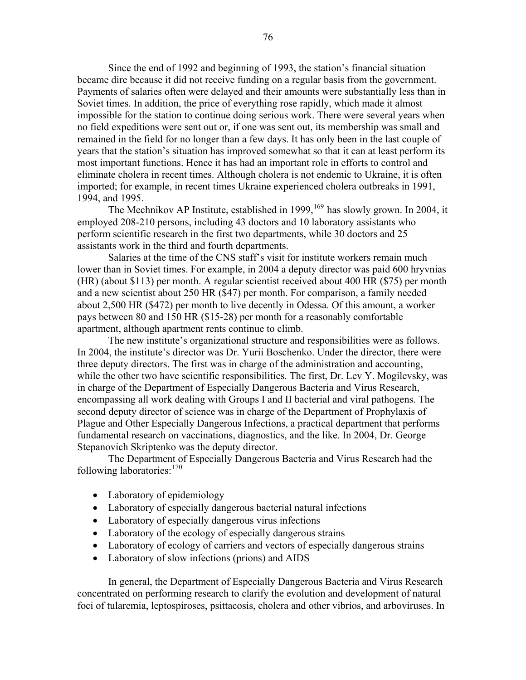Since the end of 1992 and beginning of 1993, the station's financial situation became dire because it did not receive funding on a regular basis from the government. Payments of salaries often were delayed and their amounts were substantially less than in Soviet times. In addition, the price of everything rose rapidly, which made it almost impossible for the station to continue doing serious work. There were several years when no field expeditions were sent out or, if one was sent out, its membership was small and remained in the field for no longer than a few days. It has only been in the last couple of years that the station's situation has improved somewhat so that it can at least perform its most important functions. Hence it has had an important role in efforts to control and eliminate cholera in recent times. Although cholera is not endemic to Ukraine, it is often imported; for example, in recent times Ukraine experienced cholera outbreaks in 1991, 1994, and 1995.

The Mechnikov AP Institute, established in 1999,  $^{169}$  $^{169}$  $^{169}$  has slowly grown. In 2004, it employed 208-210 persons, including 43 doctors and 10 laboratory assistants who perform scientific research in the first two departments, while 30 doctors and 25 assistants work in the third and fourth departments.

 Salaries at the time of the CNS staff's visit for institute workers remain much lower than in Soviet times. For example, in 2004 a deputy director was paid 600 hryvnias (HR) (about \$113) per month. A regular scientist received about 400 HR (\$75) per month and a new scientist about 250 HR (\$47) per month. For comparison, a family needed about 2,500 HR (\$472) per month to live decently in Odessa. Of this amount, a worker pays between 80 and 150 HR (\$15-28) per month for a reasonably comfortable apartment, although apartment rents continue to climb.

 The new institute's organizational structure and responsibilities were as follows. In 2004, the institute's director was Dr. Yurii Boschenko. Under the director, there were three deputy directors. The first was in charge of the administration and accounting, while the other two have scientific responsibilities. The first, Dr. Lev Y. Mogilevsky, was in charge of the Department of Especially Dangerous Bacteria and Virus Research, encompassing all work dealing with Groups I and II bacterial and viral pathogens. The second deputy director of science was in charge of the Department of Prophylaxis of Plague and Other Especially Dangerous Infections, a practical department that performs fundamental research on vaccinations, diagnostics, and the like. In 2004, Dr. George Stepanovich Skriptenko was the deputy director.

 The Department of Especially Dangerous Bacteria and Virus Research had the following laboratories: $170$ 

- Laboratory of epidemiology
- Laboratory of especially dangerous bacterial natural infections
- Laboratory of especially dangerous virus infections
- Laboratory of the ecology of especially dangerous strains
- Laboratory of ecology of carriers and vectors of especially dangerous strains
- Laboratory of slow infections (prions) and AIDS

 In general, the Department of Especially Dangerous Bacteria and Virus Research concentrated on performing research to clarify the evolution and development of natural foci of tularemia, leptospiroses, psittacosis, cholera and other vibrios, and arboviruses. In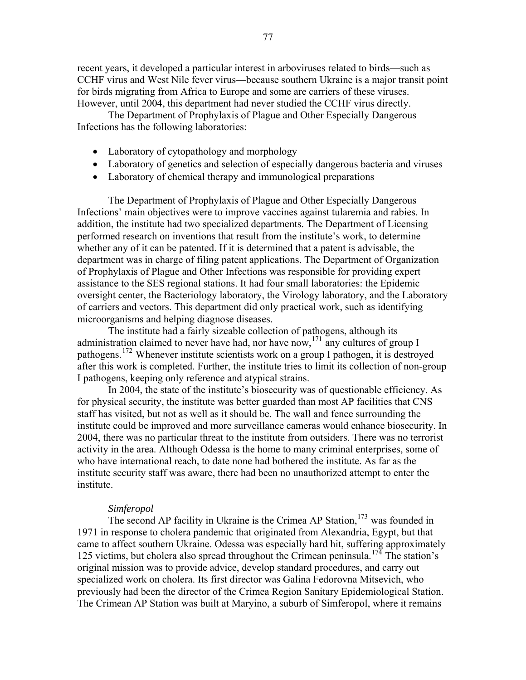recent years, it developed a particular interest in arboviruses related to birds—such as CCHF virus and West Nile fever virus—because southern Ukraine is a major transit point for birds migrating from Africa to Europe and some are carriers of these viruses. However, until 2004, this department had never studied the CCHF virus directly.

 The Department of Prophylaxis of Plague and Other Especially Dangerous Infections has the following laboratories:

- Laboratory of cytopathology and morphology
- Laboratory of genetics and selection of especially dangerous bacteria and viruses
- Laboratory of chemical therapy and immunological preparations

The Department of Prophylaxis of Plague and Other Especially Dangerous Infections' main objectives were to improve vaccines against tularemia and rabies. In addition, the institute had two specialized departments. The Department of Licensing performed research on inventions that result from the institute's work, to determine whether any of it can be patented. If it is determined that a patent is advisable, the department was in charge of filing patent applications. The Department of Organization of Prophylaxis of Plague and Other Infections was responsible for providing expert assistance to the SES regional stations. It had four small laboratories: the Epidemic oversight center, the Bacteriology laboratory, the Virology laboratory, and the Laboratory of carriers and vectors. This department did only practical work, such as identifying microorganisms and helping diagnose diseases.

The institute had a fairly sizeable collection of pathogens, although its administration claimed to never have had, nor have now,  $171$  any cultures of group I pathogens.[172](#page-10-0) Whenever institute scientists work on a group I pathogen, it is destroyed after this work is completed. Further, the institute tries to limit its collection of non-group I pathogens, keeping only reference and atypical strains.

In 2004, the state of the institute's biosecurity was of questionable efficiency. As for physical security, the institute was better guarded than most AP facilities that CNS staff has visited, but not as well as it should be. The wall and fence surrounding the institute could be improved and more surveillance cameras would enhance biosecurity. In 2004, there was no particular threat to the institute from outsiders. There was no terrorist activity in the area. Although Odessa is the home to many criminal enterprises, some of who have international reach, to date none had bothered the institute. As far as the institute security staff was aware, there had been no unauthorized attempt to enter the institute.

## *Simferopol*

The second AP facility in Ukraine is the Crimea AP Station,  $173$  was founded in 1971 in response to cholera pandemic that originated from Alexandria, Egypt, but that came to affect southern Ukraine. Odessa was especially hard hit, suffering approximately 125 victims, but cholera also spread throughout the Crimean peninsula.<sup>[174](#page-10-0)</sup> The station's original mission was to provide advice, develop standard procedures, and carry out specialized work on cholera. Its first director was Galina Fedorovna Mitsevich, who previously had been the director of the Crimea Region Sanitary Epidemiological Station. The Crimean AP Station was built at Maryino, a suburb of Simferopol, where it remains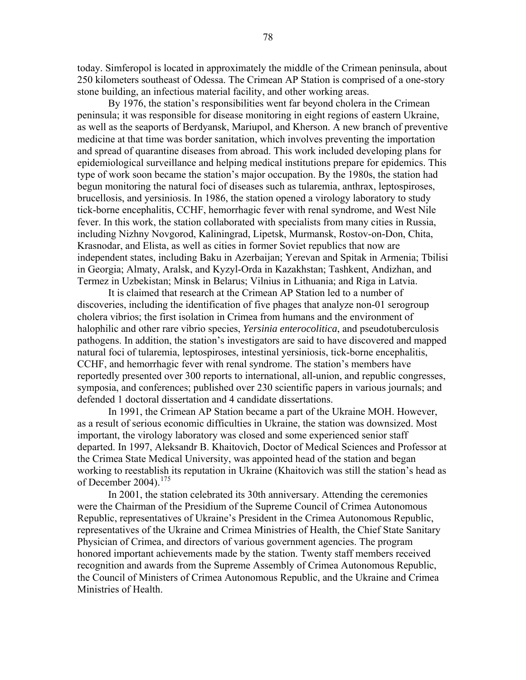today. Simferopol is located in approximately the middle of the Crimean peninsula, about 250 kilometers southeast of Odessa. The Crimean AP Station is comprised of a one-story stone building, an infectious material facility, and other working areas.

By 1976, the station's responsibilities went far beyond cholera in the Crimean peninsula; it was responsible for disease monitoring in eight regions of eastern Ukraine, as well as the seaports of Berdyansk, Mariupol, and Kherson. A new branch of preventive medicine at that time was border sanitation, which involves preventing the importation and spread of quarantine diseases from abroad. This work included developing plans for epidemiological surveillance and helping medical institutions prepare for epidemics. This type of work soon became the station's major occupation. By the 1980s, the station had begun monitoring the natural foci of diseases such as tularemia, anthrax, leptospiroses, brucellosis, and yersiniosis. In 1986, the station opened a virology laboratory to study tick-borne encephalitis, CCHF, hemorrhagic fever with renal syndrome, and West Nile fever. In this work, the station collaborated with specialists from many cities in Russia, including Nizhny Novgorod, Kaliningrad, Lipetsk, Murmansk, Rostov-on-Don, Chita, Krasnodar, and Elista, as well as cities in former Soviet republics that now are independent states, including Baku in Azerbaijan; Yerevan and Spitak in Armenia; Tbilisi in Georgia; Almaty, Aralsk, and Kyzyl-Orda in Kazakhstan; Tashkent, Andizhan, and Termez in Uzbekistan; Minsk in Belarus; Vilnius in Lithuania; and Riga in Latvia.

 It is claimed that research at the Crimean AP Station led to a number of discoveries, including the identification of five phages that analyze non-01 serogroup cholera vibrios; the first isolation in Crimea from humans and the environment of halophilic and other rare vibrio species, *Yersinia enterocolitica*, and pseudotuberculosis pathogens. In addition, the station's investigators are said to have discovered and mapped natural foci of tularemia, leptospiroses, intestinal yersiniosis, tick-borne encephalitis, CCHF, and hemorrhagic fever with renal syndrome. The station's members have reportedly presented over 300 reports to international, all-union, and republic congresses, symposia, and conferences; published over 230 scientific papers in various journals; and defended 1 doctoral dissertation and 4 candidate dissertations.

 In 1991, the Crimean AP Station became a part of the Ukraine MOH. However, as a result of serious economic difficulties in Ukraine, the station was downsized. Most important, the virology laboratory was closed and some experienced senior staff departed. In 1997, Aleksandr B. Khaitovich, Doctor of Medical Sciences and Professor at the Crimea State Medical University, was appointed head of the station and began working to reestablish its reputation in Ukraine (Khaitovich was still the station's head as of December 2004).[175](#page-10-0)

 In 2001, the station celebrated its 30th anniversary. Attending the ceremonies were the Chairman of the Presidium of the Supreme Council of Crimea Autonomous Republic, representatives of Ukraine's President in the Crimea Autonomous Republic, representatives of the Ukraine and Crimea Ministries of Health, the Chief State Sanitary Physician of Crimea, and directors of various government agencies. The program honored important achievements made by the station. Twenty staff members received recognition and awards from the Supreme Assembly of Crimea Autonomous Republic, the Council of Ministers of Crimea Autonomous Republic, and the Ukraine and Crimea Ministries of Health.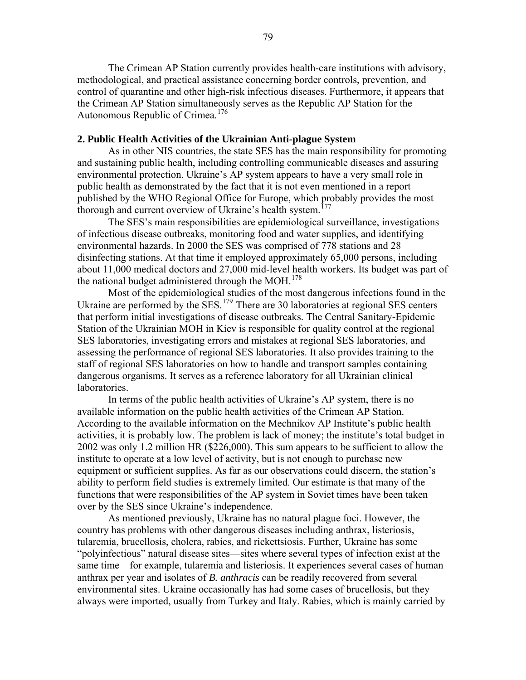The Crimean AP Station currently provides health-care institutions with advisory, methodological, and practical assistance concerning border controls, prevention, and control of quarantine and other high-risk infectious diseases. Furthermore, it appears that the Crimean AP Station simultaneously serves as the Republic AP Station for the Autonomous Republic of Crimea.<sup>[176](#page-10-0)</sup>

## **2. Public Health Activities of the Ukrainian Anti-plague System**

 As in other NIS countries, the state SES has the main responsibility for promoting and sustaining public health, including controlling communicable diseases and assuring environmental protection. Ukraine's AP system appears to have a very small role in public health as demonstrated by the fact that it is not even mentioned in a report published by the WHO Regional Office for Europe, which probably provides the most thorough and current overview of Ukraine's health system.<sup>[177](#page-10-0)</sup>

The SES's main responsibilities are epidemiological surveillance, investigations of infectious disease outbreaks, monitoring food and water supplies, and identifying environmental hazards. In 2000 the SES was comprised of 778 stations and 28 disinfecting stations. At that time it employed approximately 65,000 persons, including about 11,000 medical doctors and 27,000 mid-level health workers. Its budget was part of the national budget administered through the MOH. $178$ 

Most of the epidemiological studies of the most dangerous infections found in the Ukraine are performed by the  $\overline{\text{SES}}$ .<sup>[179](#page-10-0)</sup> There are 30 laboratories at regional SES centers that perform initial investigations of disease outbreaks. The Central Sanitary-Epidemic Station of the Ukrainian MOH in Kiev is responsible for quality control at the regional SES laboratories, investigating errors and mistakes at regional SES laboratories, and assessing the performance of regional SES laboratories. It also provides training to the staff of regional SES laboratories on how to handle and transport samples containing dangerous organisms. It serves as a reference laboratory for all Ukrainian clinical laboratories.

In terms of the public health activities of Ukraine's AP system, there is no available information on the public health activities of the Crimean AP Station. According to the available information on the Mechnikov AP Institute's public health activities, it is probably low. The problem is lack of money; the institute's total budget in 2002 was only 1.2 million HR (\$226,000). This sum appears to be sufficient to allow the institute to operate at a low level of activity, but is not enough to purchase new equipment or sufficient supplies. As far as our observations could discern, the station's ability to perform field studies is extremely limited. Our estimate is that many of the functions that were responsibilities of the AP system in Soviet times have been taken over by the SES since Ukraine's independence.

As mentioned previously, Ukraine has no natural plague foci. However, the country has problems with other dangerous diseases including anthrax, listeriosis, tularemia, brucellosis, cholera, rabies, and rickettsiosis. Further, Ukraine has some "polyinfectious" natural disease sites—sites where several types of infection exist at the same time—for example, tularemia and listeriosis. It experiences several cases of human anthrax per year and isolates of *B. anthracis* can be readily recovered from several environmental sites. Ukraine occasionally has had some cases of brucellosis, but they always were imported, usually from Turkey and Italy. Rabies, which is mainly carried by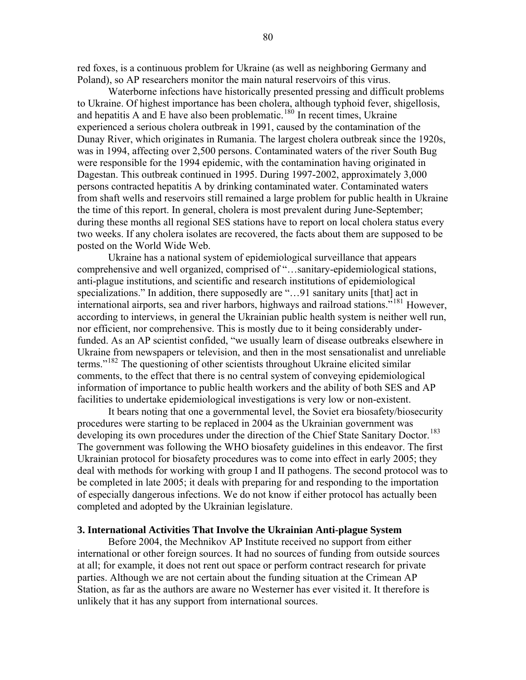red foxes, is a continuous problem for Ukraine (as well as neighboring Germany and Poland), so AP researchers monitor the main natural reservoirs of this virus.

Waterborne infections have historically presented pressing and difficult problems to Ukraine. Of highest importance has been cholera, although typhoid fever, shigellosis, and hepatitis A and E have also been problematic.<sup>[180](#page-10-0)</sup> In recent times, Ukraine experienced a serious cholera outbreak in 1991, caused by the contamination of the Dunay River, which originates in Rumania. The largest cholera outbreak since the 1920s, was in 1994, affecting over 2,500 persons. Contaminated waters of the river South Bug were responsible for the 1994 epidemic, with the contamination having originated in Dagestan. This outbreak continued in 1995. During 1997-2002, approximately 3,000 persons contracted hepatitis A by drinking contaminated water. Contaminated waters from shaft wells and reservoirs still remained a large problem for public health in Ukraine the time of this report. In general, cholera is most prevalent during June-September; during these months all regional SES stations have to report on local cholera status every two weeks. If any cholera isolates are recovered, the facts about them are supposed to be posted on the World Wide Web.

Ukraine has a national system of epidemiological surveillance that appears comprehensive and well organized, comprised of "…sanitary-epidemiological stations, anti-plague institutions, and scientific and research institutions of epidemiological specializations." In addition, there supposedly are "...91 sanitary units [that] act in international airports, sea and river harbors, highways and railroad stations."[181](#page-11-0) However, according to interviews, in general the Ukrainian public health system is neither well run, nor efficient, nor comprehensive. This is mostly due to it being considerably underfunded. As an AP scientist confided, "we usually learn of disease outbreaks elsewhere in Ukraine from newspapers or television, and then in the most sensationalist and unreliable terms."[182](#page-11-0) The questioning of other scientists throughout Ukraine elicited similar comments, to the effect that there is no central system of conveying epidemiological information of importance to public health workers and the ability of both SES and AP facilities to undertake epidemiological investigations is very low or non-existent.

It bears noting that one a governmental level, the Soviet era biosafety/biosecurity procedures were starting to be replaced in 2004 as the Ukrainian government was developing its own procedures under the direction of the Chief State Sanitary Doctor.<sup>[183](#page-11-0)</sup> The government was following the WHO biosafety guidelines in this endeavor. The first Ukrainian protocol for biosafety procedures was to come into effect in early 2005; they deal with methods for working with group I and II pathogens. The second protocol was to be completed in late 2005; it deals with preparing for and responding to the importation of especially dangerous infections. We do not know if either protocol has actually been completed and adopted by the Ukrainian legislature.

## **3. International Activities That Involve the Ukrainian Anti-plague System**

Before 2004, the Mechnikov AP Institute received no support from either international or other foreign sources. It had no sources of funding from outside sources at all; for example, it does not rent out space or perform contract research for private parties. Although we are not certain about the funding situation at the Crimean AP Station, as far as the authors are aware no Westerner has ever visited it. It therefore is unlikely that it has any support from international sources.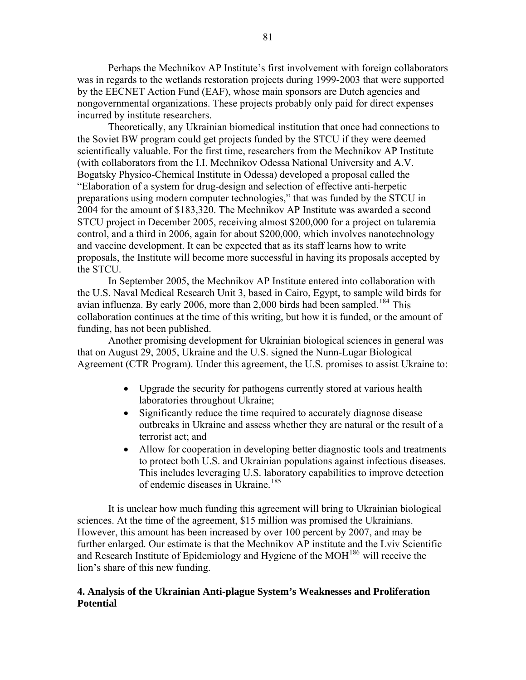Perhaps the Mechnikov AP Institute's first involvement with foreign collaborators was in regards to the wetlands restoration projects during 1999-2003 that were supported by the EECNET Action Fund (EAF), whose main sponsors are Dutch agencies and nongovernmental organizations. These projects probably only paid for direct expenses incurred by institute researchers.

Theoretically, any Ukrainian biomedical institution that once had connections to the Soviet BW program could get projects funded by the STCU if they were deemed scientifically valuable. For the first time, researchers from the Mechnikov AP Institute (with collaborators from the I.I. Mechnikov Odessa National University and A.V. Bogatsky Physico-Chemical Institute in Odessa) developed a proposal called the "Elaboration of a system for drug-design and selection of effective anti-herpetic preparations using modern computer technologies," that was funded by the STCU in 2004 for the amount of \$183,320. The Mechnikov AP Institute was awarded a second STCU project in December 2005, receiving almost \$200,000 for a project on tularemia control, and a third in 2006, again for about \$200,000, which involves nanotechnology and vaccine development. It can be expected that as its staff learns how to write proposals, the Institute will become more successful in having its proposals accepted by the STCU.

In September 2005, the Mechnikov AP Institute entered into collaboration with the U.S. Naval Medical Research Unit 3, based in Cairo, Egypt, to sample wild birds for avian influenza. By early 2006, more than 2,000 birds had been sampled.<sup>[184](#page-11-0)</sup> This collaboration continues at the time of this writing, but how it is funded, or the amount of funding, has not been published.

Another promising development for Ukrainian biological sciences in general was that on August 29, 2005, Ukraine and the U.S. signed the Nunn-Lugar Biological Agreement (CTR Program). Under this agreement, the U.S. promises to assist Ukraine to:

- Upgrade the security for pathogens currently stored at various health laboratories throughout Ukraine;
- Significantly reduce the time required to accurately diagnose disease outbreaks in Ukraine and assess whether they are natural or the result of a terrorist act; and
- Allow for cooperation in developing better diagnostic tools and treatments to protect both U.S. and Ukrainian populations against infectious diseases. This includes leveraging U.S. laboratory capabilities to improve detection of endemic diseases in Ukraine.<sup>[185](#page-11-0)</sup>

It is unclear how much funding this agreement will bring to Ukrainian biological sciences. At the time of the agreement, \$15 million was promised the Ukrainians. However, this amount has been increased by over 100 percent by 2007, and may be further enlarged. Our estimate is that the Mechnikov AP institute and the Lviv Scientific and Research Institute of Epidemiology and Hygiene of the MOH<sup>[186](#page-11-0)</sup> will receive the lion's share of this new funding.

## **4. Analysis of the Ukrainian Anti-plague System's Weaknesses and Proliferation Potential**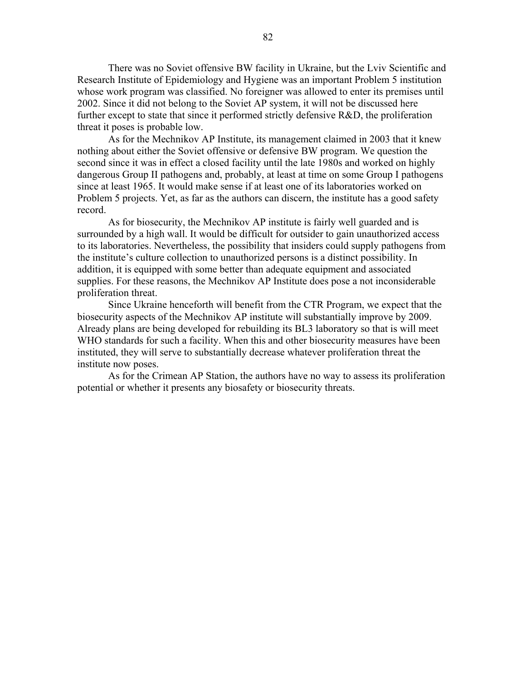There was no Soviet offensive BW facility in Ukraine, but the Lviv Scientific and Research Institute of Epidemiology and Hygiene was an important Problem 5 institution whose work program was classified. No foreigner was allowed to enter its premises until 2002. Since it did not belong to the Soviet AP system, it will not be discussed here further except to state that since it performed strictly defensive R&D, the proliferation threat it poses is probable low.

As for the Mechnikov AP Institute, its management claimed in 2003 that it knew nothing about either the Soviet offensive or defensive BW program. We question the second since it was in effect a closed facility until the late 1980s and worked on highly dangerous Group II pathogens and, probably, at least at time on some Group I pathogens since at least 1965. It would make sense if at least one of its laboratories worked on Problem 5 projects. Yet, as far as the authors can discern, the institute has a good safety record.

As for biosecurity, the Mechnikov AP institute is fairly well guarded and is surrounded by a high wall. It would be difficult for outsider to gain unauthorized access to its laboratories. Nevertheless, the possibility that insiders could supply pathogens from the institute's culture collection to unauthorized persons is a distinct possibility. In addition, it is equipped with some better than adequate equipment and associated supplies. For these reasons, the Mechnikov AP Institute does pose a not inconsiderable proliferation threat.

Since Ukraine henceforth will benefit from the CTR Program, we expect that the biosecurity aspects of the Mechnikov AP institute will substantially improve by 2009. Already plans are being developed for rebuilding its BL3 laboratory so that is will meet WHO standards for such a facility. When this and other biosecurity measures have been instituted, they will serve to substantially decrease whatever proliferation threat the institute now poses.

As for the Crimean AP Station, the authors have no way to assess its proliferation potential or whether it presents any biosafety or biosecurity threats.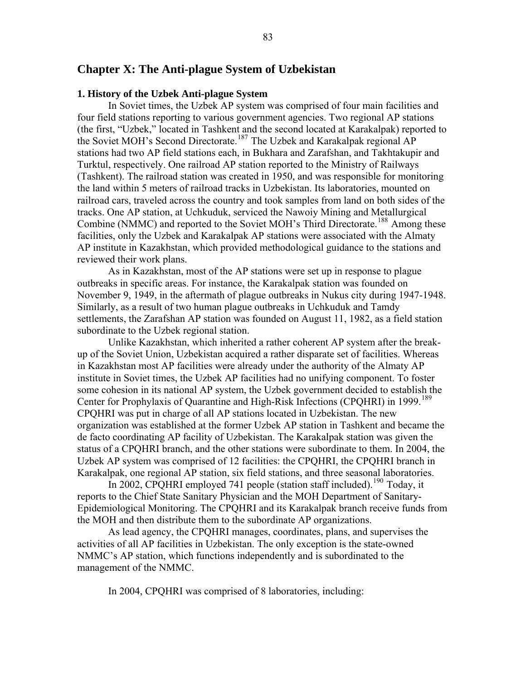# **Chapter X: The Anti-plague System of Uzbekistan**

## **1. History of the Uzbek Anti-plague System**

 In Soviet times, the Uzbek AP system was comprised of four main facilities and four field stations reporting to various government agencies. Two regional AP stations (the first, "Uzbek," located in Tashkent and the second located at Karakalpak) reported to the Soviet MOH's Second Directorate.<sup>[187](#page-11-0)</sup> The Uzbek and Karakalpak regional AP stations had two AP field stations each, in Bukhara and Zarafshan, and Takhtakupir and Turktul, respectively. One railroad AP station reported to the Ministry of Railways (Tashkent). The railroad station was created in 1950, and was responsible for monitoring the land within 5 meters of railroad tracks in Uzbekistan. Its laboratories, mounted on railroad cars, traveled across the country and took samples from land on both sides of the tracks. One AP station, at Uchkuduk, serviced the Nawoiy Mining and Metallurgical Combine (NMMC) and reported to the Soviet MOH's Third Directorate.<sup>[188](#page-11-0)</sup> Among these facilities, only the Uzbek and Karakalpak AP stations were associated with the Almaty AP institute in Kazakhstan, which provided methodological guidance to the stations and reviewed their work plans.

As in Kazakhstan, most of the AP stations were set up in response to plague outbreaks in specific areas. For instance, the Karakalpak station was founded on November 9, 1949, in the aftermath of plague outbreaks in Nukus city during 1947-1948. Similarly, as a result of two human plague outbreaks in Uchkuduk and Tamdy settlements, the Zarafshan AP station was founded on August 11, 1982, as a field station subordinate to the Uzbek regional station.

Unlike Kazakhstan, which inherited a rather coherent AP system after the breakup of the Soviet Union, Uzbekistan acquired a rather disparate set of facilities. Whereas in Kazakhstan most AP facilities were already under the authority of the Almaty AP institute in Soviet times, the Uzbek AP facilities had no unifying component. To foster some cohesion in its national AP system, the Uzbek government decided to establish the Center for Prophylaxis of Quarantine and High-Risk Infections (CPQHRI) in 1999.<sup>[189](#page-11-0)</sup> CPQHRI was put in charge of all AP stations located in Uzbekistan. The new organization was established at the former Uzbek AP station in Tashkent and became the de facto coordinating AP facility of Uzbekistan. The Karakalpak station was given the status of a CPQHRI branch, and the other stations were subordinate to them. In 2004, the Uzbek AP system was comprised of 12 facilities: the CPQHRI, the CPQHRI branch in Karakalpak, one regional AP station, six field stations, and three seasonal laboratories.

In 2002, CPQHRI employed 741 people (station staff included).<sup>[190](#page-11-0)</sup> Today, it reports to the Chief State Sanitary Physician and the MOH Department of Sanitary-Epidemiological Monitoring. The CPQHRI and its Karakalpak branch receive funds from the MOH and then distribute them to the subordinate AP organizations.

As lead agency, the CPQHRI manages, coordinates, plans, and supervises the activities of all AP facilities in Uzbekistan. The only exception is the state-owned NMMC's AP station, which functions independently and is subordinated to the management of the NMMC.

In 2004, CPQHRI was comprised of 8 laboratories, including: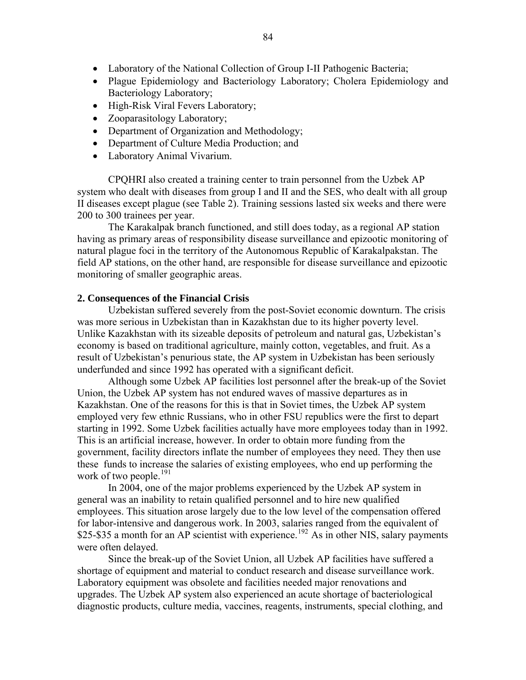- Laboratory of the National Collection of Group I-II Pathogenic Bacteria;
- Plague Epidemiology and Bacteriology Laboratory; Cholera Epidemiology and Bacteriology Laboratory;
- High-Risk Viral Fevers Laboratory;
- Zooparasitology Laboratory;
- Department of Organization and Methodology;
- Department of Culture Media Production; and
- Laboratory Animal Vivarium.

CPQHRI also created a training center to train personnel from the Uzbek AP system who dealt with diseases from group I and II and the SES, who dealt with all group II diseases except plague (see Table 2). Training sessions lasted six weeks and there were 200 to 300 trainees per year.

The Karakalpak branch functioned, and still does today, as a regional AP station having as primary areas of responsibility disease surveillance and epizootic monitoring of natural plague foci in the territory of the Autonomous Republic of Karakalpakstan. The field AP stations, on the other hand, are responsible for disease surveillance and epizootic monitoring of smaller geographic areas.

## **2. Consequences of the Financial Crisis**

 Uzbekistan suffered severely from the post-Soviet economic downturn. The crisis was more serious in Uzbekistan than in Kazakhstan due to its higher poverty level. Unlike Kazakhstan with its sizeable deposits of petroleum and natural gas, Uzbekistan's economy is based on traditional agriculture, mainly cotton, vegetables, and fruit. As a result of Uzbekistan's penurious state, the AP system in Uzbekistan has been seriously underfunded and since 1992 has operated with a significant deficit.

Although some Uzbek AP facilities lost personnel after the break-up of the Soviet Union, the Uzbek AP system has not endured waves of massive departures as in Kazakhstan. One of the reasons for this is that in Soviet times, the Uzbek AP system employed very few ethnic Russians, who in other FSU republics were the first to depart starting in 1992. Some Uzbek facilities actually have more employees today than in 1992. This is an artificial increase, however. In order to obtain more funding from the government, facility directors inflate the number of employees they need. They then use these funds to increase the salaries of existing employees, who end up performing the work of two people. $^{191}$  $^{191}$  $^{191}$ 

In 2004, one of the major problems experienced by the Uzbek AP system in general was an inability to retain qualified personnel and to hire new qualified employees. This situation arose largely due to the low level of the compensation offered for labor-intensive and dangerous work. In 2003, salaries ranged from the equivalent of \$25-\$35 a month for an AP scientist with experience.<sup>[192](#page-11-0)</sup> As in other NIS, salary payments were often delayed.

Since the break-up of the Soviet Union, all Uzbek AP facilities have suffered a shortage of equipment and material to conduct research and disease surveillance work. Laboratory equipment was obsolete and facilities needed major renovations and upgrades. The Uzbek AP system also experienced an acute shortage of bacteriological diagnostic products, culture media, vaccines, reagents, instruments, special clothing, and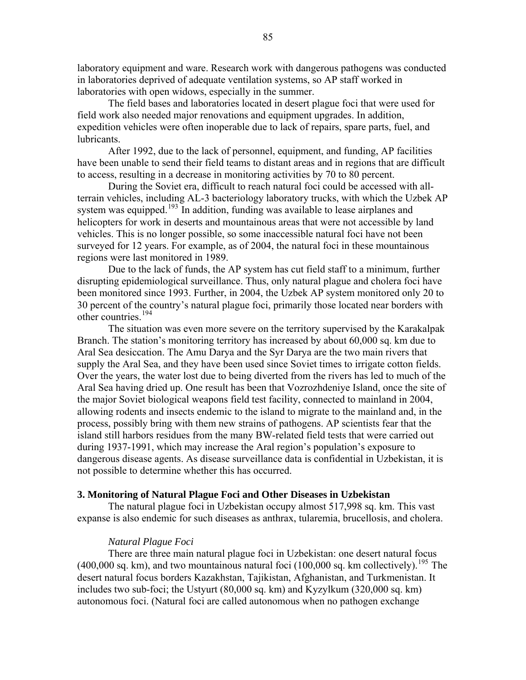laboratory equipment and ware. Research work with dangerous pathogens was conducted in laboratories deprived of adequate ventilation systems, so AP staff worked in laboratories with open widows, especially in the summer.

The field bases and laboratories located in desert plague foci that were used for field work also needed major renovations and equipment upgrades. In addition, expedition vehicles were often inoperable due to lack of repairs, spare parts, fuel, and lubricants.

After 1992, due to the lack of personnel, equipment, and funding, AP facilities have been unable to send their field teams to distant areas and in regions that are difficult to access, resulting in a decrease in monitoring activities by 70 to 80 percent.

During the Soviet era, difficult to reach natural foci could be accessed with allterrain vehicles, including AL-3 bacteriology laboratory trucks, with which the Uzbek AP system was equipped.<sup>[193](#page-11-0)</sup> In addition, funding was available to lease airplanes and helicopters for work in deserts and mountainous areas that were not accessible by land vehicles. This is no longer possible, so some inaccessible natural foci have not been surveyed for 12 years. For example, as of 2004, the natural foci in these mountainous regions were last monitored in 1989.

Due to the lack of funds, the AP system has cut field staff to a minimum, further disrupting epidemiological surveillance. Thus, only natural plague and cholera foci have been monitored since 1993. Further, in 2004, the Uzbek AP system monitored only 20 to 30 percent of the country's natural plague foci, primarily those located near borders with other countries.<sup>[194](#page-11-0)</sup>

The situation was even more severe on the territory supervised by the Karakalpak Branch. The station's monitoring territory has increased by about 60,000 sq. km due to Aral Sea desiccation. The Amu Darya and the Syr Darya are the two main rivers that supply the Aral Sea, and they have been used since Soviet times to irrigate cotton fields. Over the years, the water lost due to being diverted from the rivers has led to much of the Aral Sea having dried up. One result has been that Vozrozhdeniye Island, once the site of the major Soviet biological weapons field test facility, connected to mainland in 2004, allowing rodents and insects endemic to the island to migrate to the mainland and, in the process, possibly bring with them new strains of pathogens. AP scientists fear that the island still harbors residues from the many BW-related field tests that were carried out during 1937-1991, which may increase the Aral region's population's exposure to dangerous disease agents. As disease surveillance data is confidential in Uzbekistan, it is not possible to determine whether this has occurred.

#### **3. Monitoring of Natural Plague Foci and Other Diseases in Uzbekistan**

The natural plague foci in Uzbekistan occupy almost 517,998 sq. km. This vast expanse is also endemic for such diseases as anthrax, tularemia, brucellosis, and cholera.

#### *Natural Plague Foci*

There are three main natural plague foci in Uzbekistan: one desert natural focus (400,000 sq. km), and two mountainous natural foci (100,000 sq. km collectively).<sup>[195](#page-11-0)</sup> The desert natural focus borders Kazakhstan, Tajikistan, Afghanistan, and Turkmenistan. It includes two sub-foci; the Ustyurt (80,000 sq. km) and Kyzylkum (320,000 sq. km) autonomous foci. (Natural foci are called autonomous when no pathogen exchange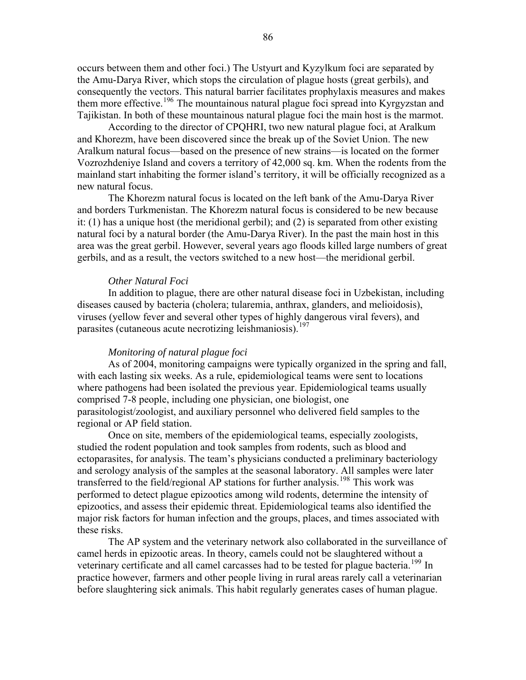occurs between them and other foci.) The Ustyurt and Kyzylkum foci are separated by the Amu-Darya River, which stops the circulation of plague hosts (great gerbils), and consequently the vectors. This natural barrier facilitates prophylaxis measures and makes them more effective.<sup>[196](#page-11-0)</sup> The mountainous natural plague foci spread into Kyrgyzstan and Tajikistan. In both of these mountainous natural plague foci the main host is the marmot.

According to the director of CPQHRI, two new natural plague foci, at Aralkum and Khorezm, have been discovered since the break up of the Soviet Union. The new Aralkum natural focus—based on the presence of new strains—is located on the former Vozrozhdeniye Island and covers a territory of 42,000 sq. km. When the rodents from the mainland start inhabiting the former island's territory, it will be officially recognized as a new natural focus.

The Khorezm natural focus is located on the left bank of the Amu-Darya River and borders Turkmenistan. The Khorezm natural focus is considered to be new because it: (1) has a unique host (the meridional gerbil); and (2) is separated from other existing natural foci by a natural border (the Amu-Darya River). In the past the main host in this area was the great gerbil. However, several years ago floods killed large numbers of great gerbils, and as a result, the vectors switched to a new host—the meridional gerbil.

### *Other Natural Foci*

In addition to plague, there are other natural disease foci in Uzbekistan, including diseases caused by bacteria (cholera; tularemia, anthrax, glanders, and melioidosis), viruses (yellow fever and several other types of highly dangerous viral fevers), and parasites (cutaneous acute necrotizing leishmaniosis).<sup>[197](#page-11-0)</sup>

## *Monitoring of natural plague foci*

As of 2004, monitoring campaigns were typically organized in the spring and fall, with each lasting six weeks. As a rule, epidemiological teams were sent to locations where pathogens had been isolated the previous year. Epidemiological teams usually comprised 7-8 people, including one physician, one biologist, one parasitologist/zoologist, and auxiliary personnel who delivered field samples to the regional or AP field station.

Once on site, members of the epidemiological teams, especially zoologists, studied the rodent population and took samples from rodents, such as blood and ectoparasites, for analysis. The team's physicians conducted a preliminary bacteriology and serology analysis of the samples at the seasonal laboratory. All samples were later transferred to the field/regional AP stations for further analysis.<sup>[198](#page-11-0)</sup> This work was performed to detect plague epizootics among wild rodents, determine the intensity of epizootics, and assess their epidemic threat. Epidemiological teams also identified the major risk factors for human infection and the groups, places, and times associated with these risks.

The AP system and the veterinary network also collaborated in the surveillance of camel herds in epizootic areas. In theory, camels could not be slaughtered without a veterinary certificate and all camel carcasses had to be tested for plague bacteria.<sup>[199](#page-11-0)</sup> In practice however, farmers and other people living in rural areas rarely call a veterinarian before slaughtering sick animals. This habit regularly generates cases of human plague.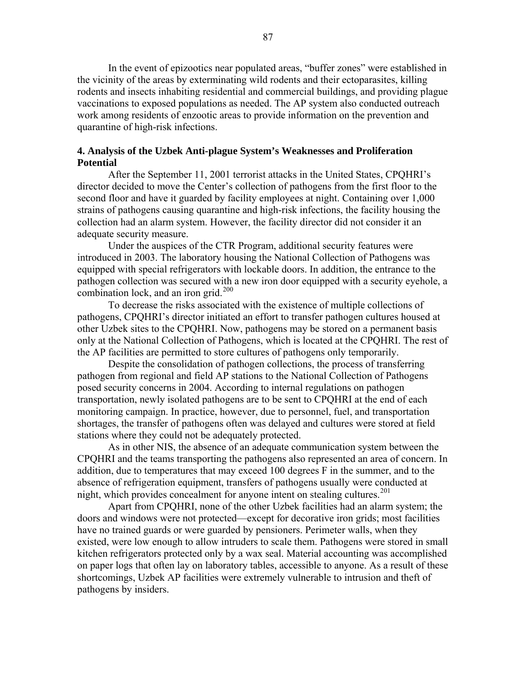In the event of epizootics near populated areas, "buffer zones" were established in the vicinity of the areas by exterminating wild rodents and their ectoparasites, killing rodents and insects inhabiting residential and commercial buildings, and providing plague vaccinations to exposed populations as needed. The AP system also conducted outreach work among residents of enzootic areas to provide information on the prevention and quarantine of high-risk infections.

# **4. Analysis of the Uzbek Anti-plague System's Weaknesses and Proliferation Potential**

After the September 11, 2001 terrorist attacks in the United States, CPQHRI's director decided to move the Center's collection of pathogens from the first floor to the second floor and have it guarded by facility employees at night. Containing over 1,000 strains of pathogens causing quarantine and high-risk infections, the facility housing the collection had an alarm system. However, the facility director did not consider it an adequate security measure.

Under the auspices of the CTR Program, additional security features were introduced in 2003. The laboratory housing the National Collection of Pathogens was equipped with special refrigerators with lockable doors. In addition, the entrance to the pathogen collection was secured with a new iron door equipped with a security eyehole, a combination lock, and an iron grid.<sup>[200](#page-11-0)</sup>

To decrease the risks associated with the existence of multiple collections of pathogens, CPQHRI's director initiated an effort to transfer pathogen cultures housed at other Uzbek sites to the CPQHRI. Now, pathogens may be stored on a permanent basis only at the National Collection of Pathogens, which is located at the CPQHRI. The rest of the AP facilities are permitted to store cultures of pathogens only temporarily.

Despite the consolidation of pathogen collections, the process of transferring pathogen from regional and field AP stations to the National Collection of Pathogens posed security concerns in 2004. According to internal regulations on pathogen transportation, newly isolated pathogens are to be sent to CPQHRI at the end of each monitoring campaign. In practice, however, due to personnel, fuel, and transportation shortages, the transfer of pathogens often was delayed and cultures were stored at field stations where they could not be adequately protected.

As in other NIS, the absence of an adequate communication system between the CPQHRI and the teams transporting the pathogens also represented an area of concern. In addition, due to temperatures that may exceed 100 degrees F in the summer, and to the absence of refrigeration equipment, transfers of pathogens usually were conducted at night, which provides concealment for anyone intent on stealing cultures.<sup>[201](#page-11-0)</sup>

Apart from CPQHRI, none of the other Uzbek facilities had an alarm system; the doors and windows were not protected—except for decorative iron grids; most facilities have no trained guards or were guarded by pensioners. Perimeter walls, when they existed, were low enough to allow intruders to scale them. Pathogens were stored in small kitchen refrigerators protected only by a wax seal. Material accounting was accomplished on paper logs that often lay on laboratory tables, accessible to anyone. As a result of these shortcomings, Uzbek AP facilities were extremely vulnerable to intrusion and theft of pathogens by insiders.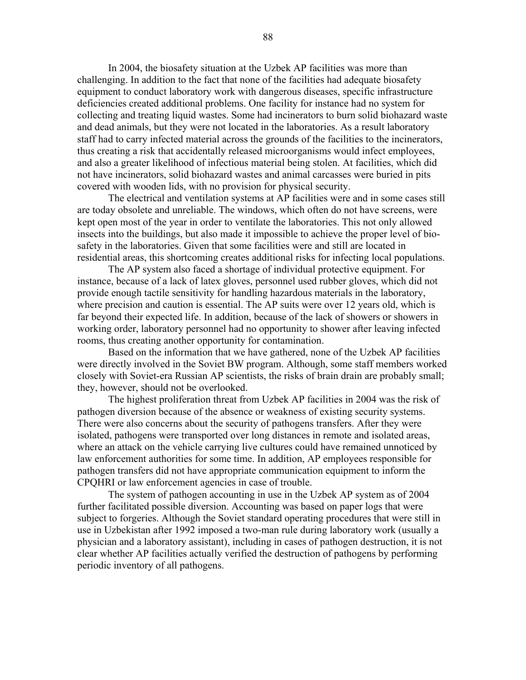In 2004, the biosafety situation at the Uzbek AP facilities was more than challenging. In addition to the fact that none of the facilities had adequate biosafety equipment to conduct laboratory work with dangerous diseases, specific infrastructure deficiencies created additional problems. One facility for instance had no system for collecting and treating liquid wastes. Some had incinerators to burn solid biohazard waste and dead animals, but they were not located in the laboratories. As a result laboratory staff had to carry infected material across the grounds of the facilities to the incinerators, thus creating a risk that accidentally released microorganisms would infect employees, and also a greater likelihood of infectious material being stolen. At facilities, which did not have incinerators, solid biohazard wastes and animal carcasses were buried in pits covered with wooden lids, with no provision for physical security.

 The electrical and ventilation systems at AP facilities were and in some cases still are today obsolete and unreliable. The windows, which often do not have screens, were kept open most of the year in order to ventilate the laboratories. This not only allowed insects into the buildings, but also made it impossible to achieve the proper level of biosafety in the laboratories. Given that some facilities were and still are located in residential areas, this shortcoming creates additional risks for infecting local populations.

 The AP system also faced a shortage of individual protective equipment. For instance, because of a lack of latex gloves, personnel used rubber gloves, which did not provide enough tactile sensitivity for handling hazardous materials in the laboratory, where precision and caution is essential. The AP suits were over 12 years old, which is far beyond their expected life. In addition, because of the lack of showers or showers in working order, laboratory personnel had no opportunity to shower after leaving infected rooms, thus creating another opportunity for contamination.

Based on the information that we have gathered, none of the Uzbek AP facilities were directly involved in the Soviet BW program. Although, some staff members worked closely with Soviet-era Russian AP scientists, the risks of brain drain are probably small; they, however, should not be overlooked.

The highest proliferation threat from Uzbek AP facilities in 2004 was the risk of pathogen diversion because of the absence or weakness of existing security systems. There were also concerns about the security of pathogens transfers. After they were isolated, pathogens were transported over long distances in remote and isolated areas, where an attack on the vehicle carrying live cultures could have remained unnoticed by law enforcement authorities for some time. In addition, AP employees responsible for pathogen transfers did not have appropriate communication equipment to inform the CPQHRI or law enforcement agencies in case of trouble.

The system of pathogen accounting in use in the Uzbek AP system as of 2004 further facilitated possible diversion. Accounting was based on paper logs that were subject to forgeries. Although the Soviet standard operating procedures that were still in use in Uzbekistan after 1992 imposed a two-man rule during laboratory work (usually a physician and a laboratory assistant), including in cases of pathogen destruction, it is not clear whether AP facilities actually verified the destruction of pathogens by performing periodic inventory of all pathogens.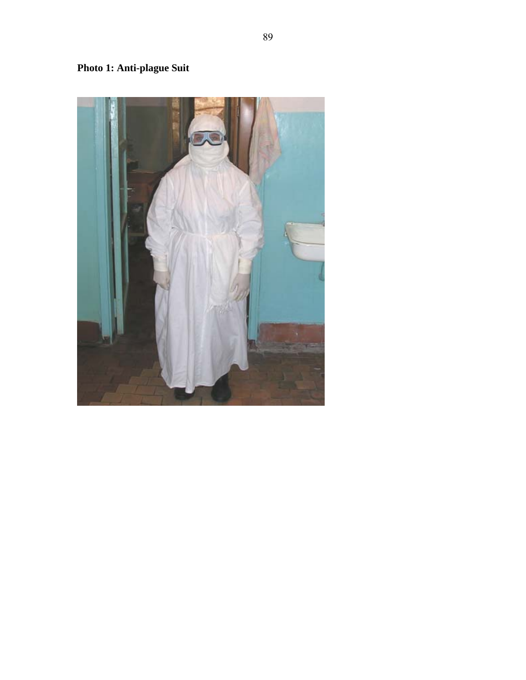# **Photo 1: Anti-plague Suit**

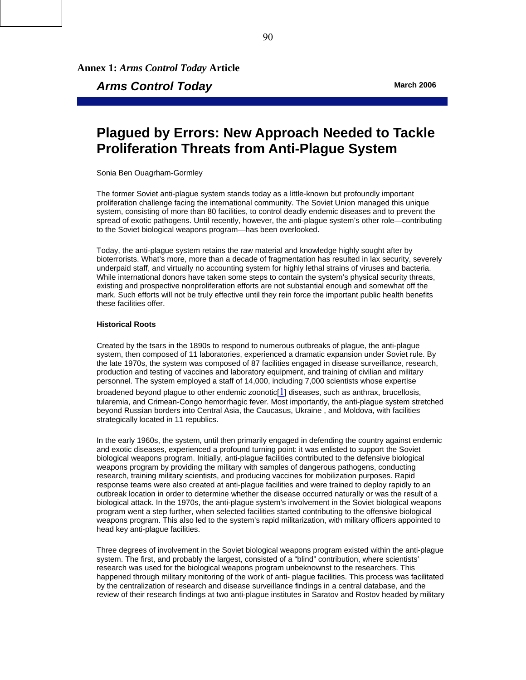**Annex 1:** *Arms Control Today* **Article** 

**Arms Control Today March 2006** March 2006

# **Plagued by Errors: New Approach Needed to Tackle Proliferation Threats from Anti-Plague System**

Sonia Ben Ouagrham-Gormley

The former Soviet anti-plague system stands today as a little-known but profoundly important proliferation challenge facing the international community. The Soviet Union managed this unique system, consisting of more than 80 facilities, to control deadly endemic diseases and to prevent the spread of exotic pathogens. Until recently, however, the anti-plague system's other role—contributing to the Soviet biological weapons program—has been overlooked.

Today, the anti-plague system retains the raw material and knowledge highly sought after by bioterrorists. What's more, more than a decade of fragmentation has resulted in lax security, severely underpaid staff, and virtually no accounting system for highly lethal strains of viruses and bacteria. While international donors have taken some steps to contain the system's physical security threats, existing and prospective nonproliferation efforts are not substantial enough and somewhat off the mark. Such efforts will not be truly effective until they rein force the important public health benefits these facilities offer.

#### **Historical Roots**

Created by the tsars in the 1890s to respond to numerous outbreaks of plague, the anti-plague system, then composed of 11 laboratories, experienced a dramatic expansion under Soviet rule. By the late 1970s, the system was composed of 87 facilities engaged in disease surveillance, research, production and testing of vaccines and laboratory equipment, and training of civilian and military personnel. The system employed a staff of 14,000, including 7,000 scientists whose expertise broadened beyond plague to other endemic zoonotic $[1]$  $[1]$  $[1]$  diseases, such as anthrax, brucellosis, tularemia, and Crimean-Congo hemorrhagic fever. Most importantly, the anti-plague system stretched beyond Russian borders into Central Asia, the Caucasus, Ukraine , and Moldova, with facilities strategically located in 11 republics.

In the early 1960s, the system, until then primarily engaged in defending the country against endemic and exotic diseases, experienced a profound turning point: it was enlisted to support the Soviet biological weapons program. Initially, anti-plague facilities contributed to the defensive biological weapons program by providing the military with samples of dangerous pathogens, conducting research, training military scientists, and producing vaccines for mobilization purposes. Rapid response teams were also created at anti-plague facilities and were trained to deploy rapidly to an outbreak location in order to determine whether the disease occurred naturally or was the result of a biological attack. In the 1970s, the anti-plague system's involvement in the Soviet biological weapons program went a step further, when selected facilities started contributing to the offensive biological weapons program. This also led to the system's rapid militarization, with military officers appointed to head key anti-plague facilities.

Three degrees of involvement in the Soviet biological weapons program existed within the anti-plague system. The first, and probably the largest, consisted of a "blind" contribution, where scientists' research was used for the biological weapons program unbeknownst to the researchers. This happened through military monitoring of the work of anti- plague facilities. This process was facilitated by the centralization of research and disease surveillance findings in a central database, and the review of their research findings at two anti-plague institutes in Saratov and Rostov headed by military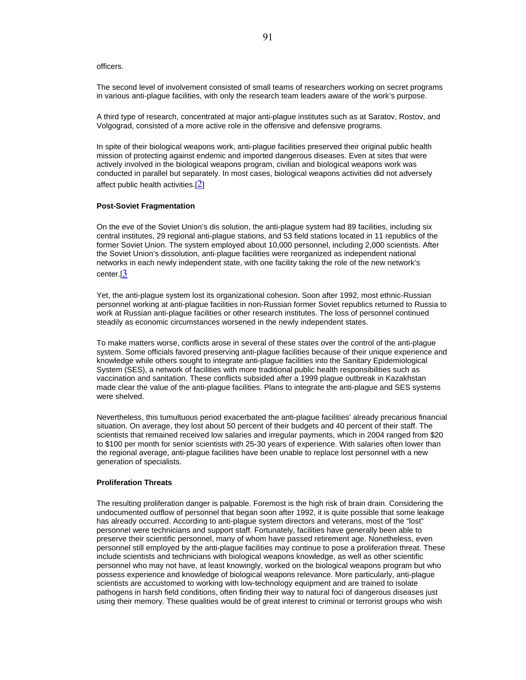officers.

The second level of involvement consisted of small teams of researchers working on secret programs in various anti-plague facilities, with only the research team leaders aware of the work's purpose.

A third type of research, concentrated at major anti-plague institutes such as at Saratov, Rostov, and Volgograd, consisted of a more active role in the offensive and defensive programs.

In spite of their biological weapons work, anti-plague facilities preserved their original public health mission of protecting against endemic and imported dangerous diseases. Even at sites that were actively involved in the biological weapons program, civilian and biological weapons work was conducted in parallel but separately. In most cases, biological weapons activities did not adversely affect public health activities.<sup>[[2](http://www.armscontrol.org/act/2006_03/MARCH-PlagueFeature.asp?print#note02#note02)]</sup>

#### **Post-Soviet Fragmentation**

On the eve of the Soviet Union's dis solution, the anti-plague system had 89 facilities, including six central institutes, 29 regional anti-plague stations, and 53 field stations located in 11 republics of the former Soviet Union. The system employed about 10,000 personnel, including 2,000 scientists. After the Soviet Union's dissolution, anti-plague facilities were reorganized as independent national networks in each newly independent state, with one facility taking the role of the new network's center.<sup>[[3](http://www.armscontrol.org/act/2006_03/MARCH-PlagueFeature.asp?print#note03#note03)]</sup>

Yet, the anti-plague system lost its organizational cohesion. Soon after 1992, most ethnic-Russian personnel working at anti-plague facilities in non-Russian former Soviet republics returned to Russia to work at Russian anti-plague facilities or other research institutes. The loss of personnel continued steadily as economic circumstances worsened in the newly independent states.

To make matters worse, conflicts arose in several of these states over the control of the anti-plague system. Some officials favored preserving anti-plague facilities because of their unique experience and knowledge while others sought to integrate anti-plague facilities into the Sanitary Epidemiological System (SES), a network of facilities with more traditional public health responsibilities such as vaccination and sanitation. These conflicts subsided after a 1999 plague outbreak in Kazakhstan made clear the value of the anti-plague facilities. Plans to integrate the anti-plague and SES systems were shelved.

Nevertheless, this tumultuous period exacerbated the anti-plague facilities' already precarious financial situation. On average, they lost about 50 percent of their budgets and 40 percent of their staff. The scientists that remained received low salaries and irregular payments, which in 2004 ranged from \$20 to \$100 per month for senior scientists with 25-30 years of experience. With salaries often lower than the regional average, anti-plague facilities have been unable to replace lost personnel with a new generation of specialists.

#### **Proliferation Threats**

The resulting proliferation danger is palpable. Foremost is the high risk of brain drain. Considering the undocumented outflow of personnel that began soon after 1992, it is quite possible that some leakage has already occurred. According to anti-plague system directors and veterans, most of the "lost" personnel were technicians and support staff. Fortunately, facilities have generally been able to preserve their scientific personnel, many of whom have passed retirement age. Nonetheless, even personnel still employed by the anti-plague facilities may continue to pose a proliferation threat. These include scientists and technicians with biological weapons knowledge, as well as other scientific personnel who may not have, at least knowingly, worked on the biological weapons program but who possess experience and knowledge of biological weapons relevance. More particularly, anti-plague scientists are accustomed to working with low-technology equipment and are trained to isolate pathogens in harsh field conditions, often finding their way to natural foci of dangerous diseases just using their memory. These qualities would be of great interest to criminal or terrorist groups who wish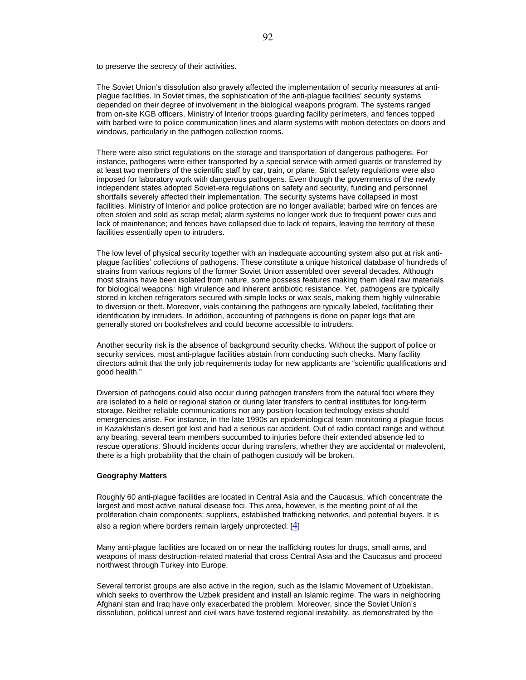to preserve the secrecy of their activities.

The Soviet Union's dissolution also gravely affected the implementation of security measures at antiplague facilities. In Soviet times, the sophistication of the anti-plague facilities' security systems depended on their degree of involvement in the biological weapons program. The systems ranged from on-site KGB officers, Ministry of Interior troops guarding facility perimeters, and fences topped with barbed wire to police communication lines and alarm systems with motion detectors on doors and windows, particularly in the pathogen collection rooms.

There were also strict regulations on the storage and transportation of dangerous pathogens. For instance, pathogens were either transported by a special service with armed guards or transferred by at least two members of the scientific staff by car, train, or plane. Strict safety regulations were also imposed for laboratory work with dangerous pathogens. Even though the governments of the newly independent states adopted Soviet-era regulations on safety and security, funding and personnel shortfalls severely affected their implementation. The security systems have collapsed in most facilities. Ministry of Interior and police protection are no longer available; barbed wire on fences are often stolen and sold as scrap metal; alarm systems no longer work due to frequent power cuts and lack of maintenance; and fences have collapsed due to lack of repairs, leaving the territory of these facilities essentially open to intruders.

The low level of physical security together with an inadequate accounting system also put at risk antiplague facilities' collections of pathogens. These constitute a unique historical database of hundreds of strains from various regions of the former Soviet Union assembled over several decades. Although most strains have been isolated from nature, some possess features making them ideal raw materials for biological weapons: high virulence and inherent antibiotic resistance. Yet, pathogens are typically stored in kitchen refrigerators secured with simple locks or wax seals, making them highly vulnerable to diversion or theft. Moreover, vials containing the pathogens are typically labeled, facilitating their identification by intruders. In addition, accounting of pathogens is done on paper logs that are generally stored on bookshelves and could become accessible to intruders.

Another security risk is the absence of background security checks. Without the support of police or security services, most anti-plague facilities abstain from conducting such checks. Many facility directors admit that the only job requirements today for new applicants are "scientific qualifications and good health."

Diversion of pathogens could also occur during pathogen transfers from the natural foci where they are isolated to a field or regional station or during later transfers to central institutes for long-term storage. Neither reliable communications nor any position-location technology exists should emergencies arise. For instance, in the late 1990s an epidemiological team monitoring a plague focus in Kazakhstan's desert got lost and had a serious car accident. Out of radio contact range and without any bearing, several team members succumbed to injuries before their extended absence led to rescue operations. Should incidents occur during transfers, whether they are accidental or malevolent, there is a high probability that the chain of pathogen custody will be broken.

#### **Geography Matters**

Roughly 60 anti-plague facilities are located in Central Asia and the Caucasus, which concentrate the largest and most active natural disease foci. This area, however, is the meeting point of all the proliferation chain components: suppliers, established trafficking networks, and potential buyers. It is also a region where borders remain largely unprotected.  $[4]$  $[4]$  $[4]$ 

Many anti-plague facilities are located on or near the trafficking routes for drugs, small arms, and weapons of mass destruction-related material that cross Central Asia and the Caucasus and proceed northwest through Turkey into Europe.

Several terrorist groups are also active in the region, such as the Islamic Movement of Uzbekistan, which seeks to overthrow the Uzbek president and install an Islamic regime. The wars in neighboring Afghani stan and Iraq have only exacerbated the problem. Moreover, since the Soviet Union's dissolution, political unrest and civil wars have fostered regional instability, as demonstrated by the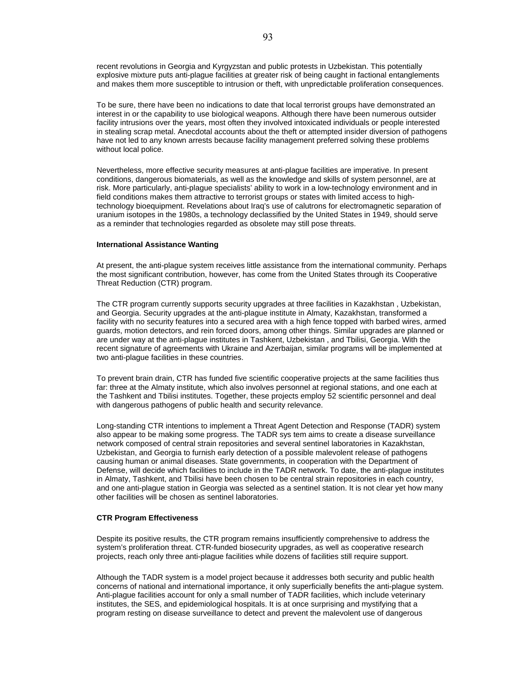recent revolutions in Georgia and Kyrgyzstan and public protests in Uzbekistan. This potentially explosive mixture puts anti-plague facilities at greater risk of being caught in factional entanglements and makes them more susceptible to intrusion or theft, with unpredictable proliferation consequences.

To be sure, there have been no indications to date that local terrorist groups have demonstrated an interest in or the capability to use biological weapons. Although there have been numerous outsider facility intrusions over the years, most often they involved intoxicated individuals or people interested in stealing scrap metal. Anecdotal accounts about the theft or attempted insider diversion of pathogens have not led to any known arrests because facility management preferred solving these problems without local police.

Nevertheless, more effective security measures at anti-plague facilities are imperative. In present conditions, dangerous biomaterials, as well as the knowledge and skills of system personnel, are at risk. More particularly, anti-plague specialists' ability to work in a low-technology environment and in field conditions makes them attractive to terrorist groups or states with limited access to hightechnology bioequipment. Revelations about Iraq's use of calutrons for electromagnetic separation of uranium isotopes in the 1980s, a technology declassified by the United States in 1949, should serve as a reminder that technologies regarded as obsolete may still pose threats.

#### **International Assistance Wanting**

At present, the anti-plague system receives little assistance from the international community. Perhaps the most significant contribution, however, has come from the United States through its Cooperative Threat Reduction (CTR) program.

The CTR program currently supports security upgrades at three facilities in Kazakhstan , Uzbekistan, and Georgia. Security upgrades at the anti-plague institute in Almaty, Kazakhstan, transformed a facility with no security features into a secured area with a high fence topped with barbed wires, armed guards, motion detectors, and rein forced doors, among other things. Similar upgrades are planned or are under way at the anti-plague institutes in Tashkent, Uzbekistan , and Tbilisi, Georgia. With the recent signature of agreements with Ukraine and Azerbaijan, similar programs will be implemented at two anti-plague facilities in these countries.

To prevent brain drain, CTR has funded five scientific cooperative projects at the same facilities thus far: three at the Almaty institute, which also involves personnel at regional stations, and one each at the Tashkent and Tbilisi institutes. Together, these projects employ 52 scientific personnel and deal with dangerous pathogens of public health and security relevance.

Long-standing CTR intentions to implement a Threat Agent Detection and Response (TADR) system also appear to be making some progress. The TADR sys tem aims to create a disease surveillance network composed of central strain repositories and several sentinel laboratories in Kazakhstan, Uzbekistan, and Georgia to furnish early detection of a possible malevolent release of pathogens causing human or animal diseases. State governments, in cooperation with the Department of Defense, will decide which facilities to include in the TADR network. To date, the anti-plague institutes in Almaty, Tashkent, and Tbilisi have been chosen to be central strain repositories in each country, and one anti-plague station in Georgia was selected as a sentinel station. It is not clear yet how many other facilities will be chosen as sentinel laboratories.

#### **CTR Program Effectiveness**

Despite its positive results, the CTR program remains insufficiently comprehensive to address the system's proliferation threat. CTR-funded biosecurity upgrades, as well as cooperative research projects, reach only three anti-plague facilities while dozens of facilities still require support.

Although the TADR system is a model project because it addresses both security and public health concerns of national and international importance, it only superficially benefits the anti-plague system. Anti-plague facilities account for only a small number of TADR facilities, which include veterinary institutes, the SES, and epidemiological hospitals. It is at once surprising and mystifying that a program resting on disease surveillance to detect and prevent the malevolent use of dangerous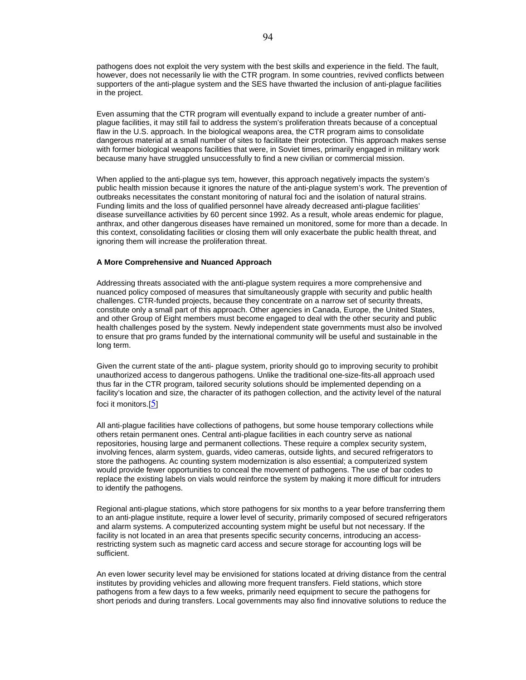pathogens does not exploit the very system with the best skills and experience in the field. The fault, however, does not necessarily lie with the CTR program. In some countries, revived conflicts between supporters of the anti-plague system and the SES have thwarted the inclusion of anti-plague facilities in the project.

Even assuming that the CTR program will eventually expand to include a greater number of antiplague facilities, it may still fail to address the system's proliferation threats because of a conceptual flaw in the U.S. approach. In the biological weapons area, the CTR program aims to consolidate dangerous material at a small number of sites to facilitate their protection. This approach makes sense with former biological weapons facilities that were, in Soviet times, primarily engaged in military work because many have struggled unsuccessfully to find a new civilian or commercial mission.

When applied to the anti-plague sys tem, however, this approach negatively impacts the system's public health mission because it ignores the nature of the anti-plague system's work. The prevention of outbreaks necessitates the constant monitoring of natural foci and the isolation of natural strains. Funding limits and the loss of qualified personnel have already decreased anti-plague facilities' disease surveillance activities by 60 percent since 1992. As a result, whole areas endemic for plague, anthrax, and other dangerous diseases have remained un monitored, some for more than a decade. In this context, consolidating facilities or closing them will only exacerbate the public health threat, and ignoring them will increase the proliferation threat.

#### **A More Comprehensive and Nuanced Approach**

Addressing threats associated with the anti-plague system requires a more comprehensive and nuanced policy composed of measures that simultaneously grapple with security and public health challenges. CTR-funded projects, because they concentrate on a narrow set of security threats, constitute only a small part of this approach. Other agencies in Canada, Europe, the United States, and other Group of Eight members must become engaged to deal with the other security and public health challenges posed by the system. Newly independent state governments must also be involved to ensure that pro grams funded by the international community will be useful and sustainable in the long term.

Given the current state of the anti- plague system, priority should go to improving security to prohibit unauthorized access to dangerous pathogens. Unlike the traditional one-size-fits-all approach used thus far in the CTR program, tailored security solutions should be implemented depending on a facility's location and size, the character of its pathogen collection, and the activity level of the natural foci it monitors. $[5]$  $[5]$  $[5]$ 

All anti-plague facilities have collections of pathogens, but some house temporary collections while others retain permanent ones. Central anti-plague facilities in each country serve as national repositories, housing large and permanent collections. These require a complex security system, involving fences, alarm system, guards, video cameras, outside lights, and secured refrigerators to store the pathogens. Ac counting system modernization is also essential; a computerized system would provide fewer opportunities to conceal the movement of pathogens. The use of bar codes to replace the existing labels on vials would reinforce the system by making it more difficult for intruders to identify the pathogens.

Regional anti-plague stations, which store pathogens for six months to a year before transferring them to an anti-plague institute, require a lower level of security, primarily composed of secured refrigerators and alarm systems. A computerized accounting system might be useful but not necessary. If the facility is not located in an area that presents specific security concerns, introducing an accessrestricting system such as magnetic card access and secure storage for accounting logs will be sufficient.

An even lower security level may be envisioned for stations located at driving distance from the central institutes by providing vehicles and allowing more frequent transfers. Field stations, which store pathogens from a few days to a few weeks, primarily need equipment to secure the pathogens for short periods and during transfers. Local governments may also find innovative solutions to reduce the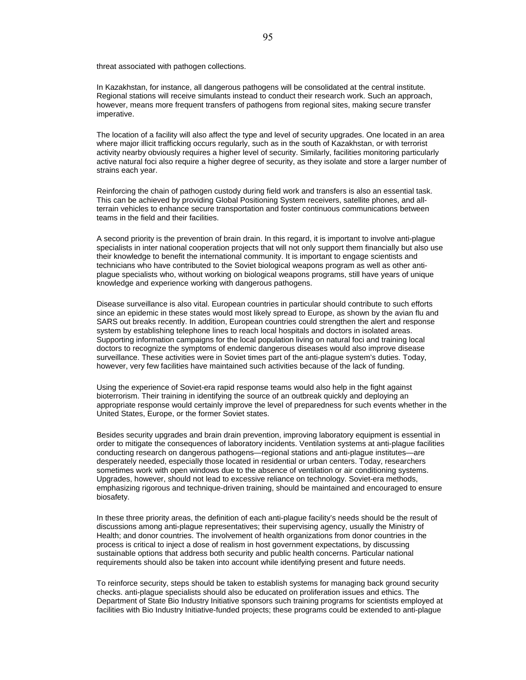threat associated with pathogen collections.

In Kazakhstan, for instance, all dangerous pathogens will be consolidated at the central institute. Regional stations will receive simulants instead to conduct their research work. Such an approach, however, means more frequent transfers of pathogens from regional sites, making secure transfer imperative.

The location of a facility will also affect the type and level of security upgrades. One located in an area where major illicit trafficking occurs regularly, such as in the south of Kazakhstan, or with terrorist activity nearby obviously requires a higher level of security. Similarly, facilities monitoring particularly active natural foci also require a higher degree of security, as they isolate and store a larger number of strains each year.

Reinforcing the chain of pathogen custody during field work and transfers is also an essential task. This can be achieved by providing Global Positioning System receivers, satellite phones, and allterrain vehicles to enhance secure transportation and foster continuous communications between teams in the field and their facilities.

A second priority is the prevention of brain drain. In this regard, it is important to involve anti-plague specialists in inter national cooperation projects that will not only support them financially but also use their knowledge to benefit the international community. It is important to engage scientists and technicians who have contributed to the Soviet biological weapons program as well as other antiplague specialists who, without working on biological weapons programs, still have years of unique knowledge and experience working with dangerous pathogens.

Disease surveillance is also vital. European countries in particular should contribute to such efforts since an epidemic in these states would most likely spread to Europe, as shown by the avian flu and SARS out breaks recently. In addition, European countries could strengthen the alert and response system by establishing telephone lines to reach local hospitals and doctors in isolated areas. Supporting information campaigns for the local population living on natural foci and training local doctors to recognize the symptoms of endemic dangerous diseases would also improve disease surveillance. These activities were in Soviet times part of the anti-plague system's duties. Today, however, very few facilities have maintained such activities because of the lack of funding.

Using the experience of Soviet-era rapid response teams would also help in the fight against bioterrorism. Their training in identifying the source of an outbreak quickly and deploying an appropriate response would certainly improve the level of preparedness for such events whether in the United States, Europe, or the former Soviet states.

Besides security upgrades and brain drain prevention, improving laboratory equipment is essential in order to mitigate the consequences of laboratory incidents. Ventilation systems at anti-plague facilities conducting research on dangerous pathogens—regional stations and anti-plague institutes—are desperately needed, especially those located in residential or urban centers. Today, researchers sometimes work with open windows due to the absence of ventilation or air conditioning systems. Upgrades, however, should not lead to excessive reliance on technology. Soviet-era methods, emphasizing rigorous and technique-driven training, should be maintained and encouraged to ensure biosafety.

In these three priority areas, the definition of each anti-plague facility's needs should be the result of discussions among anti-plague representatives; their supervising agency, usually the Ministry of Health; and donor countries. The involvement of health organizations from donor countries in the process is critical to inject a dose of realism in host government expectations, by discussing sustainable options that address both security and public health concerns. Particular national requirements should also be taken into account while identifying present and future needs.

To reinforce security, steps should be taken to establish systems for managing back ground security checks. anti-plague specialists should also be educated on proliferation issues and ethics. The Department of State Bio Industry Initiative sponsors such training programs for scientists employed at facilities with Bio Industry Initiative-funded projects; these programs could be extended to anti-plague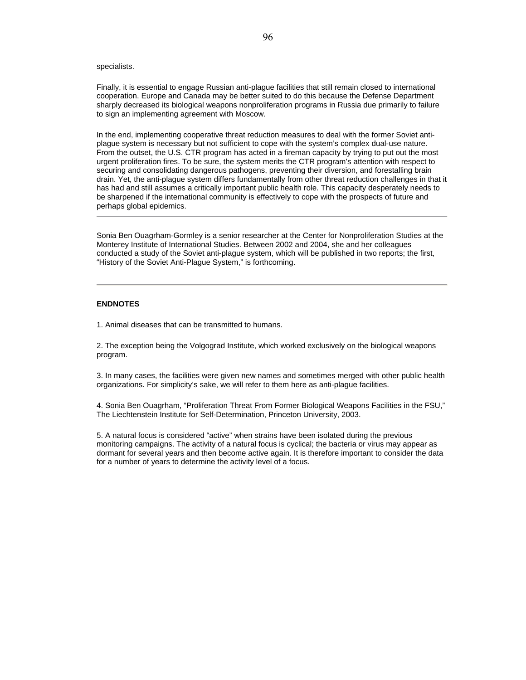specialists.

Finally, it is essential to engage Russian anti-plague facilities that still remain closed to international cooperation. Europe and Canada may be better suited to do this because the Defense Department sharply decreased its biological weapons nonproliferation programs in Russia due primarily to failure to sign an implementing agreement with Moscow.

In the end, implementing cooperative threat reduction measures to deal with the former Soviet antiplague system is necessary but not sufficient to cope with the system's complex dual-use nature. From the outset, the U.S. CTR program has acted in a fireman capacity by trying to put out the most urgent proliferation fires. To be sure, the system merits the CTR program's attention with respect to securing and consolidating dangerous pathogens, preventing their diversion, and forestalling brain drain. Yet, the anti-plague system differs fundamentally from other threat reduction challenges in that it has had and still assumes a critically important public health role. This capacity desperately needs to be sharpened if the international community is effectively to cope with the prospects of future and perhaps global epidemics.

Sonia Ben Ouagrham-Gormley is a senior researcher at the Center for Nonproliferation Studies at the Monterey Institute of International Studies. Between 2002 and 2004, she and her colleagues conducted a study of the Soviet anti-plague system, which will be published in two reports; the first, "History of the Soviet Anti-Plague System," is forthcoming.

#### **ENDNOTES**

1. Animal diseases that can be transmitted to humans.

2. The exception being the Volgograd Institute, which worked exclusively on the biological weapons program.

3. In many cases, the facilities were given new names and sometimes merged with other public health organizations. For simplicity's sake, we will refer to them here as anti-plague facilities.

4. Sonia Ben Ouagrham, "Proliferation Threat From Former Biological Weapons Facilities in the FSU," The Liechtenstein Institute for Self-Determination, Princeton University, 2003.

5. A natural focus is considered "active" when strains have been isolated during the previous monitoring campaigns. The activity of a natural focus is cyclical; the bacteria or virus may appear as dormant for several years and then become active again. It is therefore important to consider the data for a number of years to determine the activity level of a focus.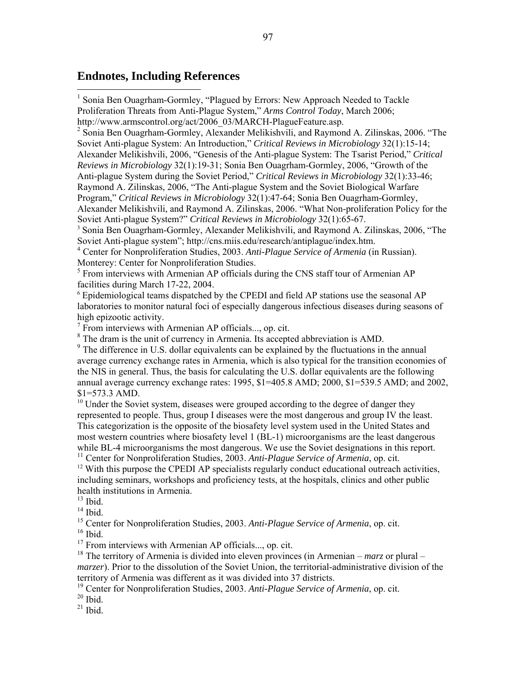# **Endnotes, Including References**

<u>.</u>

<sup>1</sup> Sonia Ben Ouagrham-Gormley, "Plagued by Errors: New Approach Needed to Tackle Proliferation Threats from Anti-Plague System," *Arms Control Today*, March 2006; http://www.armscontrol.org/act/2006\_03/MARCH-PlagueFeature.asp.

<sup>2</sup> Sonia Ben Ouagrham-Gormley, Alexander Melikishvili, and Raymond A. Zilinskas, 2006. "The Soviet Anti-plague System: An Introduction," *Critical Reviews in Microbiology* 32(1):15-14; Alexander Melikishvili, 2006, "Genesis of the Anti-plague System: The Tsarist Period," *Critical Reviews in Microbiology* 32(1):19-31; Sonia Ben Ouagrham-Gormley, 2006, "Growth of the Anti-plague System during the Soviet Period," *Critical Reviews in Microbiology* 32(1):33-46; Raymond A. Zilinskas, 2006, ["The Anti-plague System and the Soviet Biological Warfare](http://www.journalsonline.tandf.co.uk/(ujahac45xldbv045554zlu55)/app/home/contribution.asp?referrer=parent&backto=issue,5,6;searcharticlesresults,2,7;)  [Program,](http://www.journalsonline.tandf.co.uk/(ujahac45xldbv045554zlu55)/app/home/contribution.asp?referrer=parent&backto=issue,5,6;searcharticlesresults,2,7;)" *Critical Reviews in Microbiology* 32(1):47-64; Sonia Ben Ouagrham-Gormley,

Alexander Melikishvili, and Raymond A. Zilinskas, 2006. "What Non-proliferation Policy for the Soviet Anti-plague System?" *Critical Reviews in Microbiology* 32(1):65-67. 3 Sonia Ben Ouagrham-Gormley, Alexander Melikishvili, and Raymond A. Zilinskas, 2006, "The

Soviet Anti-plague system"; http://cns.miis.edu/research/antiplague/index.htm.

<sup>4</sup> Center for Nonproliferation Studies, 2003. *Anti-Plague Service of Armenia* (in Russian). Monterey: Center for Nonproliferation Studies.

<sup>5</sup> From interviews with Armenian AP officials during the CNS staff tour of Armenian AP facilities during March 17-22, 2004.

<sup>6</sup> Epidemiological teams dispatched by the CPEDI and field AP stations use the seasonal AP laboratories to monitor natural foci of especially dangerous infectious diseases during seasons of high epizootic activity.

7 From interviews with Armenian AP officials..., op. cit.

<sup>8</sup> The dram is the unit of currency in Armenia. Its accepted abbreviation is AMD.

<sup>9</sup> The difference in U.S. dollar equivalents can be explained by the fluctuations in the annual average currency exchange rates in Armenia, which is also typical for the transition economies of the NIS in general. Thus, the basis for calculating the U.S. dollar equivalents are the following annual average currency exchange rates: 1995, \$1=405.8 AMD; 2000, \$1=539.5 AMD; and 2002, \$1=573.3 AMD.

<sup>10</sup> Under the Soviet system, diseases were grouped according to the degree of danger they represented to people. Thus, group I diseases were the most dangerous and group IV the least. This categorization is the opposite of the biosafety level system used in the United States and most western countries where biosafety level 1 (BL-1) microorganisms are the least dangerous while BL-4 microorganisms the most dangerous. We use the Soviet designations in this report.<br><sup>11</sup> Center for Nonproliferation Studies, 2003. Anti-Plague Service of Armenia, op. cit.

<sup>12</sup> With this purpose the CPEDI AP specialists regularly conduct educational outreach activities, including seminars, workshops and proficiency tests, at the hospitals, clinics and other public health institutions in Armenia.

 $13$  Ibid.

 $14$  Ibid.

15 Center for Nonproliferation Studies, 2003. *Anti-Plague Service of Armenia*, op. cit.

 $16$  Ibid.

<sup>17</sup> From interviews with Armenian AP officials..., op. cit.

<sup>18</sup> The territory of Armenia is divided into eleven provinces (in Armenian – *marz* or plural – *marzer*). Prior to the dissolution of the Soviet Union, the territorial-administrative division of the territory of Armenia was different as it was divided into 37 districts.

19 Center for Nonproliferation Studies, 2003. *Anti-Plague Service of Armenia*, op. cit.

 $20$  Ibid.

 $21$  Ibid.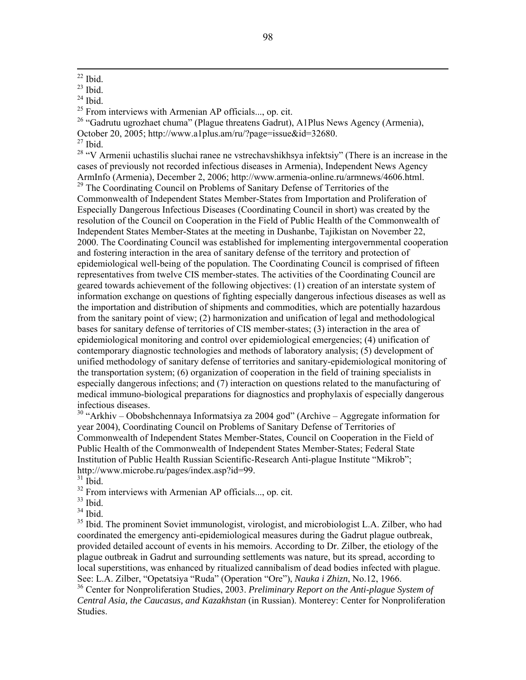$22$  Ibid.

 $24$  Ibid.

 $^{25}$  From interviews with Armenian AP officials..., op. cit.

<sup>26</sup> "Gadrutu ugrozhaet chuma" (Plague threatens Gadrut), A1Plus News Agency (Armenia),

October 20, 2005; http://www.a1plus.am/ru/?page=issue&id=32680.

 $27$  Ibid.

<sup>28</sup> "V Armenii uchastilis sluchai ranee ne vstrechavshikhsya infektsiy" (There is an increase in the cases of previously not recorded infectious diseases in Armenia), Independent News Agency ArmInfo (Armenia), December 2, 2006; http://www.armenia-online.ru/armnews/4606.html. <sup>29</sup> The Coordinating Council on Problems of Sanitary Defense of Territories of the

Commonwealth of Independent States Member-States from Importation and Proliferation of Especially Dangerous Infectious Diseases (Coordinating Council in short) was created by the resolution of the Council on Cooperation in the Field of Public Health of the Commonwealth of Independent States Member-States at the meeting in Dushanbe, Tajikistan on November 22, 2000. The Coordinating Council was established for implementing intergovernmental cooperation and fostering interaction in the area of sanitary defense of the territory and protection of epidemiological well-being of the population. The Coordinating Council is comprised of fifteen representatives from twelve CIS member-states. The activities of the Coordinating Council are geared towards achievement of the following objectives: (1) creation of an interstate system of information exchange on questions of fighting especially dangerous infectious diseases as well as the importation and distribution of shipments and commodities, which are potentially hazardous from the sanitary point of view; (2) harmonization and unification of legal and methodological bases for sanitary defense of territories of CIS member-states; (3) interaction in the area of epidemiological monitoring and control over epidemiological emergencies; (4) unification of contemporary diagnostic technologies and methods of laboratory analysis; (5) development of unified methodology of sanitary defense of territories and sanitary-epidemiological monitoring of the transportation system; (6) organization of cooperation in the field of training specialists in especially dangerous infections; and (7) interaction on questions related to the manufacturing of medical immuno-biological preparations for diagnostics and prophylaxis of especially dangerous infectious diseases.

 $30$  "Arkhiv – Obobshchennaya Informatsiya za 2004 god" (Archive – Aggregate information for year 2004), Coordinating Council on Problems of Sanitary Defense of Territories of Commonwealth of Independent States Member-States, Council on Cooperation in the Field of Public Health of the Commonwealth of Independent States Member-States; Federal State Institution of Public Health Russian Scientific-Research Anti-plague Institute "Mikrob"; http://www.microbe.ru/pages/index.asp?id=99.

 $31$  Ibid.

 $32$  From interviews with Armenian AP officials..., op. cit.

33 Ibid.

 $34$  Ibid.

<sup>35</sup> Ibid. The prominent Soviet immunologist, virologist, and microbiologist L.A. Zilber, who had coordinated the emergency anti-epidemiological measures during the Gadrut plague outbreak, provided detailed account of events in his memoirs. According to Dr. Zilber, the etiology of the plague outbreak in Gadrut and surrounding settlements was nature, but its spread, according to local superstitions, was enhanced by ritualized cannibalism of dead bodies infected with plague. See: L.A. Zilber, "Opetatsiya "Ruda" (Operation "Ore"), *Nauka i Zhizn*, No.12, 1966.

36 Center for Nonproliferation Studies, 2003. *Preliminary Report on the Anti-plague System of Central Asia, the Caucasus, and Kazakhstan* (in Russian). Monterey: Center for Nonproliferation Studies.

 $^{23}$  Ibid.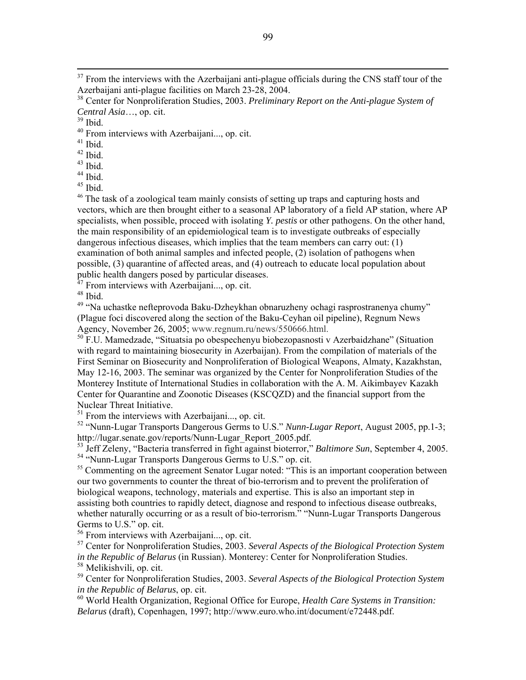39 Ibid.

 $40$  From interviews with Azerbaijani..., op. cit.

 $^{41}$  Ibid.

 $42$  Ibid.

 $43$  Ibid.

 $44$  Ibid.

 $45$  Ibid.

<sup>46</sup> The task of a zoological team mainly consists of setting up traps and capturing hosts and vectors, which are then brought either to a seasonal AP laboratory of a field AP station, where AP specialists, when possible, proceed with isolating *Y. pestis* or other pathogens. On the other hand, the main responsibility of an epidemiological team is to investigate outbreaks of especially dangerous infectious diseases, which implies that the team members can carry out: (1) examination of both animal samples and infected people, (2) isolation of pathogens when possible, (3) quarantine of affected areas, and (4) outreach to educate local population about public health dangers posed by particular diseases.

 $47$  From interviews with Azerbaijani..., op. cit.

48 Ibid.

49 "Na uchastke nefteprovoda Baku-Dzheykhan obnaruzheny ochagi rasprostranenya chumy" (Plague foci discovered along the section of the Baku-Ceyhan oil pipeline), Regnum News Agency, November 26, 2005; www.regnum.ru/news/550666.html.

50 F.U. Mamedzade, "Situatsia po obespechenyu biobezopasnosti v Azerbaidzhane" (Situation with regard to maintaining biosecurity in Azerbaijan). From the compilation of materials of the First Seminar on Biosecurity and Nonproliferation of Biological Weapons, Almaty, Kazakhstan, May 12-16, 2003. The seminar was organized by the Center for Nonproliferation Studies of the Monterey Institute of International Studies in collaboration with the A. M. Aikimbayev Kazakh Center for Quarantine and Zoonotic Diseases (KSCQZD) and the financial support from the Nuclear Threat Initiative.

 $51$  From the interviews with Azerbaijani..., op. cit.

52 "Nunn-Lugar Transports Dangerous Germs to U.S." *Nunn-Lugar Report*, August 2005, pp.1-3; http://lugar.senate.gov/reports/Nunn-Lugar\_Report\_2005.pdf.

<sup>53</sup> Jeff Zeleny, "Bacteria transferred in fight against bioterror," *Baltimore Sun*, September 4, 2005.<br><sup>54</sup> "Nunn-Lugar Transports Dangerous Germs to U.S." op. cit.

 $55$  Commenting on the agreement Senator Lugar noted: "This is an important cooperation between our two governments to counter the threat of bio-terrorism and to prevent the proliferation of biological weapons, technology, materials and expertise. This is also an important step in assisting both countries to rapidly detect, diagnose and respond to infectious disease outbreaks, whether naturally occurring or as a result of bio-terrorism." "Nunn-Lugar Transports Dangerous Germs to U.S." op. cit.

56 From interviews with Azerbaijani..., op. cit.

57 Center for Nonproliferation Studies, 2003. *Several Aspects of the Biological Protection System in the Republic of Belarus* (in Russian). Monterey: Center for Nonproliferation Studies. <sup>58</sup> Melikishvili, op. cit.

59 Center for Nonproliferation Studies, 2003. *Several Aspects of the Biological Protection System in the Republic of Belarus*, op. cit.

60 World Health Organization, Regional Office for Europe, *Health Care Systems in Transition: Belarus* (draft), Copenhagen, 1997; http://www.euro.who.int/document/e72448.pdf.

 $37$  From the interviews with the Azerbaijani anti-plague officials during the CNS staff tour of the Azerbaijani anti-plague facilities on March 23-28, 2004.

<sup>38</sup> Center for Nonproliferation Studies, 2003. *Preliminary Report on the Anti-plague System of Central Asia*…, op. cit.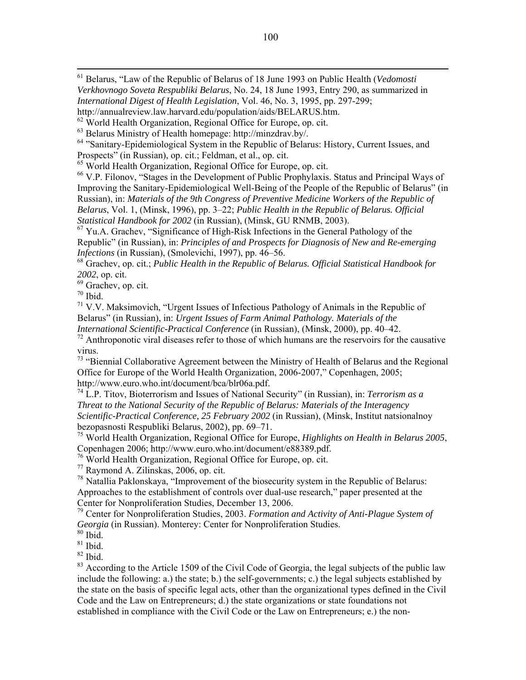61 Belarus, "Law of the Republic of Belarus of 18 June 1993 on Public Health (*Vedomosti Verkhovnogo Soveta Respubliki Belarus*, No. 24, 18 June 1993, Entry 290, as summarized in *International Digest of Health Legislation*, Vol. 46, No. 3, 1995, pp. 297-299; http://annualreview.law.harvard.edu/population/aids/BELARUS.htm.

<sup>64</sup> "Sanitary-Epidemiological System in the Republic of Belarus: History, Current Issues, and Prospects" (in Russian), op. cit.; Feldman, et al., op. cit.

<sup>65</sup> World Health Organization, Regional Office for Europe, op. cit.

66 V.P. Filonov, "Stages in the Development of Public Prophylaxis. Status and Principal Ways of Improving the Sanitary-Epidemiological Well-Being of the People of the Republic of Belarus" (in Russian), in: *Materials of the 9th Congress of Preventive Medicine Workers of the Republic of Belarus*, Vol. 1, (Minsk, 1996), pp. 3–22; *Public Health in the Republic of Belarus. Official Statistical Handbook for 2002* (in Russian), (Minsk, GU RNMB, 2003).

67 Yu.A. Grachev, "Significance of High-Risk Infections in the General Pathology of the Republic" (in Russian), in: *Principles of and Prospects for Diagnosis of New and Re-emerging Infections* (in Russian), (Smolevichi, 1997), pp. 46–56.

68 Grachev, op. cit.; *Public Health in the Republic of Belarus. Official Statistical Handbook for 2002*, op. cit.

<sup>69</sup> Grachev, op. cit.

 $70$  Ibid.

 $71$  V.V. Maksimovich, "Urgent Issues of Infectious Pathology of Animals in the Republic of Belarus" (in Russian), in: *Urgent Issues of Farm Animal Pathology. Materials of the* 

*International Scientific-Practical Conference* (in Russian), (Minsk, 2000), pp. 40–42.

 $72$  Anthroponotic viral diseases refer to those of which humans are the reservoirs for the causative virus.

 $73$  "Biennial Collaborative Agreement between the Ministry of Health of Belarus and the Regional Office for Europe of the World Health Organization, 2006-2007," Copenhagen, 2005; http://www.euro.who.int/document/bca/blr06a.pdf.

74 L.P. Titov, Bioterrorism and Issues of National Security" (in Russian), in: *Terrorism as a Threat to the National Security of the Republic of Belarus: Materials of the Interagency Scientific-Practical Conference, 25 February 2002* (in Russian), (Minsk, Institut natsionalnoy bezopasnosti Respubliki Belarus, 2002), pp. 69–71.

75 World Health Organization, Regional Office for Europe, *Highlights on Health in Belarus 2005*, Copenhagen 2006; http://www.euro.who.int/document/e88389.pdf.

76 World Health Organization, Regional Office for Europe, op. cit.

77 Raymond A. Zilinskas, 2006, op. cit.

<sup>78</sup> Natallia Paklonskaya, "Improvement of the biosecurity system in the Republic of Belarus: Approaches to the establishment of controls over dual-use research," paper presented at the Center for Nonproliferation Studies, December 13, 2006.

79 Center for Nonproliferation Studies, 2003. *Formation and Activity of Anti-Plague System of Georgia* (in Russian). Monterey: Center for Nonproliferation Studies.

 $80$  Ibid.

 $81$  Ibid.

82 Ibid.

<sup>83</sup> According to the Article 1509 of the Civil Code of Georgia, the legal subjects of the public law include the following: a.) the state; b.) the self-governments; c.) the legal subjects established by the state on the basis of specific legal acts, other than the organizational types defined in the Civil Code and the Law on Entrepreneurs; d.) the state organizations or state foundations not established in compliance with the Civil Code or the Law on Entrepreneurs; e.) the non-

 $62$  World Health Organization, Regional Office for Europe, op. cit.

<sup>63</sup> Belarus Ministry of Health homepage: http://minzdrav.by/.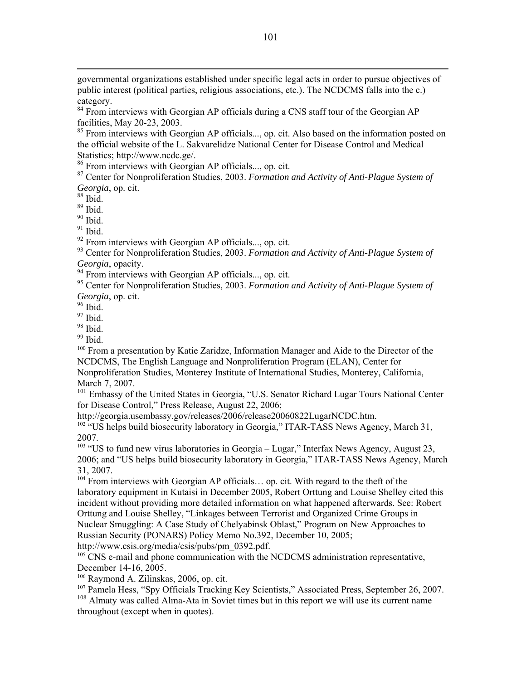governmental organizations established under specific legal acts in order to pursue objectives of public interest (political parties, religious associations, etc.). The NCDCMS falls into the c.) category.

<sup>84</sup> From interviews with Georgian AP officials during a CNS staff tour of the Georgian AP facilities, May 20-23, 2003.

<sup>85</sup> From interviews with Georgian AP officials..., op. cit. Also based on the information posted on the official website of the L. Sakvarelidze National Center for Disease Control and Medical Statistics; http://www.ncdc.ge/.

86 From interviews with Georgian AP officials..., op. cit.

87 Center for Nonproliferation Studies, 2003. *Formation and Activity of Anti-Plague System of Georgia*, op. cit.

88 Ibid.

1

89 Ibid.

 $90$  Ibid.

 $91$  Ibid.

 $92$  From interviews with Georgian AP officials..., op. cit.

93 Center for Nonproliferation Studies, 2003. *Formation and Activity of Anti-Plague System of Georgia*, opacity.

<sup>94</sup> From interviews with Georgian AP officials..., op. cit.

95 Center for Nonproliferation Studies, 2003. *Formation and Activity of Anti-Plague System of Georgia*, op. cit.

96 Ibid.

 $97$  Ibid.

98 Ibid.

 $99$  Ibid.

<sup>100</sup> From a presentation by Katie Zaridze, Information Manager and Aide to the Director of the NCDCMS, The English Language and Nonproliferation Program (ELAN), Center for Nonproliferation Studies, Monterey Institute of International Studies, Monterey, California, March 7, 2007.

<sup>101</sup> Embassy of the United States in Georgia, "U.S. Senator Richard Lugar Tours National Center for Disease Control," Press Release, August 22, 2006;<br>http://georgia.usembassy.gov/releases/2006/release20060822LugarNCDC.htm.

 $\frac{102}{102}$  "US helps build biosecurity laboratory in Georgia," ITAR-TASS News Agency, March 31, 2007.

 $\frac{103}{103}$  "US to fund new virus laboratories in Georgia – Lugar," Interfax News Agency, August 23, 2006; and "US helps build biosecurity laboratory in Georgia," ITAR-TASS News Agency, March 31, 2007.

<sup>104</sup> From interviews with Georgian AP officials... op. cit. With regard to the theft of the laboratory equipment in Kutaisi in December 2005, Robert Orttung and Louise Shelley cited this incident without providing more detailed information on what happened afterwards. See: Robert Orttung and Louise Shelley, "Linkages between Terrorist and Organized Crime Groups in Nuclear Smuggling: A Case Study of Chelyabinsk Oblast," Program on New Approaches to Russian Security (PONARS) Policy Memo No.392, December 10, 2005; http://www.csis.org/media/csis/pubs/pm\_0392.pdf.

<sup>105</sup> CNS e-mail and phone communication with the NCDCMS administration representative, December 14-16, 2005.

<sup>106</sup> Raymond A. Zilinskas, 2006, op. cit.<br><sup>107</sup> Pamela Hess, "Spy Officials Tracking Key Scientists," Associated Press, September 26, 2007.  $108$  Almaty was called Alma-Ata in Soviet times but in this report we will use its current name throughout (except when in quotes).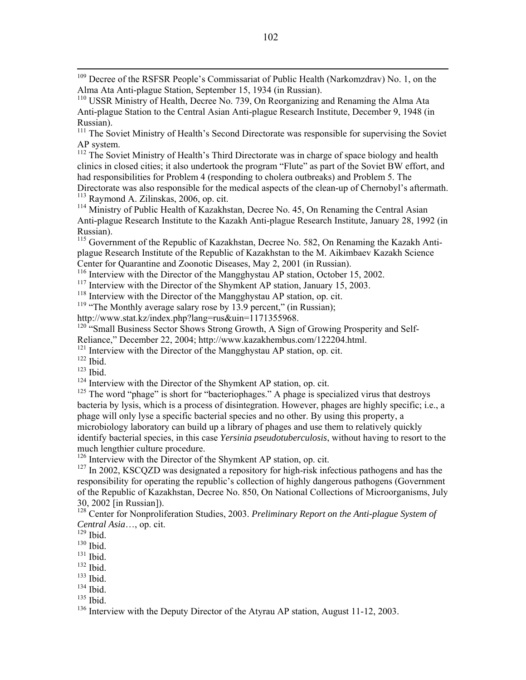<sup>109</sup> Decree of the RSFSR People's Commissariat of Public Health (Narkomzdrav) No. 1, on the Alma Ata Anti-plague Station, September 15, 1934 (in Russian).

<sup>110</sup> USSR Ministry of Health, Decree No. 739, On Reorganizing and Renaming the Alma Ata Anti-plague Station to the Central Asian Anti-plague Research Institute, December 9, 1948 (in Russian).

 $111$  The Soviet Ministry of Health's Second Directorate was responsible for supervising the Soviet AP system.

<sup>112</sup> The Soviet Ministry of Health's Third Directorate was in charge of space biology and health clinics in closed cities; it also undertook the program "Flute" as part of the Soviet BW effort, and had responsibilities for Problem 4 (responding to cholera outbreaks) and Problem 5. The Directorate was also responsible for the medical aspects of the clean-up of Chernobyl's aftermath. 113 Raymond A. Zilinskas, 2006, op. cit.

<sup>114</sup> Ministry of Public Health of Kazakhstan, Decree No. 45, On Renaming the Central Asian Anti-plague Research Institute to the Kazakh Anti-plague Research Institute, January 28, 1992 (in Russian).

<sup>115</sup> Government of the Republic of Kazakhstan, Decree No. 582, On Renaming the Kazakh Antiplague Research Institute of the Republic of Kazakhstan to the M. Aikimbaev Kazakh Science Center for Quarantine and Zoonotic Diseases, May 2, 2001 (in Russian).

<sup>116</sup> Interview with the Director of the Mangghystau AP station, October 15, 2002.

<sup>117</sup> Interview with the Director of the Shymkent AP station, January 15, 2003.

<sup>118</sup> Interview with the Director of the Mangghystau AP station, op. cit.

<sup>119</sup> "The Monthly average salary rose by  $13.9$  percent," (in Russian);

http://www.stat.kz/index.php?lang=rus&uin=1171355968.

<sup>120\*</sup>"Small Business Sector Shows Strong Growth, A Sign of Growing Prosperity and Self-

Reliance," December 22, 2004; http://www.kazakhembus.com/122204.html.

<sup>121</sup> Interview with the Director of the Mangghystau AP station, op. cit.

 $122$  Ibid.

 $123$  Ibid.

 $124$  Interview with the Director of the Shymkent AP station, op. cit.

 $125$  The word "phage" is short for "bacteriophages." A phage is specialized virus that destroys bacteria by lysis, which is a process of disintegration. However, phages are highly specific; i.e., a phage will only lyse a specific bacterial species and no other. By using this property, a microbiology laboratory can build up a library of phages and use them to relatively quickly identify bacterial species, in this case *Yersinia pseudotuberculosis*, without having to resort to the much lengthier culture procedure.

<sup>126</sup> Interview with the Director of the Shymkent AP station, op. cit.

 $127$  In 2002, KSCQZD was designated a repository for high-risk infectious pathogens and has the responsibility for operating the republic's collection of highly dangerous pathogens (Government of the Republic of Kazakhstan, Decree No. 850, On National Collections of Microorganisms, July 30, 2002 [in Russian]).

<sup>128</sup> Center for Nonproliferation Studies, 2003. *Preliminary Report on the Anti-plague System of Central Asia*…, op. cit.

 $129$  Ibid.

 $130$  Ibid.

131 Ibid.

132 Ibid.

133 Ibid.

134 Ibid.

 $135$  Ibid.

<sup>136</sup> Interview with the Deputy Director of the Atyrau AP station, August 11-12, 2003.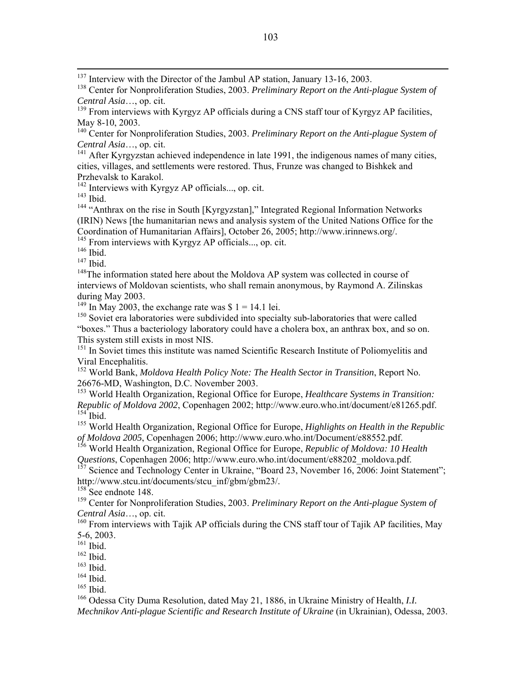<sup>137</sup> Interview with the Director of the Jambul AP station, January 13-16, 2003.

138 Center for Nonproliferation Studies, 2003. *Preliminary Report on the Anti-plague System of Central Asia*…, op. cit.

<sup>139</sup> From interviews with Kyrgyz AP officials during a CNS staff tour of Kyrgyz AP facilities. May 8-10, 2003.

140 Center for Nonproliferation Studies, 2003. *Preliminary Report on the Anti-plague System of Central Asia*…, op. cit.

<sup>141</sup> After Kyrgyzstan achieved independence in late 1991, the indigenous names of many cities, cities, villages, and settlements were restored. Thus, Frunze was changed to Bishkek and Przhevalsk to Karakol.

142 Interviews with Kyrgyz AP officials..., op. cit.

143 Ibid.

<sup>144</sup> "Anthrax on the rise in South [Kyrgyzstan]," Integrated Regional Information Networks (IRIN) News [the humanitarian news and analysis system of the United Nations Office for the Coordination of Humanitarian Affairs], October 26, 2005; http://www.irinnews.org/.

 $145$  From interviews with Kyrgyz AP officials..., op. cit.

 $146$  Ibid.

 $147$  Ibid.

 $148$ The information stated here about the Moldova AP system was collected in course of interviews of Moldovan scientists, who shall remain anonymous, by Raymond A. Zilinskas during May 2003.

 $149$  In May 2003, the exchange rate was \$ 1 = 14.1 lei.

<sup>150</sup> Soviet era laboratories were subdivided into specialty sub-laboratories that were called "boxes." Thus a bacteriology laboratory could have a cholera box, an anthrax box, and so on. This system still exists in most NIS.

<sup>151</sup> In Soviet times this institute was named Scientific Research Institute of Poliomyelitis and Viral Encephalitis.

152 World Bank, *Moldova Health Policy Note: The Health Sector in Transition*, Report No. 26676-MD, Washington, D.C. November 2003.

153 World Health Organization, Regional Office for Europe, *Healthcare Systems in Transition: Republic of Moldova 2002*, Copenhagen 2002; http://www.euro.who.int/document/e81265.pdf.  $154$  Ibid.

155 World Health Organization, Regional Office for Europe, *Highlights on Health in the Republic of Moldova 2005*, Copenhagen 2006; http://www.euro.who.int/Document/e88552.pdf.

156 World Health Organization, Regional Office for Europe, *Republic of Moldova: 10 Health Questions*, Copenhagen 2006; http://www.euro.who.int/document/e88202\_moldova.pdf.

<sup>157</sup> Science and Technology Center in Ukraine, "Board 23, November 16, 2006: Joint Statement"; http://www.stcu.int/documents/stcu\_inf/gbm/gbm23/.

<sup>158</sup> See endnote 148.

159 Center for Nonproliferation Studies, 2003. *Preliminary Report on the Anti-plague System of Central Asia*…, op. cit.

<sup>160</sup> From interviews with Tajik AP officials during the CNS staff tour of Tajik AP facilities, May 5-6, 2003.

<sup>161</sup> Ibid.

162 Ibid.

163 Ibid.

 $^{164}$  Ibid.

165 Ibid.

166 Odessa City Duma Resolution, dated May 21, 1886, in Ukraine Ministry of Health, *I.I. Mechnikov Anti-plague Scientific and Research Institute of Ukraine* (in Ukrainian), Odessa, 2003.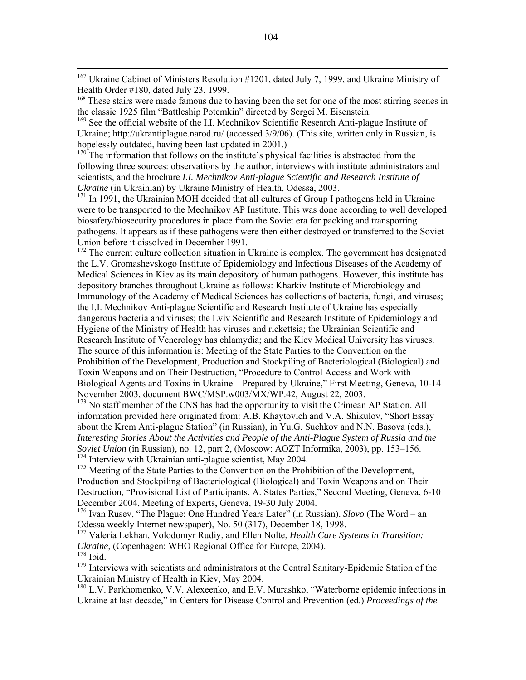<sup>167</sup> Ukraine Cabinet of Ministers Resolution #1201, dated July 7, 1999, and Ukraine Ministry of Health Order #180, dated July 23, 1999.

<sup>168</sup> These stairs were made famous due to having been the set for one of the most stirring scenes in the classic 1925 film "Battleship Potemkin" directed by Sergei M. Eisenstein.

<sup>169</sup> See the official website of the I.I. Mechnikov Scientific Research Anti-plague Institute of Ukraine; http://ukrantiplague.narod.ru/ (accessed 3/9/06). (This site, written only in Russian, is hopelessly outdated, having been last updated in 2001.)

 $170$  The information that follows on the institute's physical facilities is abstracted from the following three sources: observations by the author, interviews with institute administrators and scientists, and the brochure *I.I. Mechnikov Anti-plague Scientific and Research Institute of Ukraine* (in Ukrainian) by Ukraine Ministry of Health, Odessa, 2003.

 $171$  In 1991, the Ukrainian MOH decided that all cultures of Group I pathogens held in Ukraine were to be transported to the Mechnikov AP Institute. This was done according to well developed biosafety/biosecurity procedures in place from the Soviet era for packing and transporting pathogens. It appears as if these pathogens were then either destroyed or transferred to the Soviet Union before it dissolved in December 1991.

 $172$  The current culture collection situation in Ukraine is complex. The government has designated the L.V. Gromashevskogo Institute of Epidemiology and Infectious Diseases of the Academy of Medical Sciences in Kiev as its main depository of human pathogens. However, this institute has depository branches throughout Ukraine as follows: Kharkiv Institute of Microbiology and Immunology of the Academy of Medical Sciences has collections of bacteria, fungi, and viruses; the I.I. Mechnikov Anti-plague Scientific and Research Institute of Ukraine has especially dangerous bacteria and viruses; the Lviv Scientific and Research Institute of Epidemiology and Hygiene of the Ministry of Health has viruses and rickettsia; the Ukrainian Scientific and Research Institute of Venerology has chlamydia; and the Kiev Medical University has viruses. The source of this information is: Meeting of the State Parties to the Convention on the Prohibition of the Development, Production and Stockpiling of Bacteriological (Biological) and Toxin Weapons and on Their Destruction, "Procedure to Control Access and Work with Biological Agents and Toxins in Ukraine – Prepared by Ukraine," First Meeting, Geneva, 10-14 November 2003, document BWC/MSP.w003/MX/WP.42, August 22, 2003.

<sup>173</sup> No staff member of the CNS has had the opportunity to visit the Crimean AP Station. All information provided here originated from: A.B. Khaytovich and V.A. Shikulov, "Short Essay about the Krem Anti-plague Station" (in Russian), in Yu.G. Suchkov and N.N. Basova (eds.), *Interesting Stories About the Activities and People of the Anti-Plague System of Russia and the Soviet Union* (in Russian), no. 12, part 2, (Moscow: AOZT Informika, 2003), pp. 153–156. <sup>174</sup> Interview with Ukrainian anti-plague scientist, May 2004.

<sup>175</sup> Meeting of the State Parties to the Convention on the Prohibition of the Development, Production and Stockpiling of Bacteriological (Biological) and Toxin Weapons and on Their Destruction, "Provisional List of Participants. A. States Parties," Second Meeting, Geneva, 6-10 December 2004, Meeting of Experts, Geneva, 19-30 July 2004.

176 Ivan Rusev, "The Plague: One Hundred Years Later" (in Russian). *Slovo* (The Word – an Odessa weekly Internet newspaper), No. 50 (317), December 18, 1998.

177 Valeria Lekhan, Volodomyr Rudiy, and Ellen Nolte, *Health Care Systems in Transition: Ukraine*, (Copenhagen: WHO Regional Office for Europe, 2004). 178 Ibid.

<sup>179</sup> Interviews with scientists and administrators at the Central Sanitary-Epidemic Station of the Ukrainian Ministry of Health in Kiev, May 2004.

<sup>180</sup> L.V. Parkhomenko, V.V. Alexeenko, and E.V. Murashko, "Waterborne epidemic infections in Ukraine at last decade," in Centers for Disease Control and Prevention (ed.) *Proceedings of the*